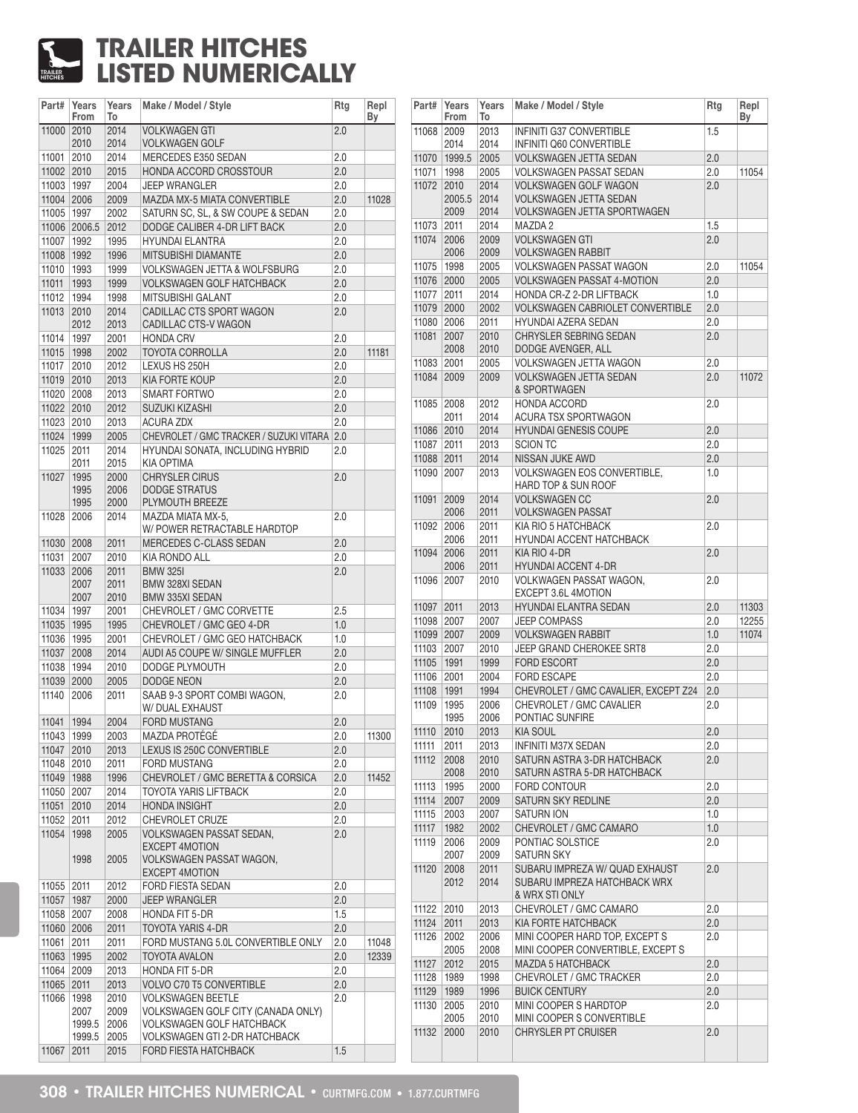## TRAILER **HITCHES TRAILER HITCHES LISTED NUMERICALLY**

| Part#      | Years<br>From | Years<br>To | Make / Model / Style                                                          | Rtg | Repl<br>Вy |
|------------|---------------|-------------|-------------------------------------------------------------------------------|-----|------------|
| 11000 2010 |               | 2014        | <b>VOLKWAGEN GTI</b>                                                          | 2.0 |            |
|            | 2010          | 2014        | <b>VOLKWAGEN GOLF</b>                                                         |     |            |
| 11001      | 2010          | 2014        | MERCEDES E350 SEDAN                                                           | 2.0 |            |
| 11002 2010 |               | 2015        | HONDA ACCORD CROSSTOUR                                                        | 2.0 |            |
| 11003 1997 |               | 2004        | <b>JEEP WRANGLER</b>                                                          | 2.0 |            |
| 11004 2006 |               | 2009        | MAZDA MX-5 MIATA CONVERTIBLE                                                  | 2.0 | 11028      |
| 11005 1997 |               | 2002        | SATURN SC, SL, & SW COUPE & SEDAN                                             | 2.0 |            |
|            | 11006 2006.5  | 2012        | DODGE CALIBER 4-DR LIFT BACK                                                  | 2.0 |            |
| 11007 1992 |               | 1995        | <b>HYUNDAI ELANTRA</b>                                                        | 2.0 |            |
| 11008 1992 |               | 1996        | MITSUBISHI DIAMANTE                                                           | 2.0 |            |
| 11010      | 1993          | 1999        | <b>VOLKSWAGEN JETTA &amp; WOLFSBURG</b>                                       | 2.0 |            |
| 11011      | 1993          | 1999        | <b>VOLKSWAGEN GOLF HATCHBACK</b>                                              | 2.0 |            |
| 11012      | 1994          | 1998        | MITSUBISHI GALANT                                                             | 2.0 |            |
| 11013      | 2010          | 2014        | CADILLAC CTS SPORT WAGON                                                      | 2.0 |            |
|            | 2012          | 2013        | CADILLAC CTS-V WAGON                                                          |     |            |
| 11014      | 1997          | 2001        | <b>HONDA CRV</b>                                                              | 2.0 |            |
| 11015      | 1998          | 2002        | <b>TOYOTA CORROLLA</b>                                                        | 2.0 | 11181      |
| 11017      | 2010          | 2012        | LEXUS HS 250H                                                                 | 2.0 |            |
| 11019      | 2010          | 2013        | <b>KIA FORTE KOUP</b>                                                         | 2.0 |            |
| 11020 2008 |               | 2013        | <b>SMART FORTWO</b>                                                           | 2.0 |            |
| 11022 2010 |               | 2012        | <b>SUZUKI KIZASHI</b>                                                         | 2.0 |            |
| 11023      | 2010          | 2013        | <b>ACURA ZDX</b>                                                              | 2.0 |            |
| 11024 1999 |               | 2005        | CHEVROLET / GMC TRACKER / SUZUKI VITARA                                       | 2.0 |            |
| 11025      | 2011          | 2014        | HYUNDAI SONATA, INCLUDING HYBRID                                              | 2.0 |            |
|            | 2011          | 2015        | KIA OPTIMA                                                                    |     |            |
| 11027      | 1995          | 2000        | <b>CHRYSLER CIRUS</b>                                                         | 2.0 |            |
|            | 1995          | 2006        | <b>DODGE STRATUS</b>                                                          |     |            |
|            | 1995          | 2000        | PLYMOUTH BREEZE                                                               |     |            |
| 11028      | 2006          | 2014        | MAZDA MIATA MX-5,                                                             | 2.0 |            |
|            |               |             | W/ POWER RETRACTABLE HARDTOP                                                  |     |            |
| 11030      | 2008          | 2011        | MERCEDES C-CLASS SEDAN                                                        | 2.0 |            |
| 11031      | 2007          | 2010        | KIA RONDO ALL                                                                 | 2.0 |            |
| 11033      | 2006          | 2011        | <b>BMW 3251</b>                                                               | 2.0 |            |
|            | 2007          | 2011        | <b>BMW 328XI SEDAN</b>                                                        |     |            |
|            | 2007          | 2010        | <b>BMW 335XI SEDAN</b>                                                        |     |            |
| 11034      | 1997          | 2001        | CHEVROLET / GMC CORVETTE                                                      | 2.5 |            |
| 11035      | 1995          | 1995        | CHEVROLET / GMC GEO 4-DR                                                      | 1.0 |            |
| 11036      | 1995          | 2001        | CHEVROLET / GMC GEO HATCHBACK                                                 | 1.0 |            |
| 11037 2008 |               | 2014        | AUDI A5 COUPE W/ SINGLE MUFFLER                                               | 2.0 |            |
| 11038 1994 |               | 2010        | DODGE PLYMOUTH                                                                | 2.0 |            |
| 11039 2000 |               | 2005        | DODGE NEON                                                                    | 2.0 |            |
| 11140      | 2006          | 2011        | SAAB 9-3 SPORT COMBI WAGON,                                                   | 2.0 |            |
|            |               |             | W/DUAL EXHAUST                                                                |     |            |
| 11041      | 1994          | 2004        | <b>FORD MUSTANG</b>                                                           | 2.0 |            |
| 11043 1999 |               | 2003        | <b>MAZDA PROTÉGÉ</b>                                                          | 2.0 | 11300      |
| 11047      | 2010          | 2013        | LEXUS IS 250C CONVERTIBLE                                                     | 2.0 |            |
| 11048      | 2010          | 2011        | FORD MUSTANG                                                                  | 2.0 |            |
| 11049      | 1988          | 1996        | CHEVROLET / GMC BERETTA & CORSICA                                             | 2.0 | 11452      |
| 11050 2007 |               | 2014        | TOYOTA YARIS LIFTBACK                                                         | 2.0 |            |
| 11051 2010 |               | 2014        | <b>HONDA INSIGHT</b>                                                          | 2.0 |            |
| 11052 2011 |               | 2012        | CHEVROLET CRUZE                                                               | 2.0 |            |
| 11054      | 1998          | 2005        | <b>VOLKSWAGEN PASSAT SEDAN.</b>                                               | 2.0 |            |
|            |               |             | <b>EXCEPT 4MOTION</b>                                                         |     |            |
|            | 1998          | 2005        | VOLKSWAGEN PASSAT WAGON,                                                      |     |            |
|            |               |             | <b>EXCEPT 4MOTION</b>                                                         |     |            |
| 11055      | 2011          | 2012        | FORD FIESTA SEDAN                                                             | 2.0 |            |
| 11057 1987 |               | 2000        | <b>JEEP WRANGLER</b>                                                          | 2.0 |            |
| 11058 2007 |               | 2008        | <b>HONDA FIT 5-DR</b>                                                         | 1.5 |            |
| 11060 2006 |               | 2011        | TOYOTA YARIS 4-DR                                                             | 2.0 |            |
| 11061 2011 |               | 2011        | FORD MUSTANG 5.0L CONVERTIBLE ONLY                                            | 2.0 | 11048      |
| 11063 1995 |               | 2002        | <b>TOYOTA AVALON</b>                                                          | 2.0 | 12339      |
| 11064 2009 |               | 2013        | <b>HONDA FIT 5-DR</b>                                                         | 2.0 |            |
| 11065 2011 |               | 2013        | <b>VOLVO C70 T5 CONVERTIBLE</b>                                               | 2.0 |            |
|            |               |             |                                                                               |     |            |
| 11066      | 1998          | 2010        | <b>VOLKSWAGEN BEETLE</b>                                                      | 2.0 |            |
|            | 2007          | 2009        | <b>VOLKSWAGEN GOLF CITY (CANADA ONLY)</b><br><b>VOLKSWAGEN GOLF HATCHBACK</b> |     |            |
|            | 1999.5        | 2006        |                                                                               |     |            |
|            | 1999.5        | 2005        | VOLKSWAGEN GTI 2-DR HATCHBACK                                                 |     |            |
| 11067      | 2011          | 2015        | FORD FIESTA HATCHBACK                                                         | 1.5 |            |

| Part#          | Years<br>From | Years<br>To  | Make / Model / Style                                 | Rtg        | Repl<br>Вy |
|----------------|---------------|--------------|------------------------------------------------------|------------|------------|
| 11068          | 2009<br>2014  | 2013<br>2014 | INFINITI G37 CONVERTIBLE<br>INFINITI Q60 CONVERTIBLE | 1.5        |            |
| 11070          | 1999.5        | 2005         | <b>VOLKSWAGEN JETTA SEDAN</b>                        | 2.0        |            |
| 11071          | 1998          | 2005         | <b>VOLKSWAGEN PASSAT SEDAN</b>                       | 2.0        | 11054      |
| 11072          | 2010          | 2014         | <b>VOLKSWAGEN GOLF WAGON</b>                         | 2.0        |            |
|                | 2005.5        | 2014         | <b>VOLKSWAGEN JETTA SEDAN</b>                        |            |            |
|                | 2009          | 2014         | <b>VOLKSWAGEN JETTA SPORTWAGEN</b>                   |            |            |
| 11073          | 2011          | 2014         | MAZDA 2                                              | 1.5        |            |
| 11074          | 2006          | 2009         | <b>VOLKSWAGEN GTI</b>                                | 2.0        |            |
|                | 2006          | 2009         | <b>VOLKSWAGEN RABBIT</b>                             |            |            |
| 11075          | 1998          | 2005         | VOLKSWAGEN PASSAT WAGON                              | 2.0        | 11054      |
| 11076          | 2000          | 2005         | <b>VOLKSWAGEN PASSAT 4-MOTION</b>                    | 2.0        |            |
| 11077          | 2011          | 2014         | HONDA CR-Z 2-DR LIFTBACK                             | 1.0        |            |
| 11079          | 2000          | 2002         | <b>VOLKSWAGEN CABRIOLET CONVERTIBLE</b>              | 2.0        |            |
| 11080 2006     |               | 2011         | HYUNDAI AZERA SEDAN                                  | 2.0        |            |
| 11081          | 2007          | 2010         | CHRYSLER SEBRING SEDAN                               | 2.0        |            |
|                | 2008          | 2010         | DODGE AVENGER, ALL                                   |            |            |
| 11083          | 2001          | 2005         | <b>VOLKSWAGEN JETTA WAGON</b>                        | 2.0        |            |
| 11084          | 2009          | 2009         | <b>VOLKSWAGEN JETTA SEDAN</b>                        | 2.0        | 11072      |
|                |               |              | & SPORTWAGEN                                         |            |            |
| 11085          | 2008          | 2012         | HONDA ACCORD                                         | 2.0        |            |
|                | 2011          | 2014         | <b>ACURA TSX SPORTWAGON</b>                          |            |            |
| 11086 2010     |               | 2014         | <b>HYUNDAI GENESIS COUPE</b>                         | 2.0        |            |
| 11087          | 2011          | 2013         | <b>SCION TC</b>                                      | 2.0        |            |
| 11088 2011     |               | 2014         | NISSAN JUKE AWD                                      | 2.0        |            |
| 11090          | 2007          | 2013         | <b>VOLKSWAGEN EOS CONVERTIBLE.</b>                   | 1.0        |            |
|                |               |              | <b>HARD TOP &amp; SUN ROOF</b>                       |            |            |
| 11091          | 2009          | 2014         | <b>VOLKSWAGEN CC</b>                                 | 2.0        |            |
|                | 2006          | 2011         | <b>VOLKSWAGEN PASSAT</b>                             |            |            |
| 11092          | 2006          | 2011         | KIA RIO 5 HATCHBACK                                  | 2.0        |            |
|                | 2006          | 2011         | HYUNDAI ACCENT HATCHBACK                             |            |            |
| 11094          | 2006<br>2006  | 2011<br>2011 | KIA RIO 4-DR<br>HYUNDAI ACCENT 4-DR                  | 2.0        |            |
| 11096          | 2007          | 2010         | VOLKWAGEN PASSAT WAGON,                              | 2.0        |            |
|                |               |              | EXCEPT 3.6L 4MOTION                                  |            |            |
| 11097          | 2011          | 2013         | <b>HYUNDAI ELANTRA SEDAN</b>                         | 2.0        | 11303      |
| 11098 2007     |               | 2007         | <b>JEEP COMPASS</b>                                  | 2.0        | 12255      |
| 11099 2007     |               | 2009         | <b>VOLKSWAGEN RABBIT</b>                             | 1.0        | 11074      |
| 11103          | 2007          | 2010         | JEEP GRAND CHEROKEE SRT8                             | 2.0        |            |
| 11105          | 1991          | 1999         | <b>FORD ESCORT</b>                                   | 2.0        |            |
| 11106          | 2001          | 2004         | <b>FORD ESCAPE</b>                                   | 2.0        |            |
| 11108          | 1991          | 1994         | CHEVROLET / GMC CAVALIER, EXCEPT Z24                 | 2.0        |            |
| 11109          | 1995          | 2006         | CHEVROLET / GMC CAVALIER                             | 2.0        |            |
|                | 1995          | 2006         | PONTIAC SUNFIRE                                      |            |            |
| 11110          | 2010          | 2013         | <b>KIA SOUL</b>                                      | 2.0        |            |
| 11111          | 2011          | 2013         | INFINITI M37X SEDAN                                  | $2.0\,$    |            |
| 11112          | 2008          | 2010         | SATURN ASTRA 3-DR HATCHBACK                          | 2.0        |            |
|                | 2008          | 2010         | SATURN ASTRA 5-DR HATCHBACK                          |            |            |
| 11113          | 1995          | 2000         | FORD CONTOUR                                         | 2.0        |            |
| 11114          | 2007          | 2009         | SATURN SKY REDLINE                                   | 2.0        |            |
| 11115          | 2003          | 2007         | SATURN ION                                           | 1.0        |            |
| 11117          | 1982          | 2002         | CHEVROLET / GMC CAMARO                               | 1.0        |            |
| 11119          | 2006          | 2009         | PONTIAC SOLSTICE                                     | 2.0        |            |
|                | 2007          | 2009         | <b>SATURN SKY</b>                                    |            |            |
| 11120          | 2008          | 2011         | SUBARU IMPREZA W/ QUAD EXHAUST                       | 2.0        |            |
|                | 2012          | 2014         | SUBARU IMPREZA HATCHBACK WRX                         |            |            |
|                |               |              | & WRX STI ONLY                                       |            |            |
| 11122<br>11124 | 2010          | 2013<br>2013 | CHEVROLET / GMC CAMARO<br>KIA FORTE HATCHBACK        | 2.0<br>2.0 |            |
| 11126          | 2011          | 2006         | MINI COOPER HARD TOP, EXCEPT S                       |            |            |
|                | 2002<br>2005  | 2008         | MINI COOPER CONVERTIBLE, EXCEPT S                    | 2.0        |            |
| 11127          | 2012          | 2015         | <b>MAZDA 5 HATCHBACK</b>                             | 2.0        |            |
| 11128          | 1989          | 1998         | CHEVROLET / GMC TRACKER                              | $2.0\,$    |            |
| 11129          | 1989          | 1996         | <b>BUICK CENTURY</b>                                 | 2.0        |            |
| 11130          | 2005          | 2010         | MINI COOPER S HARDTOP                                | $2.0\,$    |            |
|                | 2005          | 2010         | MINI COOPER S CONVERTIBLE                            |            |            |
| 11132          | 2000          | 2010         | <b>CHRYSLER PT CRUISER</b>                           | 2.0        |            |
|                |               |              |                                                      |            |            |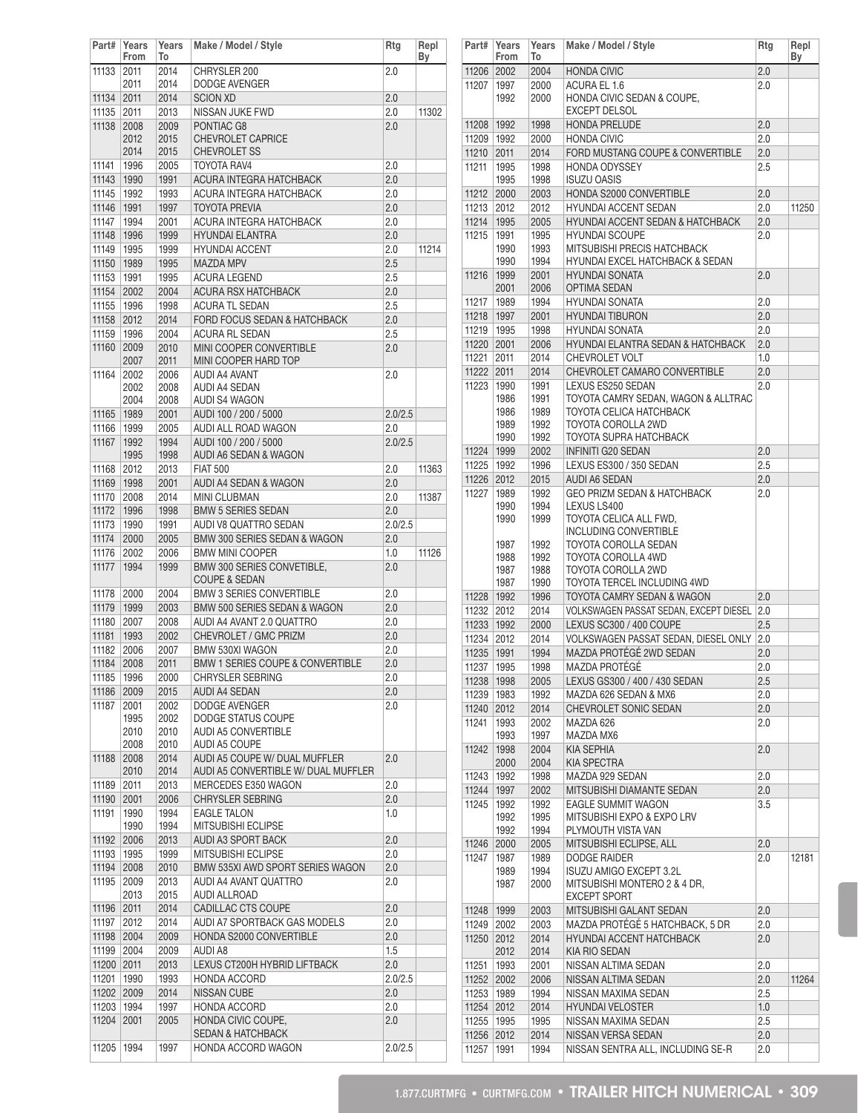| Part#          | Years<br>From | Years<br>To  | Make / Model / Style                                   | Rtg            | Repl<br>Вy | P              |
|----------------|---------------|--------------|--------------------------------------------------------|----------------|------------|----------------|
| 11133          | 2011          | 2014         | CHRYSLER 200                                           | 2.0            |            | 1 <sup>1</sup> |
|                | 2011          | 2014         | <b>DODGE AVENGER</b>                                   |                |            | 11             |
| 11134          | 2011          | 2014         | <b>SCION XD</b>                                        | 2.0            |            |                |
| 11135          | 2011          | 2013         | NISSAN JUKE FWD                                        | 2.0            | 11302      |                |
| 11138          | 2008<br>2012  | 2009<br>2015 | PONTIAC G8<br><b>CHEVROLET CAPRICE</b>                 | 2.0            |            | 11<br>11       |
|                | 2014          | 2015         | <b>CHEVROLET SS</b>                                    |                |            | 11             |
| 11141          | 1996          | 2005         | TOYOTA RAV4                                            | 2.0            |            | 11             |
| 11143          | 1990          | 1991         | ACURA INTEGRA HATCHBACK                                | 2.0            |            |                |
| 11145          | 1992          | 1993         | ACURA INTEGRA HATCHBACK                                | 2.0            |            | 11             |
| 11146          | 1991          | 1997         | <b>TOYOTA PREVIA</b>                                   | 2.0            |            | 11             |
| 11147          | 1994          | 2001         | ACURA INTEGRA HATCHBACK                                | 2.0            |            | 11             |
| 11148          | 1996          | 1999         | <b>HYUNDAI ELANTRA</b>                                 | 2.0            |            | 11             |
| 11149          | 1995          | 1999         | <b>HYUNDAI ACCENT</b>                                  | 2.0            | 11214      |                |
| 11150          | 1989          | 1995         | <b>MAZDA MPV</b>                                       | 2.5            |            | 1 <sup>1</sup> |
| 11153<br>11154 | 1991<br>2002  | 1995<br>2004 | <b>ACURA LEGEND</b><br><b>ACURA RSX HATCHBACK</b>      | 2.5<br>2.0     |            |                |
| 11155          | 1996          | 1998         | <b>ACURA TL SEDAN</b>                                  | 2.5            |            | 11             |
| 11158          | 2012          | 2014         | FORD FOCUS SEDAN & HATCHBACK                           | 2.0            |            | 11             |
| 11159          | 1996          | 2004         | <b>ACURA RL SEDAN</b>                                  | 2.5            |            | 11             |
| 11160          | 2009          | 2010         | MINI COOPER CONVERTIBLE                                | 2.0            |            | 11             |
|                | 2007          | 2011         | MINI COOPER HARD TOP                                   |                |            | 11             |
| 11164          | 2002          | 2006         | AUDI A4 AVANT                                          | 2.0            |            | 11             |
|                | 2002          | 2008         | AUDI A4 SEDAN                                          |                |            | 11             |
|                | 2004          | 2008         | AUDI S4 WAGON                                          | 2.0/2.5        |            |                |
| 11165<br>11166 | 1989<br>1999  | 2001<br>2005 | AUDI 100 / 200 / 5000<br>AUDI ALL ROAD WAGON           | 2.0            |            |                |
| 11167          | 1992          | 1994         | AUDI 100 / 200 / 5000                                  | 2.0/2.5        |            |                |
|                | 1995          | 1998         | AUDI A6 SEDAN & WAGON                                  |                |            | 11             |
| 11168          | 2012          | 2013         | <b>FIAT 500</b>                                        | 2.0            | 11363      | 11             |
| 11169          | 1998          | 2001         | AUDI A4 SEDAN & WAGON                                  | 2.0            |            | 11             |
| 11170          | 2008          | 2014         | <b>MINI CLUBMAN</b>                                    | 2.0            | 11387      | 11             |
| 11172          | 1996          | 1998         | <b>BMW 5 SERIES SEDAN</b>                              | 2.0            |            |                |
| 11173          | 1990          | 1991         | AUDI V8 QUATTRO SEDAN                                  | 2.0/2.5        |            |                |
| 11174          | 2000          | 2005         | BMW 300 SERIES SEDAN & WAGON                           | 2.0            |            |                |
| 11176          | 2002          | 2006         | <b>BMW MINI COOPER</b>                                 | 1.0            | 11126      |                |
| 11177          | 1994          | 1999         | BMW 300 SERIES CONVETIBLE,<br><b>COUPE &amp; SEDAN</b> | 2.0            |            |                |
| 11178          | 2000          | 2004         | <b>BMW 3 SERIES CONVERTIBLE</b>                        | 2.0            |            |                |
| 11179          | 1999          | 2003         | BMW 500 SERIES SEDAN & WAGON                           | 2.0            |            | 11<br>11       |
| 11180          | 2007          | 2008         | AUDI A4 AVANT 2.0 QUATTRO                              | 2.0            |            | 11             |
| 11181          | 1993          | 2002         | CHEVROLET / GMC PRIZM                                  | 2.0            |            | 11             |
| 11182          | 2006          | 2007         | BMW 530XI WAGON                                        | 2.0            |            | 11             |
| 11184          | 2008          | 2011         | <b>BMW 1 SERIES COUPE &amp; CONVERTIBLE</b>            | 2.0            |            | 11             |
| 11185 1996     |               | 2000         | CHRYSLER SEBRING                                       | 2.0            |            | 11             |
| 11186          | 2009          | 2015         | <b>AUDI A4 SEDAN</b>                                   | 2.0            |            | 11             |
| 11187          | 2001          | 2002         | <b>DODGE AVENGER</b>                                   | 2.0            |            | 11             |
|                | 1995<br>2010  | 2002<br>2010 | DODGE STATUS COUPE<br><b>AUDI A5 CONVERTIBLE</b>       |                |            | 11             |
|                | 2008          | 2010         | AUDI A5 COUPE                                          |                |            |                |
| 11188          | 2008          | 2014         | AUDI A5 COUPE W/ DUAL MUFFLER                          | 2.0            |            | 11             |
|                | 2010          | 2014         | AUDI A5 CONVERTIBLE W/ DUAL MUFFLER                    |                |            | 11             |
| 11189          | 2011          | 2013         | MERCEDES E350 WAGON                                    | 2.0            |            | 11             |
| 11190          | 2001          | 2006         | CHRYSLER SEBRING                                       | 2.0            |            | 11             |
| 11191          | 1990          | 1994         | <b>EAGLE TALON</b>                                     | 1.0            |            |                |
|                | 1990          | 1994<br>2013 | <b>MITSUBISHI ECLIPSE</b><br>AUDI A3 SPORT BACK        | 2.0            |            |                |
| 11192<br>11193 | 2006<br>1995  | 1999         | MITSUBISHI ECLIPSE                                     | 2.0            |            | 11             |
| 11194          | 2008          | 2010         | BMW 535XI AWD SPORT SERIES WAGON                       | 2.0            |            | 11             |
| 11195          | 2009          | 2013         | AUDI A4 AVANT QUATTRO                                  | 2.0            |            |                |
|                | 2013          | 2015         | AUDI ALLROAD                                           |                |            |                |
| 11196          | 2011          | 2014         | CADILLAC CTS COUPE                                     | 2.0            |            | 11             |
| 11197          | 2012          | 2014         | AUDI A7 SPORTBACK GAS MODELS                           | 2.0            |            | 11             |
| 11198          | 2004          | 2009         | HONDA S2000 CONVERTIBLE                                | 2.0            |            | 1 <sup>1</sup> |
| 11199          | 2004          | 2009         | AUDI A8                                                | 1.5            |            |                |
| 11200 2011     |               | 2013         | LEXUS CT200H HYBRID LIFTBACK                           | 2.0            |            | 11             |
| 11201<br>11202 | 1990<br>2009  | 1993<br>2014 | HONDA ACCORD<br><b>NISSAN CUBE</b>                     | 2.0/2.5<br>2.0 |            | 1 <sup>1</sup> |
| 11203          | 1994          | 1997         | HONDA ACCORD                                           | 2.0            |            | 11<br>11       |
| 11204          | 2001          | 2005         | HONDA CIVIC COUPE,                                     | 2.0            |            | 11             |
|                |               |              | <b>SEDAN &amp; HATCHBACK</b>                           |                |            | $1^{\circ}$    |
| 11205          | 1994          | 1997         | HONDA ACCORD WAGON                                     | 2.0/2.5        |            | 11             |

| Part#               | Years<br>From | Years<br>To  | Make / Model / Style                                 | Rtg        | Repl<br>Вy |
|---------------------|---------------|--------------|------------------------------------------------------|------------|------------|
| 11206               | 2002          | 2004         | <b>HONDA CIVIC</b>                                   | 2.0        |            |
| 11207               | 1997          | 2000         | ACURA EL 1.6                                         | 2.0        |            |
|                     | 1992          | 2000         | HONDA CIVIC SEDAN & COUPE,                           |            |            |
|                     |               |              | <b>EXCEPT DELSOL</b>                                 |            |            |
| 11208               | 1992          | 1998         | <b>HONDA PRELUDE</b>                                 | 2.0        |            |
| 11209               | 1992          | 2000         | <b>HONDA CIVIC</b>                                   | 2.0        |            |
| 11210               | 2011          | 2014         | FORD MUSTANG COUPE & CONVERTIBLE                     | 2.0        |            |
| 11211               | 1995          | 1998         | <b>HONDA ODYSSEY</b>                                 | 2.5        |            |
|                     | 1995          | 1998         | <b>ISUZU OASIS</b>                                   |            |            |
| 11212               | 2000          | 2003         | HONDA S2000 CONVERTIBLE                              | 2.0        |            |
| 11213               | 2012          | 2012         | HYUNDAI ACCENT SEDAN                                 | 2.0        | 11250      |
| 11214               | 1995          | 2005         | <b>HYUNDAI ACCENT SEDAN &amp; HATCHBACK</b>          | 2.0        |            |
| 11215               | 1991<br>1990  | 1995<br>1993 | <b>HYUNDAI SCOUPE</b><br>MITSUBISHI PRECIS HATCHBACK | 2.0        |            |
|                     | 1990          | 1994         | HYUNDAI EXCEL HATCHBACK & SEDAN                      |            |            |
| 11216               | 1999          | 2001         | <b>HYUNDAI SONATA</b>                                | 2.0        |            |
|                     | 2001          | 2006         | OPTIMA SEDAN                                         |            |            |
| 11217               | 1989          | 1994         | <b>HYUNDAI SONATA</b>                                | 2.0        |            |
| 11218               | 1997          | 2001         | <b>HYUNDAI TIBURON</b>                               | 2.0        |            |
| 11219               | 1995          | 1998         | <b>HYUNDAI SONATA</b>                                | 2.0        |            |
| 11220               | 2001          | 2006         | <b>HYUNDAI ELANTRA SEDAN &amp; HATCHBACK</b>         | 2.0        |            |
| 11221               | 2011          | 2014         | CHEVROLET VOLT                                       | 1.0        |            |
| 11222               | 2011          | 2014         | CHEVROLET CAMARO CONVERTIBLE                         | 2.0        |            |
| 11223               | 1990          | 1991         | LEXUS ES250 SEDAN                                    | 2.0        |            |
|                     | 1986          | 1991         | TOYOTA CAMRY SEDAN, WAGON & ALLTRAC                  |            |            |
|                     | 1986          | 1989         | <b>TOYOTA CELICA HATCHBACK</b>                       |            |            |
|                     | 1989          | 1992         | <b>TOYOTA COROLLA 2WD</b>                            |            |            |
|                     | 1990          | 1992         | TOYOTA SUPRA HATCHBACK                               |            |            |
| 11224               | 1999          | 2002         | <b>INFINITI G20 SEDAN</b>                            | 2.0        |            |
| 11225               | 1992          | 1996         | LEXUS ES300 / 350 SEDAN                              | 2.5        |            |
| 11226               | 2012          | 2015         | <b>AUDI A6 SEDAN</b>                                 | 2.0        |            |
| 11227               | 1989          | 1992         | GEO PRIZM SEDAN & HATCHBACK                          | 2.0        |            |
|                     | 1990          | 1994         | LEXUS LS400                                          |            |            |
|                     | 1990          | 1999         | TOYOTA CELICA ALL FWD.                               |            |            |
|                     |               |              | <b>INCLUDING CONVERTIBLE</b>                         |            |            |
|                     | 1987          | 1992         | TOYOTA COROLLA SEDAN                                 |            |            |
|                     | 1988          | 1992         | TOYOTA COROLLA 4WD                                   |            |            |
|                     | 1987<br>1987  | 1988<br>1990 | TOYOTA COROLLA 2WD<br>TOYOTA TERCEL INCLUDING 4WD    |            |            |
| 11228               | 1992          | 1996         | TOYOTA CAMRY SEDAN & WAGON                           | 2.0        |            |
| 11232               | 2012          | 2014         | VOLKSWAGEN PASSAT SEDAN, EXCEPT DIESEL               | 2.0        |            |
| 11233               | 1992          | 2000         | LEXUS SC300 / 400 COUPE                              | 2.5        |            |
| 11234               | 2012          | 2014         | VOLKSWAGEN PASSAT SEDAN, DIESEL ONLY                 | 2.0        |            |
| 11235               | 1991          | 1994         | MAZDA PROTÉGÉ 2WD SEDAN                              | 2.0        |            |
|                     |               |              | MAZDA PROTÉGÉ                                        |            |            |
| 11237<br>11238 1998 | 1995          | 1998         | 2005   LEXUS GS300 / 400 / 430 SEDAN                 | 2.0<br>2.5 |            |
|                     |               |              |                                                      |            |            |
| 11239               | 1983          | 1992         | MAZDA 626 SEDAN & MX6                                | 2.0        |            |
| 11240               | 2012          | 2014         | CHEVROLET SONIC SEDAN                                | 2.0        |            |
| 11241               | 1993          | 2002         | MAZDA 626                                            | 2.0        |            |
|                     | 1993          | 1997         | MAZDA MX6                                            |            |            |
| 11242               | 1998<br>2000  | 2004<br>2004 | KIA SEPHIA<br>KIA SPECTRA                            | 2.0        |            |
| 11243               | 1992          | 1998         | MAZDA 929 SEDAN                                      | 2.0        |            |
| 11244               | 1997          | 2002         | MITSUBISHI DIAMANTE SEDAN                            | 2.0        |            |
|                     |               | 1992         | EAGLE SUMMIT WAGON                                   |            |            |
| 11245               | 1992<br>1992  | 1995         | MITSUBISHI EXPO & EXPO LRV                           | 3.5        |            |
|                     | 1992          | 1994         | PLYMOUTH VISTA VAN                                   |            |            |
| 11246               | 2000          | 2005         | MITSUBISHI ECLIPSE, ALL                              | 2.0        |            |
| 11247               | 1987          | 1989         | <b>DODGE RAIDER</b>                                  | $2.0\,$    | 12181      |
|                     | 1989          | 1994         | ISUZU AMIGO EXCEPT 3.2L                              |            |            |
|                     | 1987          | 2000         | MITSUBISHI MONTERO 2 & 4 DR,                         |            |            |
|                     |               |              | <b>EXCEPT SPORT</b>                                  |            |            |
| 11248               | 1999          | 2003         | MITSUBISHI GALANT SEDAN                              | 2.0        |            |
| 11249               | 2002          | 2003         | MAZDA PROTÉGÉ 5 HATCHBACK, 5 DR                      | $2.0\,$    |            |
| 11250               | 2012          | 2014         | HYUNDAI ACCENT HATCHBACK                             | 2.0        |            |
|                     | 2012          | 2014         | KIA RIO SEDAN                                        |            |            |
| 11251               | 1993          | 2001         | NISSAN ALTIMA SEDAN                                  | 2.0        |            |
| 11252               | 2002          | 2006         | NISSAN ALTIMA SEDAN                                  | 2.0        | 11264      |
| 11253               | 1989          | 1994         | NISSAN MAXIMA SEDAN                                  | 2.5        |            |
| 11254               | 2012          | 2014         | <b>HYUNDAI VELOSTER</b>                              | 1.0        |            |
| 11255               | 1995          | 1995         | NISSAN MAXIMA SEDAN                                  | 2.5        |            |
| 11256               | 2012          | 2014         | NISSAN VERSA SEDAN                                   | 2.0        |            |
| 11257               | 1991          | 1994         | NISSAN SENTRA ALL, INCLUDING SE-R                    | 2.0        |            |
|                     |               |              |                                                      |            |            |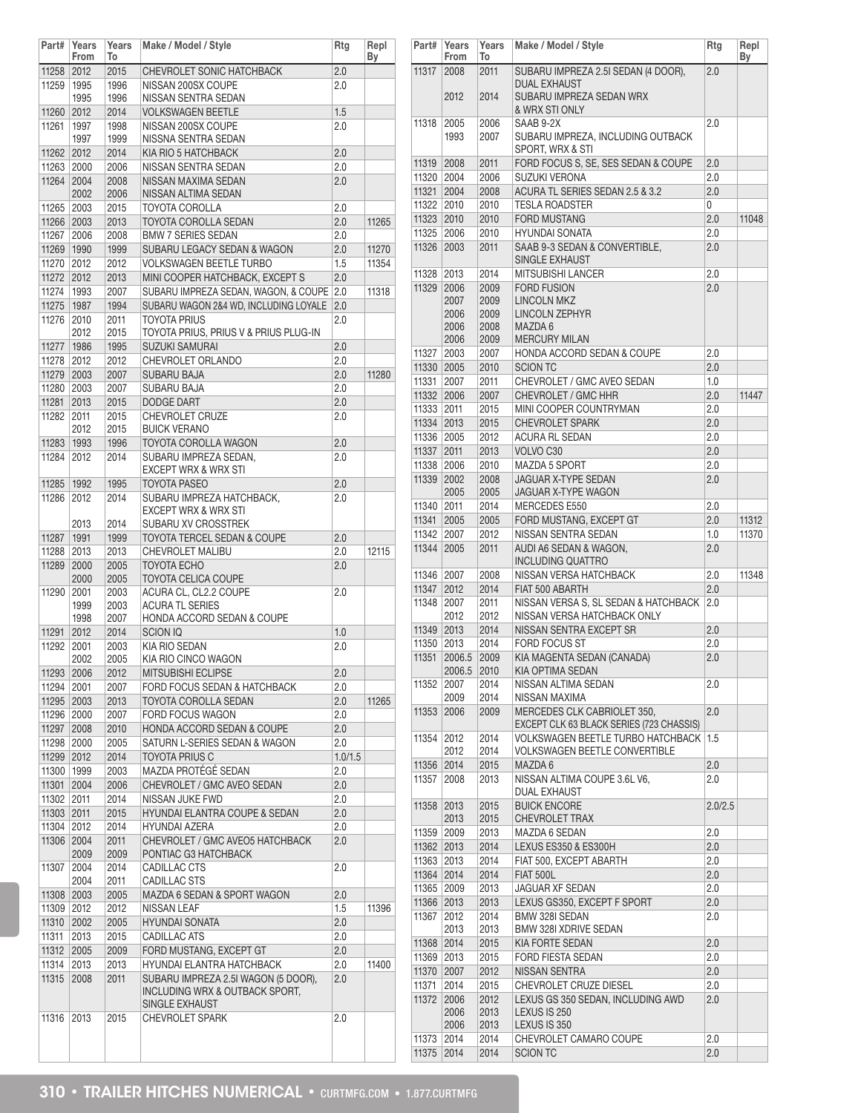| Part#        | Years        | Years        | Make / Model / Style                            | Rtg     | Repl  |
|--------------|--------------|--------------|-------------------------------------------------|---------|-------|
|              | From         | To           |                                                 |         | Вy    |
| 11258 2012   |              | 2015         | CHEVROLET SONIC HATCHBACK<br>NISSAN 200SX COUPE | 2.0     |       |
| 11259        | 1995<br>1995 | 1996<br>1996 | NISSAN SENTRA SEDAN                             | 2.0     |       |
|              |              |              |                                                 |         |       |
| 11260 2012   |              | 2014         | <b>VOLKSWAGEN BEETLE</b>                        | 1.5     |       |
| 11261        | 1997         | 1998         | NISSAN 200SX COUPE                              | 2.0     |       |
|              | 1997         | 1999         | NISSNA SENTRA SEDAN                             |         |       |
| 11262 2012   |              | 2014         | KIA RIO 5 HATCHBACK                             | 2.0     |       |
| 11263 2000   |              | 2006         | NISSAN SENTRA SEDAN                             | 2.0     |       |
| 11264 2004   |              | 2008         | NISSAN MAXIMA SEDAN                             | 2.0     |       |
|              | 2002         | 2006         | NISSAN ALTIMA SEDAN                             |         |       |
| 11265        | 2003         | 2015         | <b>TOYOTA COROLLA</b>                           | 2.0     |       |
| 11266 2003   |              | 2013         | <b>TOYOTA COROLLA SEDAN</b>                     | 2.0     | 11265 |
| 11267        | 2006         | 2008         | <b>BMW 7 SERIES SEDAN</b>                       | 2.0     |       |
| 11269 1990   |              | 1999         | SUBARU LEGACY SEDAN & WAGON                     | 2.0     | 11270 |
| 11270        | 2012         | 2012         | <b>VOLKSWAGEN BEETLE TURBO</b>                  | 1.5     | 11354 |
| 11272 2012   |              | 2013         | MINI COOPER HATCHBACK, EXCEPT S                 | 2.0     |       |
| 11274        | 1993         | 2007         | SUBARU IMPREZA SEDAN, WAGON, & COUPE            | 2.0     | 11318 |
| 11275        | 1987         | 1994         | SUBARU WAGON 2&4 WD, INCLUDING LOYALE           | 2.0     |       |
| 11276        | 2010         | 2011         | <b>TOYOTA PRIUS</b>                             | 2.0     |       |
|              | 2012         | 2015         | TOYOTA PRIUS, PRIUS V & PRIUS PLUG-IN           |         |       |
| 11277        | 1986         | 1995         | <b>SUZUKI SAMURAI</b>                           | 2.0     |       |
|              |              |              |                                                 |         |       |
| 11278        | 2012         | 2012         | CHEVROLET ORLANDO                               | 2.0     |       |
| 11279 2003   |              | 2007         | <b>SUBARU BAJA</b>                              | 2.0     | 11280 |
| 11280 2003   |              | 2007         | SUBARU BAJA                                     | 2.0     |       |
| 11281 2013   |              | 2015         | <b>DODGE DART</b>                               | 2.0     |       |
| 11282        | 2011         | 2015         | <b>CHEVROLET CRUZE</b>                          | 2.0     |       |
|              | 2012         | 2015         | <b>BUICK VERANO</b>                             |         |       |
| 11283        | 1993         | 1996         | TOYOTA COROLLA WAGON                            | 2.0     |       |
| 11284        | 2012         | 2014         | SUBARU IMPREZA SEDAN,                           | 2.0     |       |
|              |              |              | EXCEPT WRX & WRX STI                            |         |       |
| 11285   1992 |              | 1995         | <b>TOYOTA PASEO</b>                             | 2.0     |       |
| 11286        | 2012         | 2014         | SUBARU IMPREZA HATCHBACK,                       | 2.0     |       |
|              |              |              | <b>EXCEPT WRX &amp; WRX STI</b>                 |         |       |
|              | 2013         | 2014         | SUBARU XV CROSSTREK                             |         |       |
| 11287   1991 |              | 1999         | <b>TOYOTA TERCEL SEDAN &amp; COUPE</b>          | 2.0     |       |
| 11288        | 2013         | 2013         | CHEVROLET MALIBU                                | 2.0     | 12115 |
| 11289 2000   |              | 2005         | <b>TOYOTA ECHO</b>                              | 2.0     |       |
|              | 2000         | 2005         | TOYOTA CELICA COUPE                             |         |       |
| 11290        | 2001         | 2003         | ACURA CL, CL2.2 COUPE                           | 2.0     |       |
|              | 1999         | 2003         | <b>ACURA TL SERIES</b>                          |         |       |
|              | 1998         | 2007         | <b>HONDA ACCORD SEDAN &amp; COUPE</b>           |         |       |
| 11291        | 2012         | 2014         | <b>SCION IQ</b>                                 | 1.0     |       |
| 11292        | 2001         | 2003         | KIA RIO SEDAN                                   | 2.0     |       |
|              | 2002         | 2005         | KIA RIO CINCO WAGON                             |         |       |
| 11293 2006   |              |              |                                                 |         |       |
|              |              | 2012         | MITSUBISHI ECLIPSE                              | 2.0     |       |
| 11294 2001   |              | 2007         | FORD FOCUS SEDAN & HATCHBACK                    | 2.0     |       |
| 11295 2003   |              | 2013         | TOYOTA COROLLA SEDAN                            | 2.0     | 11265 |
| 11296 2000   |              | 2007         | <b>FORD FOCUS WAGON</b>                         | 2.0     |       |
| 11297 2008   |              | 2010         | HONDA ACCORD SEDAN & COUPE                      | 2.0     |       |
| 11298 2000   |              | 2005         | SATURN L-SERIES SEDAN & WAGON                   | 2.0     |       |
| 11299 2012   |              | 2014         | <b>TOYOTA PRIUS C</b>                           | 1.0/1.5 |       |
| 11300 1999   |              | 2003         | MAZDA PROTÉGÉ SEDAN                             | 2.0     |       |
| 11301 2004   |              | 2006         | CHEVROLET / GMC AVEO SEDAN                      | 2.0     |       |
| 11302 2011   |              | 2014         | NISSAN JUKE FWD                                 | 2.0     |       |
| 11303 2011   |              | 2015         | HYUNDAI ELANTRA COUPE & SEDAN                   | 2.0     |       |
| 11304 2012   |              | 2014         | <b>HYUNDAI AZERA</b>                            | 2.0     |       |
| 11306 2004   |              | 2011         | CHEVROLET / GMC AVEO5 HATCHBACK                 | 2.0     |       |
|              | 2009         | 2009         | PONTIAC G3 HATCHBACK                            |         |       |
| 11307        | 2004         | 2014         | CADILLAC CTS                                    | 2.0     |       |
|              | 2004         |              |                                                 |         |       |
|              |              | 2011         | CADILLAC STS                                    |         |       |
| 11308 2003   |              | 2005         | MAZDA 6 SEDAN & SPORT WAGON                     | 2.0     |       |
| 11309 2012   |              | 2012         | NISSAN LEAF                                     | 1.5     | 11396 |
| 11310 2002   |              | 2005         | <b>HYUNDAI SONATA</b>                           | 2.0     |       |
| 11311        | 2013         | 2015         | <b>CADILLAC ATS</b>                             | 2.0     |       |
| 11312 2005   |              | 2009         | FORD MUSTANG, EXCEPT GT                         | 2.0     |       |
| 11314        | 2013         | 2013         | HYUNDAI ELANTRA HATCHBACK                       | 2.0     | 11400 |
| 11315        | 2008         | 2011         | SUBARU IMPREZA 2.5I WAGON (5 DOOR),             | 2.0     |       |
|              |              |              | INCLUDING WRX & OUTBACK SPORT,                  |         |       |
|              |              |              | SINGLE EXHAUST                                  |         |       |
| 11316        | 2013         | 2015         | <b>CHEVROLET SPARK</b>                          | 2.0     |       |
|              |              |              |                                                 |         |       |
|              |              |              |                                                 |         |       |
|              |              |              |                                                 |         |       |

| Part#          | Years<br>From        | Years<br>To          | Make / Model / Style                                              | Rtg            | Repl<br>Вy |
|----------------|----------------------|----------------------|-------------------------------------------------------------------|----------------|------------|
| 11317          | 2008                 | 2011                 | SUBARU IMPREZA 2.5I SEDAN (4 DOOR),                               | 2.0            |            |
|                | 2012                 | 2014                 | <b>DUAL EXHAUST</b><br>SUBARU IMPREZA SEDAN WRX<br>& WRX STI ONLY |                |            |
| 11318          | 2005                 | 2006                 | SAAB 9-2X                                                         | 2.0            |            |
|                | 1993                 | 2007                 | SUBARU IMPREZA, INCLUDING OUTBACK<br>SPORT, WRX & STI             |                |            |
| 11319          | 2008                 | 2011                 | FORD FOCUS S, SE, SES SEDAN & COUPE                               | 2.0            |            |
| 11320          | 2004                 | 2006                 | <b>SUZUKI VERONA</b>                                              | 2.0            |            |
| 11321          | 2004                 | 2008                 | ACURA TL SERIES SEDAN 2.5 & 3.2                                   | 2.0            |            |
| 11322          | 2010                 | 2010                 | <b>TESLA ROADSTER</b>                                             | 0              |            |
| 11323          | 2010<br>2006         | 2010                 | <b>FORD MUSTANG</b>                                               | 2.0            | 11048      |
| 11325<br>11326 | 2003                 | 2010<br>2011         | <b>HYUNDAI SONATA</b><br>SAAB 9-3 SEDAN & CONVERTIBLE.            | 2.0<br>2.0     |            |
|                |                      |                      | SINGLE EXHAUST                                                    |                |            |
| 11328          | 2013                 | 2014                 | <b>MITSUBISHI LANCER</b>                                          | 2.0            |            |
| 11329          | 2006                 | 2009                 | <b>FORD FUSION</b>                                                | 2.0            |            |
|                | 2007                 | 2009                 | <b>LINCOLN MKZ</b>                                                |                |            |
|                | 2006                 | 2009                 | LINCOLN ZEPHYR                                                    |                |            |
|                | 2006                 | 2008                 | MAZDA 6                                                           |                |            |
|                | 2006                 | 2009                 | <b>MERCURY MILAN</b>                                              |                |            |
| 11327          | 2003                 | 2007                 | <b>HONDA ACCORD SEDAN &amp; COUPE</b>                             | 2.0            |            |
| 11330 2005     |                      | 2010                 | <b>SCION TC</b>                                                   | 2.0            |            |
| 11331          | 2007                 | 2011                 | CHEVROLET / GMC AVEO SEDAN                                        | 1.0            |            |
| 11332 2006     |                      | 2007                 | CHEVROLET / GMC HHR                                               | 2.0            | 11447      |
| 11333          | 2011                 | 2015                 | MINI COOPER COUNTRYMAN                                            | 2.0            |            |
| 11334 2013     |                      | 2015                 | <b>CHEVROLET SPARK</b><br><b>ACURA RL SEDAN</b>                   | 2.0            |            |
| 11336<br>11337 | 2005<br>2011         | 2012<br>2013         | VOLVO <sub>C30</sub>                                              | 2.0<br>2.0     |            |
| 11338          | 2006                 | 2010                 | <b>MAZDA 5 SPORT</b>                                              | 2.0            |            |
| 11339          | 2002                 | 2008                 | <b>JAGUAR X-TYPE SEDAN</b>                                        | 2.0            |            |
|                | 2005                 | 2005                 | JAGUAR X-TYPE WAGON                                               |                |            |
| 11340          | 2011                 | 2014                 | MERCEDES E550                                                     | 2.0            |            |
| 11341          | 2005                 | 2005                 | FORD MUSTANG, EXCEPT GT                                           | 2.0            | 11312      |
| 11342          | 2007                 | 2012                 | NISSAN SENTRA SEDAN                                               | 1.0            | 11370      |
| 11344          | 2005                 | 2011                 | AUDI A6 SEDAN & WAGON,                                            | 2.0            |            |
|                |                      |                      | <b>INCLUDING QUATTRO</b>                                          |                |            |
| 11346          | 2007                 | 2008                 | NISSAN VERSA HATCHBACK                                            | 2.0            | 11348      |
| 11347          | 2012                 | 2014                 | FIAT 500 ABARTH                                                   | 2.0            |            |
| 11348          | 2007                 | 2011                 | NISSAN VERSA S. SL SEDAN & HATCHBACK                              | 2.0            |            |
|                | 2012                 | 2012                 | NISSAN VERSA HATCHBACK ONLY                                       |                |            |
| 11349 2013     |                      | 2014                 | NISSAN SENTRA EXCEPT SR                                           | 2.0            |            |
| 11350          | 2013                 | 2014                 | <b>FORD FOCUS ST</b>                                              | 2.0            |            |
| 11351          | 2006.5<br>2006.5     | 2009<br>2010         | KIA MAGENTA SEDAN (CANADA)<br>KIA OPTIMA SEDAN                    | 2.0            |            |
| 11352          | 2007<br>2009         | 2014<br>2014         | NISSAN ALTIMA SEDAN<br>NISSAN MAXIMA                              | 2.0            |            |
| 11353          | 2006                 | 2009                 | MERCEDES CLK CABRIOLET 350,                                       | 2.0            |            |
|                |                      |                      | EXCEPT CLK 63 BLACK SERIES (723 CHASSIS)                          |                |            |
| 11354          | 2012                 | 2014                 | <b>VOLKSWAGEN BEETLE TURBO HATCHBACK</b>                          | 1.5            |            |
|                | 2012<br>2014         | 2014                 | VOLKSWAGEN BEETLE CONVERTIBLE<br>MAZDA 6                          |                |            |
| 11356<br>11357 | 2008                 | 2015<br>2013         | NISSAN ALTIMA COUPE 3.6L V6,                                      | 2.0<br>$2.0\,$ |            |
|                |                      |                      | <b>DUAL EXHAUST</b>                                               |                |            |
| 11358          | 2013                 | 2015                 | <b>BUICK ENCORE</b>                                               | 2.0/2.5        |            |
|                | 2013                 | 2015                 | <b>CHEVROLET TRAX</b>                                             |                |            |
| 11359          | 2009                 | 2013                 | MAZDA 6 SEDAN                                                     | 2.0            |            |
| 11362 2013     |                      | 2014                 | LEXUS ES350 & ES300H                                              | 2.0            |            |
| 11363          | 2013                 | 2014                 | FIAT 500, EXCEPT ABARTH                                           | 2.0            |            |
| 11364          | 2014                 | 2014                 | <b>FIAT 500L</b>                                                  | 2.0            |            |
| 11365          | 2009                 | 2013                 | JAGUAR XF SEDAN                                                   | 2.0            |            |
| 11366 2013     |                      | 2013                 | LEXUS GS350, EXCEPT F SPORT                                       | 2.0            |            |
| 11367          | 2012                 | 2014                 | BMW 328I SEDAN                                                    | $2.0\,$        |            |
|                | 2013                 | 2013                 | BMW 328I XDRIVE SEDAN                                             |                |            |
| 11368 2014     |                      | 2015                 | KIA FORTE SEDAN                                                   | 2.0            |            |
| 11369          | 2013                 | 2015                 | FORD FIESTA SEDAN                                                 | 2.0            |            |
| 11370          | 2007                 | 2012                 | NISSAN SENTRA                                                     | 2.0            |            |
| 11371          | 2014                 | 2015                 | CHEVROLET CRUZE DIESEL                                            | 2.0            |            |
| 11372          | 2006<br>2006<br>2006 | 2012<br>2013<br>2013 | LEXUS GS 350 SEDAN, INCLUDING AWD<br>LEXUS IS 250<br>LEXUS IS 350 | 2.0            |            |
| 11373          | 2014                 | 2014                 | CHEVROLET CAMARO COUPE                                            | 2.0            |            |
| 11375          | 2014                 | 2014                 | <b>SCION TC</b>                                                   | 2.0            |            |
|                |                      |                      |                                                                   |                |            |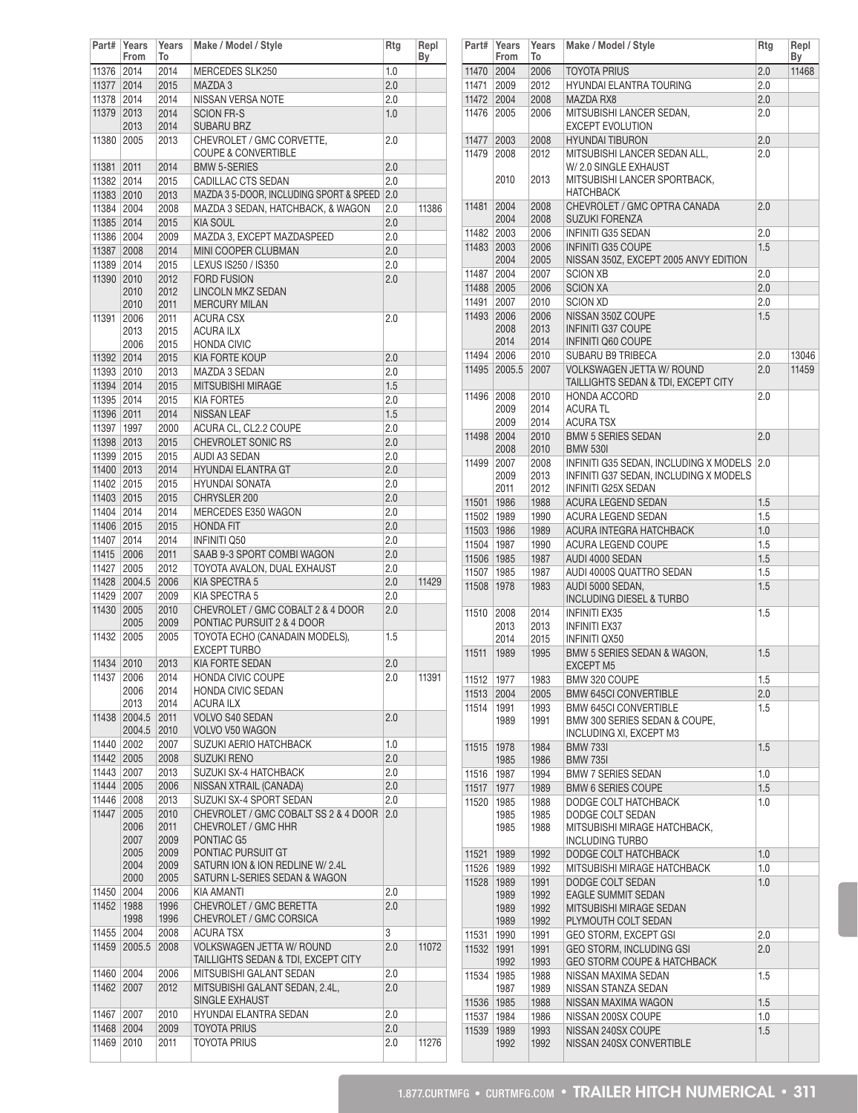| Part#      | Years<br>From | Years<br>To  | Make / Model / Style                    | Rtg | Repl<br>Вy |
|------------|---------------|--------------|-----------------------------------------|-----|------------|
| 11376      | 2014          | 2014         | MERCEDES SLK250                         | 1.0 |            |
| 11377 2014 |               | 2015         | MAZDA 3                                 | 2.0 |            |
| 11378      | 2014          | 2014         | NISSAN VERSA NOTE                       | 2.0 |            |
| 11379      | 2013          | 2014         | <b>SCION FR-S</b>                       | 1.0 |            |
|            | 2013          | 2014         | <b>SUBARU BRZ</b>                       |     |            |
| 11380      | 2005          | 2013         | CHEVROLET / GMC CORVETTE,               | 2.0 |            |
|            |               |              | <b>COUPE &amp; CONVERTIBLE</b>          |     |            |
| 11381      | 2011          | 2014         | <b>BMW 5-SERIES</b>                     | 2.0 |            |
| 11382 2014 |               |              | CADILLAC CTS SEDAN                      | 2.0 |            |
|            | 2010          | 2015<br>2013 |                                         |     |            |
| 11383      |               |              | MAZDA 3 5-DOOR, INCLUDING SPORT & SPEED | 2.0 |            |
| 11384      | 2004          | 2008         | MAZDA 3 SEDAN, HATCHBACK, & WAGON       | 2.0 | 11386      |
| 11385 2014 |               | 2015         | <b>KIA SOUL</b>                         | 2.0 |            |
| 11386      | 2004          | 2009         | MAZDA 3, EXCEPT MAZDASPEED              | 2.0 |            |
| 11387      | 2008          | 2014         | MINI COOPER CLUBMAN                     | 2.0 |            |
| 11389      | 2014          | 2015         | LEXUS IS250 / IS350                     | 2.0 |            |
| 11390      | 2010          | 2012         | <b>FORD FUSION</b>                      | 2.0 |            |
|            | 2010          | 2012         | <b>LINCOLN MKZ SEDAN</b>                |     |            |
|            | 2010          | 2011         | <b>MERCURY MILAN</b>                    |     |            |
| 11391      | 2006          | 2011         | <b>ACURA CSX</b>                        | 2.0 |            |
|            | 2013          | 2015         | <b>ACURA ILX</b>                        |     |            |
|            | 2006          | 2015         | <b>HONDA CIVIC</b>                      |     |            |
| 11392 2014 |               | 2015         | KIA FORTE KOUP                          | 2.0 |            |
| 11393 2010 |               | 2013         | MAZDA 3 SEDAN                           | 2.0 |            |
| 11394 2014 |               | 2015         | MITSUBISHI MIRAGE                       | 1.5 |            |
| 11395      | 2014          | 2015         | <b>KIA FORTE5</b>                       | 2.0 |            |
| 11396 2011 |               | 2014         | NISSAN LEAF                             | 1.5 |            |
| 11397      | 1997          | 2000         | ACURA CL. CL2.2 COUPE                   | 2.0 |            |
| 11398 2013 |               | 2015         | CHEVROLET SONIC RS                      | 2.0 |            |
| 11399      | 2015          | 2015         | AUDI A3 SEDAN                           | 2.0 |            |
| 11400 2013 |               | 2014         | <b>HYUNDAI ELANTRA GT</b>               | 2.0 |            |
| 11402      | 2015          | 2015         | <b>HYUNDAI SONATA</b>                   | 2.0 |            |
| 11403 2015 |               | 2015         | CHRYSLER 200                            | 2.0 |            |
| 11404      | 2014          | 2014         | MERCEDES E350 WAGON                     | 2.0 |            |
| 11406 2015 |               | 2015         | <b>HONDA FIT</b>                        | 2.0 |            |
| 11407      | 2014          | 2014         | <b>INFINITI Q50</b>                     | 2.0 |            |
| 11415      | 2006          | 2011         | SAAB 9-3 SPORT COMBI WAGON              | 2.0 |            |
| 11427      | 2005          | 2012         | TOYOTA AVALON, DUAL EXHAUST             | 2.0 |            |
| 11428      | 2004.5        | 2006         | KIA SPECTRA 5                           | 2.0 | 11429      |
| 11429      | 2007          | 2009         | KIA SPECTRA 5                           | 2.0 |            |
| 11430      | 2005          | 2010         | CHEVROLET / GMC COBALT 2 & 4 DOOR       | 2.0 |            |
|            | 2005          | 2009         | PONTIAC PURSUIT 2 & 4 DOOR              |     |            |
| 11432      | 2005          | 2005         | TOYOTA ECHO (CANADAIN MODELS),          | 1.5 |            |
|            |               |              | <b>EXCEPT TURBO</b>                     |     |            |
| 11434      | 2010          | 2013         | <b>KIA FORTE SEDAN</b>                  | 2.0 |            |
| 11437 2006 |               | 2014         | <b>HONDA CIVIC COUPE</b>                | 2.0 | 11391      |
|            | 2006          | 2014         | HONDA CIVIC SEDAN                       |     |            |
|            | 2013          | 2014         | <b>ACURA ILX</b>                        |     |            |
| 11438      | 2004.5        | 2011         | <b>VOLVO S40 SEDAN</b>                  | 2.0 |            |
|            | 2004.5        | 2010         | VOLVO V50 WAGON                         |     |            |
| 11440      | 2002          | 2007         | SUZUKI AERIO HATCHBACK                  | 1.0 |            |
| 11442 2005 |               | 2008         | <b>SUZUKI RENO</b>                      | 2.0 |            |
| 11443      | 2007          | 2013         | SUZUKI SX-4 HATCHBACK                   | 2.0 |            |
| 11444      | 2005          | 2006         | NISSAN XTRAIL (CANADA)                  | 2.0 |            |
| 11446      | 2008          | 2013         | SUZUKI SX-4 SPORT SEDAN                 | 2.0 |            |
| 11447      | 2005          | 2010         | CHEVROLET / GMC COBALT SS 2 & 4 DOOR    | 2.0 |            |
|            | 2006          | 2011         | CHEVROLET / GMC HHR                     |     |            |
|            | 2007          | 2009         | PONTIAC G5                              |     |            |
|            | 2005          | 2009         | PONTIAC PURSUIT GT                      |     |            |
|            | 2004          | 2009         | SATURN ION & ION REDLINE W/ 2.4L        |     |            |
|            | 2000          | 2005         | SATURN L-SERIES SEDAN & WAGON           |     |            |
| 11450      | 2004          | 2006         | KIA AMANTI                              | 2.0 |            |
| 11452      | 1988          | 1996         | CHEVROLET / GMC BERETTA                 | 2.0 |            |
|            | 1998          | 1996         | CHEVROLET / GMC CORSICA                 |     |            |
| 11455      | 2004          | 2008         | ACURA TSX                               | 3   |            |
| 11459      | 2005.5        | 2008         | VOLKSWAGEN JETTA W/ ROUND               | 2.0 | 11072      |
|            |               |              | TAILLIGHTS SEDAN & TDI, EXCEPT CITY     |     |            |
| 11460      | 2004          | 2006         | MITSUBISHI GALANT SEDAN                 | 2.0 |            |
| 11462      | 2007          | 2012         | MITSUBISHI GALANT SEDAN, 2.4L,          | 2.0 |            |
|            |               |              | SINGLE EXHAUST                          |     |            |
| 11467      | 2007          | 2010         | HYUNDAI ELANTRA SEDAN                   | 2.0 |            |
| 11468 2004 |               | 2009         | <b>TOYOTA PRIUS</b>                     | 2.0 |            |
| 11469      | 2010          | 2011         | <b>TOYOTA PRIUS</b>                     | 2.0 | 11276      |
|            |               |              |                                         |     |            |

|              | Part# Years<br>From          | Years<br>To                  | Make / Model / Style                                                                            | <b>Rtg</b> | Repl<br>Вy |
|--------------|------------------------------|------------------------------|-------------------------------------------------------------------------------------------------|------------|------------|
| 11470 2004   |                              | 2006                         | <b>TOYOTA PRIUS</b>                                                                             | 2.0        | 11468      |
| 11471        | 2009                         | 2012                         | HYUNDAI ELANTRA TOURING                                                                         | 2.0        |            |
| 11472 2004   |                              | 2008                         | MAZDA RX8                                                                                       | 2.0        |            |
| 11476        | 2005                         | 2006                         | MITSUBISHI LANCER SEDAN,                                                                        | $2.0\,$    |            |
|              |                              |                              | <b>EXCEPT EVOLUTION</b>                                                                         |            |            |
| 11477        | 2003                         | 2008                         | <b>HYUNDAI TIBURON</b>                                                                          | 2.0        |            |
| 11479        | 2008                         | 2012                         | MITSUBISHI LANCER SEDAN ALL,                                                                    | 2.0        |            |
|              | 2010                         | 2013                         | W/2.0 SINGLE EXHAUST<br>MITSUBISHI LANCER SPORTBACK.<br><b>HATCHBACK</b>                        |            |            |
| 11481        | 2004<br>2004                 | 2008<br>2008                 | CHEVROLET / GMC OPTRA CANADA<br><b>SUZUKI FORENZA</b>                                           | 2.0        |            |
| 11482        | 2003                         | 2006                         | <b>INFINITI G35 SEDAN</b>                                                                       | 2.0        |            |
| 11483 2003   |                              | 2006                         | <b>INFINITI G35 COUPE</b>                                                                       | 1.5        |            |
|              | 2004                         | 2005                         | NISSAN 350Z, EXCEPT 2005 ANVY EDITION                                                           |            |            |
| 11487        | 2004                         | 2007                         | <b>SCION XB</b>                                                                                 | 2.0        |            |
| 11488 2005   |                              | 2006                         | <b>SCION XA</b>                                                                                 | 2.0        |            |
|              |                              |                              |                                                                                                 |            |            |
| 11491        | 2007                         | 2010                         | <b>SCION XD</b>                                                                                 | 2.0        |            |
| 11493 2006   |                              | 2006                         | NISSAN 350Z COUPE                                                                               | 1.5        |            |
|              | 2008                         | 2013                         | <b>INFINITI G37 COUPE</b>                                                                       |            |            |
|              | 2014                         | 2014                         | <b>INFINITI Q60 COUPE</b>                                                                       |            |            |
| 11494 2006   |                              | 2010                         | SUBARU B9 TRIBECA                                                                               | 2.0        | 13046      |
|              | 11495 2005.5                 | 2007                         | <b>VOLKSWAGEN JETTA W/ ROUND</b>                                                                | 2.0        | 11459      |
|              |                              |                              | TAILLIGHTS SEDAN & TDI, EXCEPT CITY                                                             |            |            |
| 11496 2008   |                              | 2010                         | HONDA ACCORD                                                                                    | 2.0        |            |
|              | 2009                         | 2014                         | <b>ACURA TL</b>                                                                                 |            |            |
|              | 2009                         | 2014                         | <b>ACURA TSX</b>                                                                                |            |            |
| 11498 2004   |                              | 2010                         | <b>BMW 5 SERIES SEDAN</b>                                                                       | 2.0        |            |
|              | 2008                         | 2010                         | <b>BMW 530I</b>                                                                                 |            |            |
| 11499 2007   |                              | 2008                         | INFINITI G35 SEDAN, INCLUDING X MODELS                                                          | 2.0        |            |
|              | 2009                         | 2013                         | INFINITI G37 SEDAN, INCLUDING X MODELS                                                          |            |            |
|              | 2011                         | 2012                         | <b>INFINITI G25X SEDAN</b>                                                                      |            |            |
| 11501 1986   |                              | 1988                         | ACURA LEGEND SEDAN                                                                              | 1.5        |            |
| 11502        | 1989                         | 1990                         | ACURA LEGEND SEDAN                                                                              | 1.5        |            |
| 11503 1986   |                              | 1989                         | ACURA INTEGRA HATCHBACK                                                                         | 1.0        |            |
| 11504 1987   |                              | 1990                         | ACURA LEGEND COUPE                                                                              | 1.5        |            |
| 11506 1985   |                              | 1987                         | AUDI 4000 SEDAN                                                                                 | 1.5        |            |
| 11507        | 1985                         | 1987                         | AUDI 4000S QUATTRO SEDAN                                                                        | 1.5        |            |
| 11508 1978   |                              | 1983                         | AUDI 5000 SEDAN.                                                                                | 1.5        |            |
|              |                              |                              | <b>INCLUDING DIESEL &amp; TURBO</b>                                                             |            |            |
| 11510        | 2008                         | 2014                         | <b>INFINITI EX35</b>                                                                            | 1.5        |            |
|              | 2013                         | 2013                         | <b>INFINITI EX37</b>                                                                            |            |            |
|              | 2014                         | 2015                         | <b>INFINITI QX50</b>                                                                            |            |            |
| 11511        | 1989                         | 1995                         | BMW 5 SERIES SEDAN & WAGON,                                                                     | 1.5        |            |
|              |                              |                              | <b>EXCEPT M5</b>                                                                                |            |            |
| 11512        | 1977                         | 1983                         | BMW 320 COUPE                                                                                   | 1.5        |            |
| 11513        | 2004                         | 2005                         | <b>BMW 645CI CONVERTIBLE</b>                                                                    | 2.0        |            |
| 11514        | 1991                         | 1993                         | <b>BMW 645CI CONVERTIBLE</b>                                                                    | 1.5        |            |
|              | 1989                         | 1991                         | BMW 300 SERIES SEDAN & COUPE,<br>INCLUDING XI, EXCEPT M3                                        |            |            |
| 11515        | 1978                         | 1984                         | <b>BMW 7331</b>                                                                                 | 1.5        |            |
|              | 1985                         | 1986                         | <b>BMW 735I</b>                                                                                 |            |            |
| 11516        | 1987                         | 1994                         | <b>BMW 7 SERIES SEDAN</b>                                                                       | 1.0        |            |
| 11517        | 1977                         | 1989                         | <b>BMW 6 SERIES COUPE</b>                                                                       | 1.5        |            |
| 11520        | 1985                         | 1988                         | DODGE COLT HATCHBACK                                                                            | 1.0        |            |
|              | 1985                         | 1985                         | DODGE COLT SEDAN                                                                                |            |            |
|              | 1985                         | 1988                         | MITSUBISHI MIRAGE HATCHBACK,<br>INCLUDING TURBO                                                 |            |            |
| 11521        | 1989                         | 1992                         | DODGE COLT HATCHBACK                                                                            | 1.0        |            |
|              |                              |                              |                                                                                                 |            |            |
| 11526   1989 |                              | 1992                         | MITSUBISHI MIRAGE HATCHBACK                                                                     | 1.0        |            |
| 11528        | 1989<br>1989<br>1989<br>1989 | 1991<br>1992<br>1992<br>1992 | DODGE COLT SEDAN<br><b>EAGLE SUMMIT SEDAN</b><br>MITSUBISHI MIRAGE SEDAN<br>PLYMOUTH COLT SEDAN | 1.0        |            |
| 11531        | 1990                         | 1991                         | GEO STORM, EXCEPT GSI                                                                           | 2.0        |            |
| 11532        | 1991                         | 1991                         | GEO STORM, INCLUDING GSI                                                                        | 2.0        |            |
|              | 1992                         | 1993                         | GEO STORM COUPE & HATCHBACK                                                                     |            |            |
| 11534        | 1985<br>1987                 | 1988<br>1989                 | NISSAN MAXIMA SEDAN<br>NISSAN STANZA SEDAN                                                      | 1.5        |            |
| 11536 1985   |                              | 1988                         | NISSAN MAXIMA WAGON                                                                             | 1.5        |            |
| 11537        | 1984                         | 1986                         | NISSAN 200SX COUPE                                                                              | 1.0        |            |
| 11539        | 1989                         | 1993                         | NISSAN 240SX COUPE                                                                              | 1.5        |            |
|              | 1992                         | 1992                         | NISSAN 240SX CONVERTIBLE                                                                        |            |            |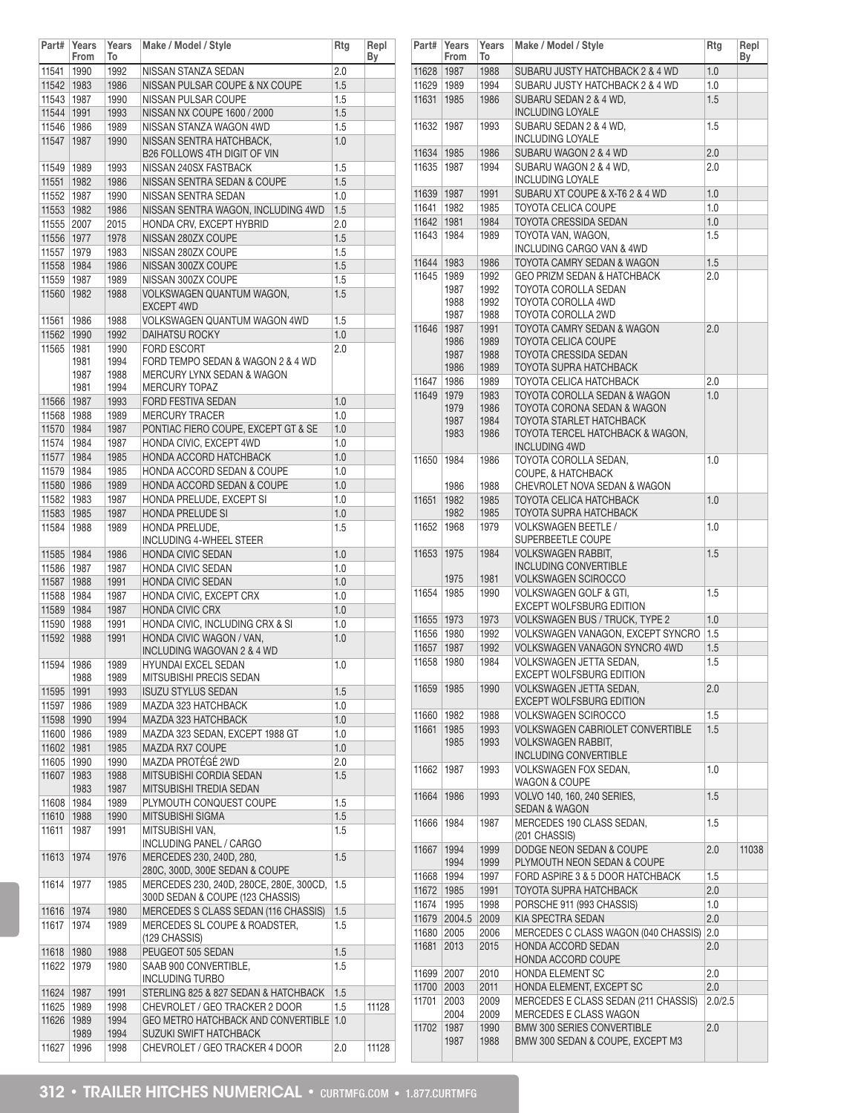|              | Part# Years<br>From | Years<br>To | Make / Model / Style                       | Rtg | Repl<br>Вy |
|--------------|---------------------|-------------|--------------------------------------------|-----|------------|
| 11541        | 1990                | 1992        | NISSAN STANZA SEDAN                        | 2.0 |            |
| 11542 1983   |                     | 1986        | NISSAN PULSAR COUPE & NX COUPE             | 1.5 |            |
| 11543 1987   |                     | 1990        | NISSAN PULSAR COUPE                        | 1.5 |            |
| 11544 1991   |                     | 1993        | NISSAN NX COUPE 1600 / 2000                | 1.5 |            |
| 11546 1986   |                     | 1989        | NISSAN STANZA WAGON 4WD                    | 1.5 |            |
| 11547        | 1987                | 1990        | NISSAN SENTRA HATCHBACK,                   | 1.0 |            |
|              |                     |             | B26 FOLLOWS 4TH DIGIT OF VIN               |     |            |
|              |                     |             |                                            |     |            |
| 11549        | 1989                | 1993        | NISSAN 240SX FASTBACK                      | 1.5 |            |
| 11551        | 1982                | 1986        | NISSAN SENTRA SEDAN & COUPE                | 1.5 |            |
| 11552        | 1987                | 1990        | NISSAN SENTRA SEDAN                        | 1.0 |            |
| 11553 1982   |                     | 1986        | NISSAN SENTRA WAGON, INCLUDING 4WD         | 1.5 |            |
| 11555 2007   |                     | 2015        | HONDA CRV. EXCEPT HYBRID                   | 2.0 |            |
| 11556 1977   |                     | 1978        | NISSAN 280ZX COUPE                         | 1.5 |            |
| 11557 1979   |                     | 1983        | NISSAN 280ZX COUPE                         | 1.5 |            |
| 11558 1984   |                     | 1986        | NISSAN 300ZX COUPE                         | 1.5 |            |
| 11559   1987 |                     | 1989        | NISSAN 300ZX COUPE                         | 1.5 |            |
| 11560        | 1982                | 1988        | VOLKSWAGEN QUANTUM WAGON,                  | 1.5 |            |
|              |                     |             | <b>EXCEPT 4WD</b>                          |     |            |
| 11561        | 1986                | 1988        | VOLKSWAGEN QUANTUM WAGON 4WD               | 1.5 |            |
|              |                     |             |                                            |     |            |
| 11562        | 1990                | 1992        | <b>DAIHATSU ROCKY</b>                      | 1.0 |            |
| 11565        | 1981                | 1990        | <b>FORD ESCORT</b>                         | 2.0 |            |
|              | 1981                | 1994        | FORD TEMPO SEDAN & WAGON 2 & 4 WD          |     |            |
|              | 1987                | 1988        | <b>MERCURY LYNX SEDAN &amp; WAGON</b>      |     |            |
|              | 1981                | 1994        | <b>MERCURY TOPAZ</b>                       |     |            |
| 11566 1987   |                     | 1993        | <b>FORD FESTIVA SEDAN</b>                  | 1.0 |            |
| 11568 1988   |                     | 1989        | <b>MERCURY TRACER</b>                      | 1.0 |            |
| 11570        | 1984                | 1987        | PONTIAC FIERO COUPE, EXCEPT GT & SE        | 1.0 |            |
| 11574        | 1984                | 1987        | HONDA CIVIC, EXCEPT 4WD                    | 1.0 |            |
| 11577 1984   |                     | 1985        | HONDA ACCORD HATCHBACK                     | 1.0 |            |
| 11579        | 1984                | 1985        | HONDA ACCORD SEDAN & COUPE                 | 1.0 |            |
| 11580 1986   |                     | 1989        | HONDA ACCORD SEDAN & COUPE                 | 1.0 |            |
|              |                     |             |                                            | 1.0 |            |
| 11582        | 1983                | 1987        | HONDA PRELUDE, EXCEPT SI                   |     |            |
| 11583 1985   |                     | 1987        | HONDA PRELUDE SI                           | 1.0 |            |
| 11584        | 1988                | 1989        | HONDA PRELUDE,                             | 1.5 |            |
|              |                     |             | <b>INCLUDING 4-WHEEL STEER</b>             |     |            |
| 11585   1984 |                     | 1986        | <b>HONDA CIVIC SEDAN</b>                   | 1.0 |            |
| 11586   1987 |                     | 1987        | HONDA CIVIC SEDAN                          | 1.0 |            |
| 11587        | 1988                | 1991        | <b>HONDA CIVIC SEDAN</b>                   | 1.0 |            |
| 11588        | 1984                | 1987        | HONDA CIVIC, EXCEPT CRX                    | 1.0 |            |
| 11589 1984   |                     | 1987        | <b>HONDA CIVIC CRX</b>                     | 1.0 |            |
| 11590        | 1988                | 1991        | HONDA CIVIC, INCLUDING CRX & SI            | 1.0 |            |
| 11592        |                     |             | HONDA CIVIC WAGON / VAN,                   |     |            |
|              | 1988                | 1991        |                                            | 1.0 |            |
|              |                     |             | INCLUDING WAGOVAN 2 & 4 WD                 |     |            |
| 11594        | 1986                | 1989        | <b>HYUNDAI EXCEL SEDAN</b>                 | 1.0 |            |
|              | 1988                | 1989        | MITSUBISHI PRECIS SEDAN                    |     |            |
| 11595        | 1991                | 1993        | <b>ISUZU STYLUS SEDAN</b>                  | 1.5 |            |
| 11597        | 1986                | 1989        | MAZDA 323 HATCHBACK                        | 1.0 |            |
| 11598        | 1990                | 1994        | MAZDA 323 HATCHBACK                        | 1.0 |            |
| 11600        | 1986                | 1989        | MAZDA 323 SEDAN, EXCEPT 1988 GT            | 1.0 |            |
| 11602 1981   |                     | 1985        | <b>MAZDA RX7 COUPE</b>                     | 1.0 |            |
| 11605        | 1990                | 1990        | MAZDA PROTÉGÉ 2WD                          | 2.0 |            |
| 11607        | 1983                | 1988        | MITSUBISHI CORDIA SEDAN                    | 1.5 |            |
|              | 1983                | 1987        | MITSUBISHI TREDIA SEDAN                    |     |            |
| 11608        | 1984                | 1989        | PLYMOUTH CONQUEST COUPE                    | 1.5 |            |
|              |                     |             |                                            |     |            |
| 11610        | 1988                | 1990        | MITSUBISHI SIGMA                           | 1.5 |            |
| 11611        | 1987                | 1991        | MITSUBISHI VAN.                            | 1.5 |            |
|              |                     |             | INCLUDING PANEL / CARGO                    |     |            |
| 11613        | 1974                | 1976        | MERCEDES 230, 240D, 280,                   | 1.5 |            |
|              |                     |             | 280C, 300D, 300E SEDAN & COUPE             |     |            |
| 11614        | 1977                | 1985        | MERCEDES 230, 240D, 280CE, 280E, 300CD,    | 1.5 |            |
|              |                     |             | 300D SEDAN & COUPE (123 CHASSIS)           |     |            |
| 11616        | 1974                | 1980        | MERCEDES S CLASS SEDAN (116 CHASSIS)       | 1.5 |            |
| 11617        | 1974                | 1989        | MERCEDES SL COUPE & ROADSTER,              | 1.5 |            |
|              |                     |             | (129 CHASSIS)                              |     |            |
| 11618        | 1980                | 1988        | PEUGEOT 505 SEDAN                          | 1.5 |            |
| 11622        | 1979                | 1980        | SAAB 900 CONVERTIBLE,                      | 1.5 |            |
|              |                     |             | <b>INCLUDING TURBO</b>                     |     |            |
|              |                     |             |                                            |     |            |
| 11624        | 1987                | 1991        | STERLING 825 & 827 SEDAN & HATCHBACK       | 1.5 |            |
| 11625        | 1989                | 1998        | CHEVROLET / GEO TRACKER 2 DOOR             | 1.5 | 11128      |
| 11626        | 1989                | 1994        | <b>GEO METRO HATCHBACK AND CONVERTIBLE</b> | 1.0 |            |
|              | 1989                | 1994        | <b>SUZUKI SWIFT HATCHBACK</b>              |     |            |
| 11627        | 1996                | 1998        | CHEVROLET / GEO TRACKER 4 DOOR             | 2.0 | 11128      |

| Part#          | Years<br>From | Years<br>To  | Make / Model / Style                                           | Rtg        | Repl<br>Вy |
|----------------|---------------|--------------|----------------------------------------------------------------|------------|------------|
| 11628          | 1987          | 1988         | SUBARU JUSTY HATCHBACK 2 & 4 WD                                | 1.0        |            |
| 11629          | 1989          | 1994         | SUBARU JUSTY HATCHBACK 2 & 4 WD                                | 1.0        |            |
| 11631          | 1985          | 1986         | SUBARU SEDAN 2 & 4 WD.<br><b>INCLUDING LOYALE</b>              | 1.5        |            |
| 11632          | 1987          | 1993         | SUBARU SEDAN 2 & 4 WD.<br><b>INCLUDING LOYALE</b>              | 1.5        |            |
| 11634          | 1985          | 1986         | SUBARU WAGON 2 & 4 WD                                          | 2.0        |            |
| 11635          | 1987          | 1994         | SUBARU WAGON 2 & 4 WD.<br>INCLUDING LOYALE                     | 2.0        |            |
| 11639          | 1987          | 1991         | SUBARU XT COUPE & X-T6 2 & 4 WD                                | 1.0        |            |
| 11641          | 1982          | 1985         | <b>TOYOTA CELICA COUPE</b>                                     | 1.0        |            |
| 11642          | 1981          | 1984         | <b>TOYOTA CRESSIDA SEDAN</b>                                   | 1.0        |            |
| 11643          | 1984          | 1989         | TOYOTA VAN, WAGON,<br>INCLUDING CARGO VAN & 4WD                | 1.5        |            |
| 11644          | 1983          | 1986         | TOYOTA CAMRY SEDAN & WAGON                                     | 1.5        |            |
| 11645          | 1989          | 1992         | GEO PRIZM SEDAN & HATCHBACK                                    | 2.0        |            |
|                | 1987          | 1992         | TOYOTA COROLLA SEDAN                                           |            |            |
|                | 1988          | 1992         | TOYOTA COROLLA 4WD                                             |            |            |
|                | 1987          | 1988         | TOYOTA COROLLA 2WD                                             |            |            |
| 11646          | 1987          | 1991         | <b>TOYOTA CAMRY SEDAN &amp; WAGON</b>                          | 2.0        |            |
|                | 1986          | 1989         | <b>TOYOTA CELICA COUPE</b>                                     |            |            |
|                | 1987          | 1988         | <b>TOYOTA CRESSIDA SEDAN</b>                                   |            |            |
|                | 1986          | 1989<br>1989 | TOYOTA SUPRA HATCHBACK                                         |            |            |
| 11647<br>11649 | 1986<br>1979  | 1983         | TOYOTA CELICA HATCHBACK<br>TOYOTA COROLLA SEDAN & WAGON        | 2.0<br>1.0 |            |
|                | 1979          | 1986         | TOYOTA CORONA SEDAN & WAGON                                    |            |            |
|                | 1987          | 1984         | <b>TOYOTA STARLET HATCHBACK</b>                                |            |            |
|                | 1983          | 1986         | TOYOTA TERCEL HATCHBACK & WAGON,                               |            |            |
|                |               |              | <b>INCLUDING 4WD</b>                                           |            |            |
| 11650          | 1984          | 1986         | TOYOTA COROLLA SEDAN,                                          | 1.0        |            |
|                |               |              | COUPE, & HATCHBACK                                             |            |            |
|                | 1986          | 1988         | CHEVROLET NOVA SEDAN & WAGON                                   |            |            |
| 11651          | 1982          | 1985         | TOYOTA CELICA HATCHBACK                                        | 1.0        |            |
|                | 1982          | 1985         | TOYOTA SUPRA HATCHBACK                                         |            |            |
| 11652          | 1968          | 1979         | <b>VOLKSWAGEN BEETLE /</b><br>SUPERBEETLE COUPE                | 1.0        |            |
| 11653          | 1975          | 1984         | <b>VOLKSWAGEN RABBIT,</b>                                      | 1.5        |            |
|                |               |              | <b>INCLUDING CONVERTIBLE</b>                                   |            |            |
|                | 1975          | 1981         | VOLKSWAGEN SCIROCCO                                            |            |            |
| 11654          | 1985          | 1990         | <b>VOLKSWAGEN GOLF &amp; GTI,</b>                              | 1.5        |            |
|                |               |              | EXCEPT WOLFSBURG EDITION                                       |            |            |
| 11655          | 1973          | 1973         | VOLKSWAGEN BUS / TRUCK, TYPE 2                                 | 1.0        |            |
| 11656          | 1980          | 1992         | VOLKSWAGEN VANAGON, EXCEPT SYNCRO                              | 1.5        |            |
| 11657          | 1987          | 1992         | VOLKSWAGEN VANAGON SYNCRO 4WD                                  | 1.5        |            |
| 11658          | 1980          | 1984         | VOLKSWAGEN JETTA SEDAN,<br>EXCEPT WOLFSBURG EDITION            | 1.5        |            |
| 11659          | 1985          | 1990         | VOLKSWAGEN JETTA SEDAN,<br><b>EXCEPT WOLFSBURG EDITION</b>     | 2.0        |            |
| 11660          | 1982          | 1988         | <b>VOLKSWAGEN SCIROCCO</b>                                     | 1.5        |            |
| 11661          | 1985          | 1993         | <b>VOLKSWAGEN CABRIOLET CONVERTIBLE</b>                        | 1.5        |            |
|                | 1985          | 1993         | <b>VOLKSWAGEN RABBIT,</b>                                      |            |            |
|                |               |              | INCLUDING CONVERTIBLE                                          |            |            |
| 11662          | 1987          | 1993         | <b>VOLKSWAGEN FOX SEDAN.</b><br><b>WAGON &amp; COUPE</b>       | 1.0        |            |
| 11664          | 1986          | 1993         | VOLVO 140, 160, 240 SERIES,<br><b>SEDAN &amp; WAGON</b>        | 1.5        |            |
| 11666          | 1984          | 1987         | MERCEDES 190 CLASS SEDAN,<br>(201 CHASSIS)                     | 1.5        |            |
| 11667          | 1994          | 1999         | DODGE NEON SEDAN & COUPE                                       | 2.0        | 11038      |
|                | 1994          | 1999         | PLYMOUTH NEON SEDAN & COUPE                                    |            |            |
| 11668          | 1994          | 1997         | FORD ASPIRE 3 & 5 DOOR HATCHBACK                               | 1.5        |            |
| 11672          | 1985          | 1991         | TOYOTA SUPRA HATCHBACK                                         | 2.0        |            |
| 11674          | 1995          | 1998         | PORSCHE 911 (993 CHASSIS)                                      | 1.0        |            |
| 11679          | 2004.5        | 2009         | KIA SPECTRA SEDAN                                              | 2.0        |            |
| 11680          | 2005          | 2006         | MERCEDES C CLASS WAGON (040 CHASSIS)                           | 2.0        |            |
| 11681          | 2013          | 2015         | HONDA ACCORD SEDAN<br>HONDA ACCORD COUPE                       | 2.0        |            |
| 11699          | 2007          | 2010         | HONDA ELEMENT SC                                               | 2.0        |            |
| 11700          | 2003          | 2011         | HONDA ELEMENT, EXCEPT SC                                       | 2.0        |            |
| 11701          | 2003          | 2009         | MERCEDES E CLASS SEDAN (211 CHASSIS)<br>MERCEDES E CLASS WAGON | 2.0/2.5    |            |
| 11702          | 2004<br>1987  | 2009<br>1990 | <b>BMW 300 SERIES CONVERTIBLE</b>                              | 2.0        |            |
|                | 1987          | 1988         | BMW 300 SEDAN & COUPE, EXCEPT M3                               |            |            |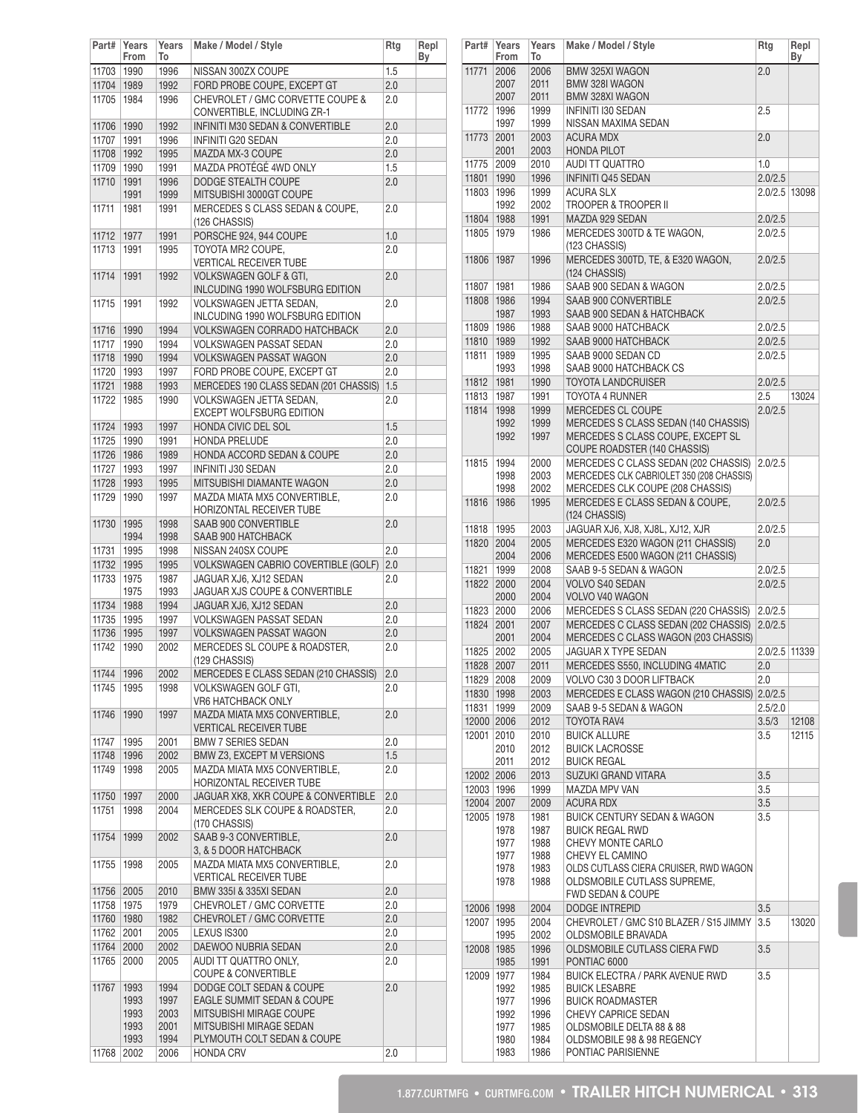| Part#      | Years<br>From | Years<br>To  | Make / Model / Style                                                  | Rtg     | Repl<br>Вy |
|------------|---------------|--------------|-----------------------------------------------------------------------|---------|------------|
| 11703      | 1990          | 1996         | NISSAN 300ZX COUPE                                                    | 1.5     |            |
| 11704      | 1989          | 1992         | FORD PROBE COUPE, EXCEPT GT                                           | 2.0     |            |
| 11705      | 1984          | 1996         | CHEVROLET / GMC CORVETTE COUPE &<br>CONVERTIBLE, INCLUDING ZR-1       | 2.0     |            |
| 11706      | 1990          | 1992         | INFINITI M30 SEDAN & CONVERTIBLE                                      | 2.0     |            |
| 11707      | 1991          | 1996         | INFINITI G20 SEDAN                                                    | 2.0     |            |
| 11708      | 1992          | 1995         | MAZDA MX-3 COUPE                                                      | 2.0     |            |
| 11709      | 1990          | 1991         | MAZDA PROTÉGÉ 4WD ONLY                                                | 1.5     |            |
| 11710      | 1991          | 1996         | DODGE STEALTH COUPE                                                   | 2.0     |            |
|            | 1991          | 1999         | MITSUBISHI 3000GT COUPE                                               |         |            |
| 11711      | 1981          | 1991         | MERCEDES S CLASS SEDAN & COUPE,<br>(126 CHASSIS)                      | 2.0     |            |
| 11712      | 1977          | 1991         | PORSCHE 924, 944 COUPE                                                | 1.0     |            |
| 11713      | 1991          | 1995         | TOYOTA MR2 COUPE,                                                     | 2.0     |            |
|            |               |              | <b>VERTICAL RECEIVER TUBE</b>                                         |         |            |
| 11714      | 1991          | 1992         | <b>VOLKSWAGEN GOLF &amp; GTI.</b><br>INLCUDING 1990 WOLFSBURG EDITION | 2.0     |            |
| 11715      | 1991          | 1992         | VOLKSWAGEN JETTA SEDAN,                                               | 2.0     |            |
|            |               |              | INLCUDING 1990 WOLFSBURG EDITION                                      |         |            |
| 11716      | 1990          | 1994         | <b>VOLKSWAGEN CORRADO HATCHBACK</b>                                   | 2.0     |            |
| 11717      | 1990          | 1994         | <b>VOLKSWAGEN PASSAT SEDAN</b>                                        | 2.0     |            |
| 11718      | 1990          | 1994         | <b>VOLKSWAGEN PASSAT WAGON</b>                                        | 2.0     |            |
| 11720      | 1993          | 1997         | FORD PROBE COUPE. EXCEPT GT                                           | 2.0     |            |
| 11721      | 1988          | 1993         | MERCEDES 190 CLASS SEDAN (201 CHASSIS)                                | 1.5     |            |
| 11722      | 1985          | 1990         | VOLKSWAGEN JETTA SEDAN,                                               | 2.0     |            |
|            |               |              | <b>EXCEPT WOLFSBURG EDITION</b>                                       |         |            |
| 11724      | 1993          | 1997         | HONDA CIVIC DEL SOL                                                   | 1.5     |            |
| 11725      | 1990          | 1991         | <b>HONDA PRELUDE</b>                                                  | 2.0     |            |
| 11726      | 1986          | 1989         | HONDA ACCORD SEDAN & COUPE                                            | 2.0     |            |
| 11727      | 1993          | 1997         | <b>INFINITI J30 SEDAN</b>                                             | 2.0     |            |
| 11728      | 1993          | 1995         | MITSUBISHI DIAMANTE WAGON                                             | 2.0     |            |
| 11729      | 1990          | 1997         | MAZDA MIATA MX5 CONVERTIBLE,                                          | 2.0     |            |
|            |               |              | HORIZONTAL RECEIVER TUBE                                              |         |            |
| 11730      | 1995          | 1998         | SAAB 900 CONVERTIBLE                                                  | 2.0     |            |
|            | 1994          | 1998         | SAAB 900 HATCHBACK                                                    |         |            |
| 11731      | 1995          | 1998         | NISSAN 240SX COUPE                                                    | 2.0     |            |
| 11732      | 1995          | 1995         | <b>VOLKSWAGEN CABRIO COVERTIBLE (GOLF)</b>                            | 2.0     |            |
| 11733      | 1975<br>1975  | 1987<br>1993 | JAGUAR XJ6, XJ12 SEDAN<br>JAGUAR XJS COUPE & CONVERTIBLE              | 2.0     |            |
| 11734      | 1988          | 1994         | JAGUAR XJ6, XJ12 SEDAN                                                | 2.0     |            |
| 11735      | 1995          | 1997         | <b>VOLKSWAGEN PASSAT SEDAN</b>                                        | 2.0     |            |
| 11736      | 1995          | 1997         | <b>VOLKSWAGEN PASSAT WAGON</b>                                        | 2.0     |            |
| 11742      | 1990          | 2002         | MERCEDES SL COUPE & ROADSTER,                                         | 2.0     |            |
|            |               |              | (129 CHASSIS)                                                         |         |            |
| 11744 1996 |               | 2002         | MERCEDES E CLASS SEDAN (210 CHASSIS)                                  | 2.0     |            |
| 11745      | 1995          | 1998         | <b>VOLKSWAGEN GOLF GTI,</b>                                           | 2.0     |            |
|            |               |              | VR6 HATCHBACK ONLY                                                    |         |            |
| 11746      | 1990          | 1997         | MAZDA MIATA MX5 CONVERTIBLE,<br><b>VERTICAL RECEIVER TUBE</b>         | 2.0     |            |
| 11747      | 1995          | 2001         | <b>BMW 7 SERIES SEDAN</b>                                             | 2.0     |            |
| 11748      | 1996          | 2002         | BMW Z3, EXCEPT M VERSIONS                                             | 1.5     |            |
| 11749      | 1998          | 2005         | MAZDA MIATA MX5 CONVERTIBLE,                                          | 2.0     |            |
|            |               |              | HORIZONTAL RECEIVER TUBE                                              |         |            |
| 11750      | 1997          | 2000         | JAGUAR XK8, XKR COUPE & CONVERTIBLE                                   | 2.0     |            |
| 11751      | 1998          | 2004         | MERCEDES SLK COUPE & ROADSTER,                                        | 2.0     |            |
|            |               |              | (170 CHASSIS)                                                         |         |            |
| 11754      | 1999          | 2002         | SAAB 9-3 CONVERTIBLE.                                                 | 2.0     |            |
| 11755      | 1998          | 2005         | 3, & 5 DOOR HATCHBACK<br>MAZDA MIATA MX5 CONVERTIBLE,                 | $2.0\,$ |            |
|            |               |              | <b>VERTICAL RECEIVER TUBE</b>                                         |         |            |
| 11756      | 2005          | 2010         | BMW 335I & 335XI SEDAN                                                | 2.0     |            |
| 11758      | 1975          | 1979         | CHEVROLET / GMC CORVETTE                                              | 2.0     |            |
| 11760      | 1980          | 1982         | CHEVROLET / GMC CORVETTE                                              | 2.0     |            |
| 11762      | 2001          | 2005         | LEXUS IS300                                                           | 2.0     |            |
| 11764      | 2000          | 2002         | DAEWOO NUBRIA SEDAN                                                   | 2.0     |            |
| 11765      | 2000          | 2005         | AUDI TT QUATTRO ONLY,                                                 | $2.0\,$ |            |
|            |               |              | <b>COUPE &amp; CONVERTIBLE</b>                                        |         |            |
| 11767      | 1993          | 1994         | DODGE COLT SEDAN & COUPE                                              | 2.0     |            |
|            | 1993          | 1997         | EAGLE SUMMIT SEDAN & COUPE                                            |         |            |
|            | 1993          | 2003         | MITSUBISHI MIRAGE COUPE                                               |         |            |
|            | 1993          | 2001         | MITSUBISHI MIRAGE SEDAN                                               |         |            |
| 11768      | 1993<br>2002  | 1994<br>2006 | PLYMOUTH COLT SEDAN & COUPE<br><b>HONDA CRV</b>                       | 2.0     |            |
|            |               |              |                                                                       |         |            |

| Part#                    | Years<br>From                                        | Years<br>To                                          | Make / Model / Style                                                                                                                                                                      | Rtg           | Repl<br>By     |
|--------------------------|------------------------------------------------------|------------------------------------------------------|-------------------------------------------------------------------------------------------------------------------------------------------------------------------------------------------|---------------|----------------|
| 11771                    | 2006                                                 | 2006                                                 | BMW 325XI WAGON                                                                                                                                                                           | 2.0           |                |
|                          | 2007<br>2007                                         | 2011<br>2011                                         | BMW 328I WAGON<br><b>BMW 328XI WAGON</b>                                                                                                                                                  |               |                |
| 11772                    | 1996<br>1997                                         | 1999<br>1999                                         | <b>INFINITI I30 SEDAN</b><br>NISSAN MAXIMA SEDAN                                                                                                                                          | 2.5           |                |
| 11773                    | 2001<br>2001                                         | 2003<br>2003                                         | <b>ACURA MDX</b><br><b>HONDA PILOT</b>                                                                                                                                                    | 2.0           |                |
| 11775                    | 2009                                                 | 2010                                                 | <b>AUDI TT QUATTRO</b>                                                                                                                                                                    | 1.0           |                |
| 11801                    | 1990                                                 | 1996                                                 | <b>INFINITI Q45 SEDAN</b>                                                                                                                                                                 | 2.0/2.5       |                |
| 11803                    | 1996                                                 | 1999                                                 | <b>ACURA SLX</b>                                                                                                                                                                          | 2.0/2.5 13098 |                |
| 11804                    | 1992<br>1988                                         | 2002<br>1991                                         | TROOPER & TROOPER II<br>MAZDA 929 SEDAN                                                                                                                                                   | 2.0/2.5       |                |
| 11805                    | 1979                                                 | 1986                                                 | MERCEDES 300TD & TE WAGON.<br>(123 CHASSIS)                                                                                                                                               | 2.0/2.5       |                |
| 11806                    | 1987                                                 | 1996                                                 | MERCEDES 300TD, TE, & E320 WAGON,<br>(124 CHASSIS)                                                                                                                                        | 2.0/2.5       |                |
| 11807                    | 1981                                                 | 1986                                                 | SAAB 900 SEDAN & WAGON                                                                                                                                                                    | 2.0/2.5       |                |
| 11808                    | 1986                                                 | 1994                                                 | SAAB 900 CONVERTIBLE                                                                                                                                                                      | 2.0/2.5       |                |
|                          | 1987                                                 | 1993                                                 | SAAB 900 SEDAN & HATCHBACK                                                                                                                                                                |               |                |
| 11809                    | 1986                                                 | 1988                                                 | SAAB 9000 HATCHBACK                                                                                                                                                                       | 2.0/2.5       |                |
| 11810                    | 1989                                                 | 1992                                                 | SAAB 9000 HATCHBACK                                                                                                                                                                       | 2.0/2.5       |                |
| 11811                    | 1989                                                 | 1995                                                 | SAAB 9000 SEDAN CD                                                                                                                                                                        | 2.0/2.5       |                |
| 11812                    | 1993<br>1981                                         | 1998<br>1990                                         | SAAB 9000 HATCHBACK CS<br>TOYOTA LANDCRUISER                                                                                                                                              | 2.0/2.5       |                |
| 11813                    | 1987                                                 | 1991                                                 | TOYOTA 4 RUNNER                                                                                                                                                                           | 2.5           | 13024          |
| 11814                    | 1998                                                 | 1999                                                 | MERCEDES CL COUPE                                                                                                                                                                         | 2.0/2.5       |                |
|                          | 1992<br>1992                                         | 1999<br>1997                                         | MERCEDES S CLASS SEDAN (140 CHASSIS)<br>MERCEDES S CLASS COUPE, EXCEPT SL<br>COUPE ROADSTER (140 CHASSIS)                                                                                 |               |                |
| 11815                    | 1994<br>1998<br>1998                                 | 2000<br>2003<br>2002                                 | MERCEDES C CLASS SEDAN (202 CHASSIS)<br>MERCEDES CLK CABRIOLET 350 (208 CHASSIS)<br>MERCEDES CLK COUPE (208 CHASSIS)                                                                      | 2.0/2.5       |                |
| 11816                    | 1986                                                 | 1995                                                 | MERCEDES E CLASS SEDAN & COUPE,<br>(124 CHASSIS)                                                                                                                                          | 2.0/2.5       |                |
| 11818                    | 1995                                                 | 2003                                                 | JAGUAR XJ6, XJ8, XJ8L, XJ12, XJR                                                                                                                                                          | 2.0/2.5       |                |
| 11820                    | 2004<br>2004                                         | 2005<br>2006                                         | MERCEDES E320 WAGON (211 CHASSIS)<br>MERCEDES E500 WAGON (211 CHASSIS)                                                                                                                    | 2.0           |                |
| 11821                    | 1999                                                 | 2008                                                 | SAAB 9-5 SEDAN & WAGON                                                                                                                                                                    | 2.0/2.5       |                |
| 11822                    | 2000<br>2000                                         | 2004<br>2004                                         | <b>VOLVO S40 SEDAN</b><br>VOLVO V40 WAGON                                                                                                                                                 | 2.0/2.5       |                |
| 11823                    | 2000                                                 | 2006                                                 | MERCEDES S CLASS SEDAN (220 CHASSIS)                                                                                                                                                      | 2.0/2.5       |                |
| 11824                    | 2001<br>2001                                         | 2007<br>2004                                         | MERCEDES C CLASS SEDAN (202 CHASSIS)<br>MERCEDES C CLASS WAGON (203 CHASSIS)                                                                                                              | 2.0/2.5       |                |
| 11825                    | 2002                                                 | 2005                                                 | <b>JAGUAR X TYPE SEDAN</b>                                                                                                                                                                | 2.0/2.5       | 11339          |
| 11828                    | 2007                                                 | 2011                                                 | MERCEDES S550, INCLUDING 4MATIC                                                                                                                                                           | 2.0           |                |
| 11829                    | 2008                                                 | 2009                                                 | VOLVO C30 3 DOOR LIFTBACK                                                                                                                                                                 | 2.0           |                |
| 11830                    | 1998                                                 | 2003                                                 | MERCEDES E CLASS WAGON (210 CHASSIS) 2.0/2.5                                                                                                                                              |               |                |
| 11831                    | 1999                                                 | 2009                                                 | SAAB 9-5 SEDAN & WAGON                                                                                                                                                                    | 2.5/2.0       |                |
| 12000 2006<br>12001      | 2010                                                 | 2012<br>2010                                         | TOYOTA RAV4<br><b>BUICK ALLURE</b>                                                                                                                                                        | 3.5/3<br>3.5  | 12108<br>12115 |
|                          | 2010                                                 | 2012                                                 | <b>BUICK LACROSSE</b>                                                                                                                                                                     |               |                |
|                          | 2011                                                 | 2012                                                 | <b>BUICK REGAL</b>                                                                                                                                                                        |               |                |
| 12002 2006               |                                                      | 2013                                                 | SUZUKI GRAND VITARA                                                                                                                                                                       | 3.5           |                |
| 12003 1996<br>12004 2007 |                                                      | 1999<br>2009                                         | <b>MAZDA MPV VAN</b><br><b>ACURA RDX</b>                                                                                                                                                  | 3.5<br>3.5    |                |
| 12005                    | 1978<br>1978<br>1977                                 | 1981<br>1987<br>1988                                 | <b>BUICK CENTURY SEDAN &amp; WAGON</b><br><b>BUICK REGAL RWD</b><br>CHEVY MONTE CARLO                                                                                                     | 3.5           |                |
|                          | 1977<br>1978<br>1978                                 | 1988<br>1983<br>1988                                 | CHEVY EL CAMINO<br>OLDS CUTLASS CIERA CRUISER, RWD WAGON<br>OLDSMOBILE CUTLASS SUPREME,<br>FWD SEDAN & COUPE                                                                              |               |                |
| 12006 1998               |                                                      | 2004                                                 | DODGE INTREPID                                                                                                                                                                            | 3.5           |                |
| 12007                    | 1995<br>1995                                         | 2004<br>2002                                         | CHEVROLET / GMC S10 BLAZER / S15 JIMMY<br>OLDSMOBILE BRAVADA                                                                                                                              | 3.5           | 13020          |
| 12008                    | 1985<br>1985                                         | 1996<br>1991                                         | OLDSMOBILE CUTLASS CIERA FWD<br>PONTIAC 6000                                                                                                                                              | 3.5           |                |
| 12009                    | 1977<br>1992<br>1977<br>1992<br>1977<br>1980<br>1983 | 1984<br>1985<br>1996<br>1996<br>1985<br>1984<br>1986 | BUICK ELECTRA / PARK AVENUE RWD<br><b>BUICK LESABRE</b><br><b>BUICK ROADMASTER</b><br>CHEVY CAPRICE SEDAN<br>OLDSMOBILE DELTA 88 & 88<br>OLDSMOBILE 98 & 98 REGENCY<br>PONTIAC PARISIENNE | 3.5           |                |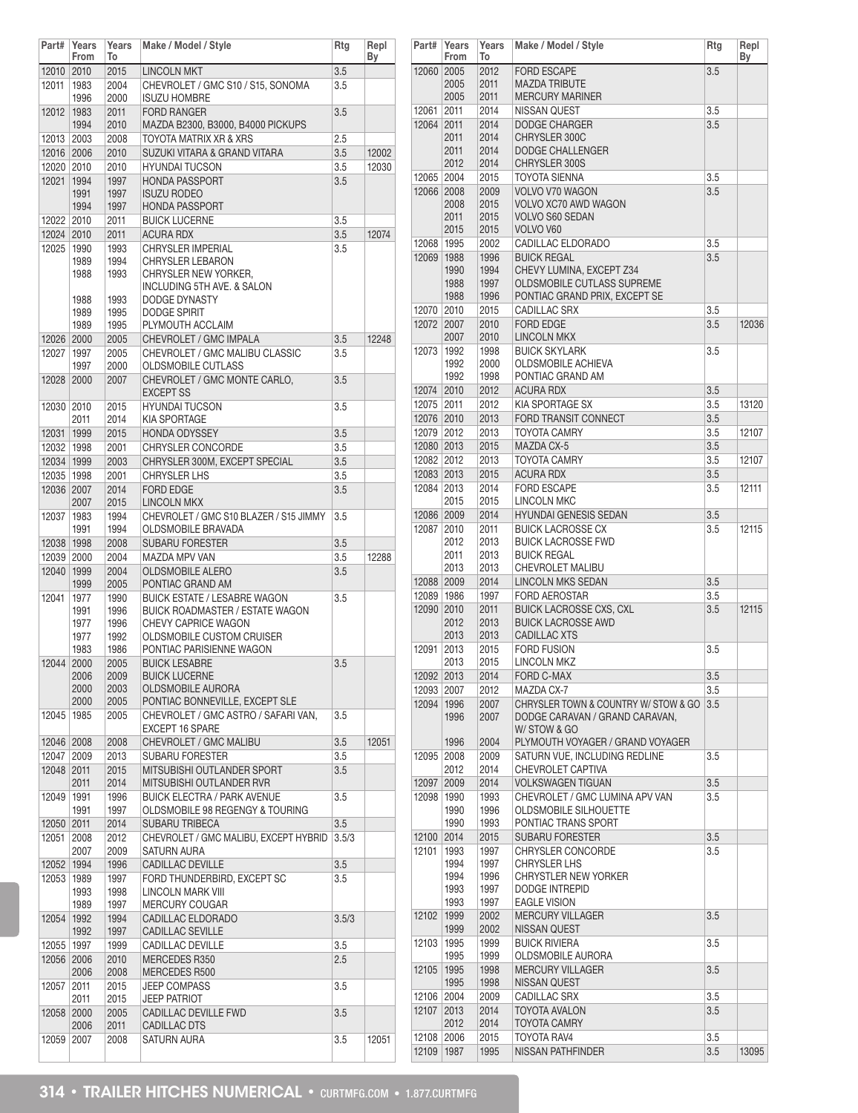| Part#                    | Years<br>From                                | Years<br>То                                  | Make / Model / Style                                                                                                                                                         | Rtg        | Repl<br>By |
|--------------------------|----------------------------------------------|----------------------------------------------|------------------------------------------------------------------------------------------------------------------------------------------------------------------------------|------------|------------|
| 12010 2010               |                                              | 2015                                         | <b>LINCOLN MKT</b>                                                                                                                                                           | 3.5        |            |
| 12011                    | 1983<br>1996                                 | 2004<br>2000                                 | CHEVROLET / GMC S10 / S15, SONOMA<br><b>ISUZU HOMBRE</b>                                                                                                                     | 3.5        |            |
| 12012                    | 1983<br>1994                                 | 2011<br>2010                                 | <b>FORD RANGER</b><br>MAZDA B2300, B3000, B4000 PICKUPS                                                                                                                      | 3.5        |            |
| 12013 2003               |                                              | 2008                                         | TOYOTA MATRIX XR & XRS                                                                                                                                                       | 2.5        |            |
| 12016 2006               |                                              | 2010                                         | SUZUKI VITARA & GRAND VITARA                                                                                                                                                 | 3.5        | 12002      |
| 12020 2010               |                                              | 2010                                         | <b>HYUNDAI TUCSON</b>                                                                                                                                                        | 3.5        | 12030      |
| 12021                    | 1994<br>1991<br>1994                         | 1997<br>1997<br>1997                         | <b>HONDA PASSPORT</b><br><b>ISUZU RODEO</b><br><b>HONDA PASSPORT</b>                                                                                                         | 3.5        |            |
| 12022 2010               |                                              | 2011                                         | <b>BUICK LUCERNE</b>                                                                                                                                                         | 3.5        |            |
| 12024 2010               |                                              | 2011                                         | <b>ACURA RDX</b>                                                                                                                                                             | 3.5        | 12074      |
| 12025                    | 1990<br>1989<br>1988<br>1988<br>1989<br>1989 | 1993<br>1994<br>1993<br>1993<br>1995<br>1995 | <b>CHRYSLER IMPERIAL</b><br><b>CHRYSLER LEBARON</b><br>CHRYSLER NEW YORKER,<br>INCLUDING 5TH AVE. & SALON<br><b>DODGE DYNASTY</b><br><b>DODGE SPIRIT</b><br>PLYMOUTH ACCLAIM | 3.5        |            |
| 12026 2000               |                                              | 2005                                         | CHEVROLET / GMC IMPALA                                                                                                                                                       | 3.5        | 12248      |
| 12027                    | 1997                                         | 2005                                         | CHEVROLET / GMC MALIBU CLASSIC                                                                                                                                               | 3.5        |            |
| 12028                    | 1997<br>2000                                 | 2000<br>2007                                 | OLDSMOBILE CUTLASS<br>CHEVROLET / GMC MONTE CARLO,<br><b>EXCEPT SS</b>                                                                                                       | 3.5        |            |
| 12030 2010               |                                              | 2015                                         | <b>HYUNDAI TUCSON</b>                                                                                                                                                        | 3.5        |            |
|                          | 2011                                         | 2014<br>2015                                 | <b>KIA SPORTAGE</b>                                                                                                                                                          |            |            |
| 12031<br>12032   1998    | 1999                                         | 2001                                         | <b>HONDA ODYSSEY</b><br><b>CHRYSLER CONCORDE</b>                                                                                                                             | 3.5<br>3.5 |            |
|                          |                                              |                                              | CHRYSLER 300M, EXCEPT SPECIAL                                                                                                                                                |            |            |
| 12034 1999<br>12035 1998 |                                              | 2003<br>2001                                 | <b>CHRYSLER LHS</b>                                                                                                                                                          | 3.5<br>3.5 |            |
| 12036 2007               |                                              | 2014                                         | <b>FORD EDGE</b>                                                                                                                                                             | 3.5        |            |
|                          | 2007                                         | 2015                                         | <b>LINCOLN MKX</b>                                                                                                                                                           |            |            |
| 12037                    | 1983<br>1991                                 | 1994<br>1994                                 | CHEVROLET / GMC S10 BLAZER / S15 JIMMY<br>OLDSMOBILE BRAVADA                                                                                                                 | 3.5        |            |
| 12038 1998               |                                              | 2008                                         | <b>SUBARU FORESTER</b>                                                                                                                                                       | 3.5        |            |
| 12039 2000               |                                              | 2004                                         | MAZDA MPV VAN                                                                                                                                                                | 3.5        | 12288      |
| 12040                    | 1999<br>1999                                 | 2004<br>2005                                 | <b>OLDSMOBILE ALERO</b><br>PONTIAC GRAND AM                                                                                                                                  | 3.5        |            |
| 12041                    | 1977<br>1991<br>1977<br>1977<br>1983         | 1990<br>1996<br>1996<br>1992<br>1986         | <b>BUICK ESTATE / LESABRE WAGON</b><br><b>BUICK ROADMASTER / ESTATE WAGON</b><br>CHEVY CAPRICE WAGON<br><b>OLDSMOBILE CUSTOM CRUISER</b><br>PONTIAC PARISIENNE WAGON         | 3.5        |            |
| 12044                    | 2000<br>2006<br>2000<br>2000                 | 2005<br>2009<br>2003<br>2005                 | <b>BUICK LESABRE</b><br><b>BUICK LUCERNE</b><br>OLDSMOBILE AURORA<br>PONTIAC BONNEVILLE, EXCEPT SLE                                                                          | 3.5        |            |
| 12045                    | 1985                                         | 2005                                         | CHEVROLET / GMC ASTRO / SAFARI VAN,<br>EXCEPT 16 SPARE                                                                                                                       | 3.5        |            |
| 12046 2008               |                                              | 2008                                         | CHEVROLET / GMC MALIBU                                                                                                                                                       | 3.5        | 12051      |
| 12047 2009               |                                              | 2013                                         | SUBARU FORESTER                                                                                                                                                              | 3.5        |            |
| 12048 2011               | 2011                                         | 2015<br>2014                                 | MITSUBISHI OUTLANDER SPORT<br>MITSUBISHI OUTLANDER RVR                                                                                                                       | 3.5        |            |
| 12049                    | 1991<br>1991                                 | 1996<br>1997                                 | <b>BUICK ELECTRA / PARK AVENUE</b><br>OLDSMOBILE 98 REGENGY & TOURING                                                                                                        | 3.5        |            |
| 12050 2011               |                                              | 2014                                         | SUBARU TRIBECA                                                                                                                                                               | 3.5        |            |
| 12051                    | 2008<br>2007                                 | 2012<br>2009                                 | CHEVROLET / GMC MALIBU, EXCEPT HYBRID<br>SATURN AURA                                                                                                                         | 3.5/3      |            |
| 12052                    | 1994                                         | 1996                                         | CADILLAC DEVILLE                                                                                                                                                             | 3.5        |            |
| 12053                    | 1989<br>1993                                 | 1997<br>1998                                 | FORD THUNDERBIRD, EXCEPT SC<br><b>LINCOLN MARK VIII</b>                                                                                                                      | 3.5        |            |
| 12054                    | 1989<br>1992                                 | 1997<br>1994                                 | <b>MERCURY COUGAR</b><br>CADILLAC ELDORADO                                                                                                                                   | 3.5/3      |            |
|                          | 1992                                         | 1997                                         | CADILLAC SEVILLE                                                                                                                                                             |            |            |
| 12055   1997             |                                              | 1999                                         | <b>CADILLAC DEVILLE</b>                                                                                                                                                      | 3.5        |            |
| 12056 2006               | 2006                                         | 2010<br>2008                                 | MERCEDES R350<br>MERCEDES R500                                                                                                                                               | 2.5        |            |
| 12057                    | 2011<br>2011                                 | 2015<br>2015                                 | <b>JEEP COMPASS</b><br><b>JEEP PATRIOT</b>                                                                                                                                   | 3.5        |            |
| 12058                    | 2000                                         | 2005                                         | CADILLAC DEVILLE FWD                                                                                                                                                         | 3.5        |            |
| 12059 2007               | 2006                                         | 2011<br>2008                                 | CADILLAC DTS<br>SATURN AURA                                                                                                                                                  | 3.5        | 12051      |

| Part#               | Years<br>From | Years<br>To  | Make / Model / Style                                                   | Rtg        | Repl<br>Вy |
|---------------------|---------------|--------------|------------------------------------------------------------------------|------------|------------|
| 12060 2005          |               | 2012         | <b>FORD ESCAPE</b>                                                     | 3.5        |            |
|                     | 2005          | 2011         | <b>MAZDA TRIBUTE</b>                                                   |            |            |
|                     | 2005          | 2011         | <b>MERCURY MARINER</b>                                                 |            |            |
| 12061               | 2011          | 2014         | NISSAN QUEST                                                           | 3.5        |            |
| 12064 2011          | 2011          | 2014<br>2014 | <b>DODGE CHARGER</b><br>CHRYSLER 300C                                  | 3.5        |            |
|                     | 2011          | 2014         | <b>DODGE CHALLENGER</b>                                                |            |            |
|                     | 2012          | 2014         | CHRYSLER 300S                                                          |            |            |
| 12065 2004          |               | 2015         | TOYOTA SIENNA                                                          | 3.5        |            |
| 12066 2008          |               | 2009         | VOLVO V70 WAGON                                                        | 3.5        |            |
|                     | 2008          | 2015         | VOLVO XC70 AWD WAGON                                                   |            |            |
|                     | 2011          | 2015         | VOLVO S60 SEDAN                                                        |            |            |
|                     | 2015          | 2015         | VOLVO V60                                                              |            |            |
| 12068 1995          |               | 2002         | CADILLAC ELDORADO                                                      | 3.5        |            |
| 12069               | 1988<br>1990  | 1996<br>1994 | <b>BUICK REGAL</b><br>CHEVY LUMINA, EXCEPT Z34                         | 3.5        |            |
|                     | 1988          | 1997         | OLDSMOBILE CUTLASS SUPREME                                             |            |            |
|                     | 1988          | 1996         | PONTIAC GRAND PRIX, EXCEPT SE                                          |            |            |
| 12070 2010          |               | 2015         | <b>CADILLAC SRX</b>                                                    | 3.5        |            |
| 12072 2007          |               | 2010         | <b>FORD EDGE</b>                                                       | 3.5        | 12036      |
|                     | 2007          | 2010         | <b>LINCOLN MKX</b>                                                     |            |            |
| 12073               | 1992          | 1998         | <b>BUICK SKYLARK</b>                                                   | 3.5        |            |
|                     | 1992          | 2000         | <b>OLDSMOBILE ACHIEVA</b>                                              |            |            |
| 12074 2010          | 1992          | 1998<br>2012 | PONTIAC GRAND AM<br><b>ACURA RDX</b>                                   | 3.5        |            |
| 12075 2011          |               | 2012         | KIA SPORTAGE SX                                                        | 3.5        | 13120      |
| 12076 2010          |               | 2013         | FORD TRANSIT CONNECT                                                   | 3.5        |            |
| 12079 2012          |               | 2013         | <b>TOYOTA CAMRY</b>                                                    | 3.5        | 12107      |
| 12080 2013          |               | 2015         | MAZDA CX-5                                                             | 3.5        |            |
| 12082 2012          |               | 2013         | <b>TOYOTA CAMRY</b>                                                    | 3.5        | 12107      |
| 12083 2013          |               | 2015         | <b>ACURA RDX</b>                                                       | 3.5        |            |
| 12084 2013          |               | 2014         | <b>FORD ESCAPE</b>                                                     | 3.5        | 12111      |
|                     | 2015          | 2015         | <b>LINCOLN MKC</b>                                                     |            |            |
| 12086 2009<br>12087 | 2010          | 2014<br>2011 | <b>HYUNDAI GENESIS SEDAN</b><br><b>BUICK LACROSSE CX</b>               | 3.5<br>3.5 | 12115      |
|                     | 2012          | 2013         | <b>BUICK LACROSSE FWD</b>                                              |            |            |
|                     | 2011          | 2013         | <b>BUICK REGAL</b>                                                     |            |            |
|                     | 2013          | 2013         | CHEVROLET MALIBU                                                       |            |            |
| 12088 2009          |               | 2014         | <b>LINCOLN MKS SEDAN</b>                                               | 3.5        |            |
| 12089 1986          |               | 1997         | <b>FORD AEROSTAR</b>                                                   | 3.5        |            |
| 12090 2010          | 2012          | 2011<br>2013 | <b>BUICK LACROSSE CXS, CXL</b><br><b>BUICK LACROSSE AWD</b>            | 3.5        | 12115      |
|                     | 2013          | 2013         | <b>CADILLAC XTS</b>                                                    |            |            |
| 12091               | 2013          | 2015         | <b>FORD FUSION</b>                                                     | 3.5        |            |
|                     | 2013          | 2015         | LINCOLN MKZ                                                            |            |            |
| 12092 2013          |               | 2014         | <b>FORD C-MAX</b>                                                      | 3.5        |            |
| 12093 2007          |               | 2012         | MAZDA CX-7                                                             | 3.5        |            |
| 12094               | 1996<br>1996  | 2007<br>2007 | CHRYSLER TOWN & COUNTRY W/ STOW & GO<br>DODGE CARAVAN / GRAND CARAVAN, | 3.5        |            |
|                     |               |              | W/ STOW & GO                                                           |            |            |
|                     | 1996          | 2004         | PLYMOUTH VOYAGER / GRAND VOYAGER                                       |            |            |
| 12095               | 2008          | 2009         | SATURN VUE. INCLUDING REDLINE                                          | 3.5        |            |
|                     | 2012          | 2014         | CHEVROLET CAPTIVA                                                      |            |            |
| 12097 2009          |               | 2014         | <b>VOLKSWAGEN TIGUAN</b>                                               | 3.5        |            |
| 12098               | 1990<br>1990  | 1993<br>1996 | CHEVROLET / GMC LUMINA APV VAN<br>OLDSMOBILE SILHOUETTE                | 3.5        |            |
|                     | 1990          | 1993         | PONTIAC TRANS SPORT                                                    |            |            |
| 12100 2014          |               | 2015         | <b>SUBARU FORESTER</b>                                                 | 3.5        |            |
| 12101               | 1993          | 1997         | CHRYSLER CONCORDE                                                      | 3.5        |            |
|                     | 1994          | 1997         | <b>CHRYSLER LHS</b>                                                    |            |            |
|                     | 1994          | 1996         | CHRYSTLER NEW YORKER                                                   |            |            |
|                     | 1993<br>1993  | 1997<br>1997 | DODGE INTREPID<br><b>EAGLE VISION</b>                                  |            |            |
| 12102               | 1999          | 2002         | <b>MERCURY VILLAGER</b>                                                | 3.5        |            |
|                     | 1999          | 2002         | NISSAN QUEST                                                           |            |            |
| 12103               | 1995          | 1999         | <b>BUICK RIVIERA</b>                                                   | 3.5        |            |
|                     | 1995          | 1999         | OLDSMOBILE AURORA                                                      |            |            |
| 12105               | 1995          | 1998         | <b>MERCURY VILLAGER</b>                                                | 3.5        |            |
| 12106 2004          | 1995          | 1998<br>2009 | NISSAN QUEST<br><b>CADILLAC SRX</b>                                    | 3.5        |            |
| 12107               | 2013          | 2014         | <b>TOYOTA AVALON</b>                                                   | 3.5        |            |
|                     | 2012          | 2014         | TOYOTA CAMRY                                                           |            |            |
| 12108 2006          |               | 2015         | TOYOTA RAV4                                                            | 3.5        |            |
| 12109               | 1987          | 1995         | NISSAN PATHFINDER                                                      | 3.5        | 13095      |
|                     |               |              |                                                                        |            |            |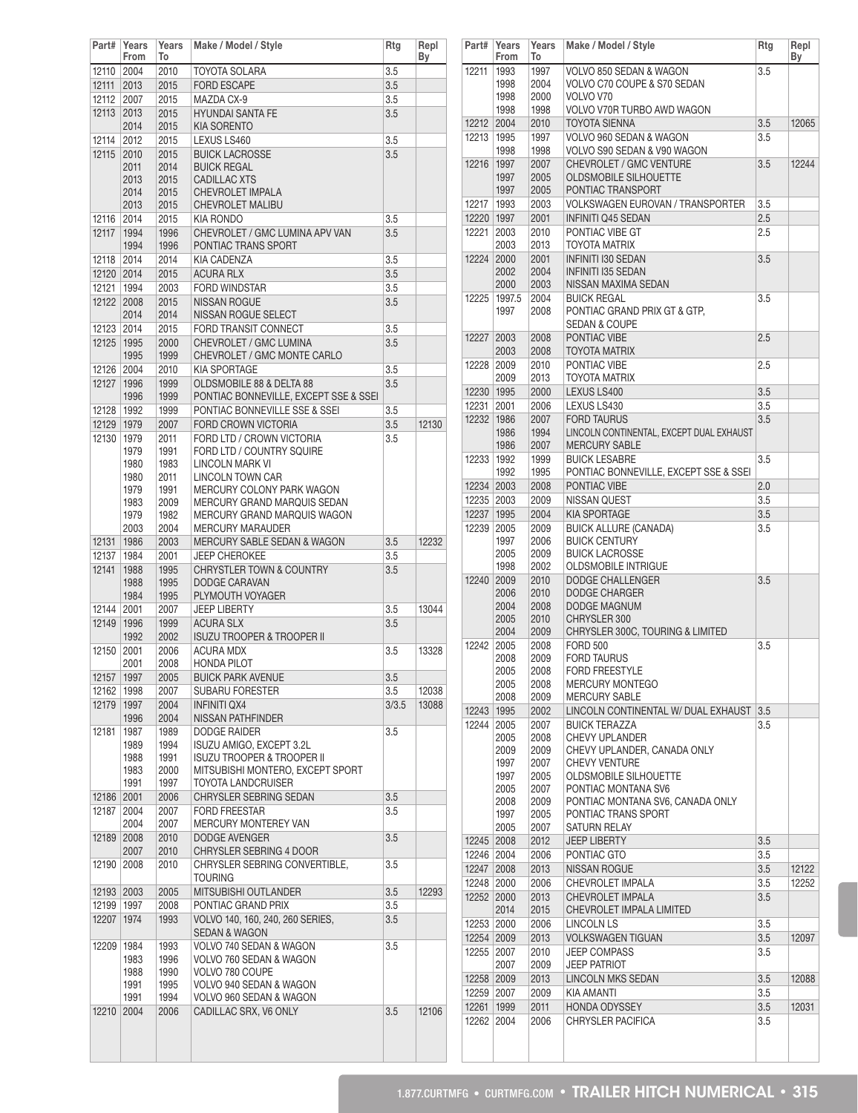| Part#        | Years<br>From | Years<br>To  | Make / Model / Style                                | Rtg   | Repl<br>Вy |
|--------------|---------------|--------------|-----------------------------------------------------|-------|------------|
| 12110        | 2004          | 2010         | TOYOTA SOLARA                                       | 3.5   |            |
| 12111        | 2013          | 2015         | <b>FORD ESCAPE</b>                                  | 3.5   |            |
| 12112        | 2007          | 2015         | MAZDA CX-9                                          | 3.5   |            |
| 12113        | 2013          | 2015         | <b>HYUNDAI SANTA FE</b>                             | 3.5   |            |
|              | 2014          | 2015         | <b>KIA SORENTO</b>                                  |       |            |
| 12114        | 2012          | 2015         | LEXUS LS460                                         | 3.5   |            |
| 12115        | 2010          | 2015         | <b>BUICK LACROSSE</b>                               | 3.5   |            |
|              | 2011          | 2014<br>2015 | <b>BUICK REGAL</b>                                  |       |            |
|              | 2013<br>2014  | 2015         | <b>CADILLAC XTS</b><br>CHEVROLET IMPALA             |       |            |
|              | 2013          | 2015         | <b>CHEVROLET MALIBU</b>                             |       |            |
| 12116        | 2014          | 2015         | KIA RONDO                                           | 3.5   |            |
| 12117        | 1994          | 1996         | CHEVROLET / GMC LUMINA APV VAN                      | 3.5   |            |
|              | 1994          | 1996         | PONTIAC TRANS SPORT                                 |       |            |
| 12118        | 2014          | 2014         | KIA CADENZA                                         | 3.5   |            |
| 12120 2014   |               | 2015         | <b>ACURA RLX</b>                                    | 3.5   |            |
| 12121        | 1994          | 2003         | <b>FORD WINDSTAR</b>                                | 3.5   |            |
| 12122        | 2008<br>2014  | 2015<br>2014 | <b>NISSAN ROGUE</b><br>NISSAN ROGUE SELECT          | 3.5   |            |
| 12123        | 2014          | 2015         | FORD TRANSIT CONNECT                                | 3.5   |            |
| 12125        | 1995          | 2000         | CHEVROLET / GMC LUMINA                              | 3.5   |            |
|              | 1995          | 1999         | CHEVROLET / GMC MONTE CARLO                         |       |            |
| 12126        | 2004          | 2010         | <b>KIA SPORTAGE</b>                                 | 3.5   |            |
| 12127        | 1996          | 1999         | OLDSMOBILE 88 & DELTA 88                            | 3.5   |            |
|              | 1996          | 1999         | PONTIAC BONNEVILLE, EXCEPT SSE & SSEI               |       |            |
| 12128        | 1992          | 1999         | PONTIAC BONNEVILLE SSE & SSEI                       | 3.5   |            |
| 12129        | 1979          | 2007         | FORD CROWN VICTORIA                                 | 3.5   | 12130      |
| 12130        | 1979          | 2011         | FORD LTD / CROWN VICTORIA                           | 3.5   |            |
|              | 1979          | 1991         | FORD LTD / COUNTRY SQUIRE                           |       |            |
|              | 1980<br>1980  | 1983<br>2011 | LINCOLN MARK VI<br><b>LINCOLN TOWN CAR</b>          |       |            |
|              | 1979          | 1991         | MERCURY COLONY PARK WAGON                           |       |            |
|              | 1983          | 2009         | MERCURY GRAND MARQUIS SEDAN                         |       |            |
|              | 1979          | 1982         | MERCURY GRAND MARQUIS WAGON                         |       |            |
|              | 2003          | 2004         | <b>MERCURY MARAUDER</b>                             |       |            |
| 12131        | 1986          | 2003         | <b>MERCURY SABLE SEDAN &amp; WAGON</b>              | 3.5   | 12232      |
| 12137        | 1984          | 2001         | <b>JEEP CHEROKEE</b>                                | 3.5   |            |
| 12141        | 1988          | 1995         | <b>CHRYSTLER TOWN &amp; COUNTRY</b>                 | 3.5   |            |
|              | 1988<br>1984  | 1995<br>1995 | DODGE CARAVAN<br>PLYMOUTH VOYAGER                   |       |            |
| 12144        | 2001          | 2007         | <b>JEEP LIBERTY</b>                                 | 3.5   | 13044      |
| 12149        | 1996          | 1999         | <b>ACURA SLX</b>                                    | 3.5   |            |
|              | 1992          | 2002         | <b>ISUZU TROOPER &amp; TROOPER II</b>               |       |            |
| 12150        | 2001          | 2006         | <b>ACURA MDX</b>                                    | 3.5   | 13328      |
|              | 2001          | 2008         | <b>HONDA PILOT</b>                                  |       |            |
|              | 12157 1997    | 2005         | <b>BUICK PARK AVENUE</b>                            | 3.5   |            |
| 12162        | 1998          | 2007         | SUBARU FORESTER                                     | 3.5   | 12038      |
| 12179        | 1997<br>1996  | 2004         | <b>INFINITI QX4</b><br>NISSAN PATHFINDER            | 3/3.5 | 13088      |
| 12181        | 1987          | 2004<br>1989 | <b>DODGE RAIDER</b>                                 | 3.5   |            |
|              | 1989          | 1994         | ISUZU AMIGO, EXCEPT 3.2L                            |       |            |
|              | 1988          | 1991         | <b>ISUZU TROOPER &amp; TROOPER II</b>               |       |            |
|              | 1983          | 2000         | MITSUBISHI MONTERO, EXCEPT SPORT                    |       |            |
|              | 1991          | 1997         | TOYOTA LANDCRUISER                                  |       |            |
| 12186        | 2001          | 2006         | CHRYSLER SEBRING SEDAN                              | 3.5   |            |
| 12187        | 2004          | 2007         | <b>FORD FREESTAR</b>                                | 3.5   |            |
| 12189        | 2004<br>2008  | 2007<br>2010 | MERCURY MONTEREY VAN<br><b>DODGE AVENGER</b>        | 3.5   |            |
|              | 2007          | 2010         | CHRYSLER SEBRING 4 DOOR                             |       |            |
| 12190        | 2008          | 2010         | CHRYSLER SEBRING CONVERTIBLE,                       | 3.5   |            |
|              |               |              | TOURING                                             |       |            |
| 12193 2003   |               | 2005         | MITSUBISHI OUTLANDER                                | 3.5   | 12293      |
| 12199   1997 |               | 2008         | PONTIAC GRAND PRIX                                  | 3.5   |            |
| 12207        | 1974          | 1993         | VOLVO 140, 160, 240, 260 SERIES,                    | 3.5   |            |
| 12209        |               | 1993         | <b>SEDAN &amp; WAGON</b><br>VOLVO 740 SEDAN & WAGON | 3.5   |            |
|              | 1984<br>1983  | 1996         | VOLVO 760 SEDAN & WAGON                             |       |            |
|              | 1988          | 1990         | VOLVO 780 COUPE                                     |       |            |
|              | 1991          | 1995         | VOLVO 940 SEDAN & WAGON                             |       |            |
|              | 1991          | 1994         | VOLVO 960 SEDAN & WAGON                             |       |            |
| 12210        | 2004          | 2006         | CADILLAC SRX, V6 ONLY                               | 3.5   | 12106      |
|              |               |              |                                                     |       |            |
|              |               |              |                                                     |       |            |
|              |               |              |                                                     |       |            |

| Part#                    | Years<br>From  | Years<br>To  | Make / Model / Style                                                 | Rtg        | Repl<br>By |
|--------------------------|----------------|--------------|----------------------------------------------------------------------|------------|------------|
| 12211                    | 1993           | 1997         | VOLVO 850 SEDAN & WAGON                                              | 3.5        |            |
|                          | 1998           | 2004         | VOLVO C70 COUPE & S70 SEDAN                                          |            |            |
|                          | 1998           | 2000         | VOLVO V70                                                            |            |            |
| 12212                    | 1998<br>2004   | 1998<br>2010 | VOLVO V70R TURBO AWD WAGON<br><b>TOYOTA SIENNA</b>                   | 3.5        | 12065      |
| 12213                    | 1995           | 1997         | VOLVO 960 SEDAN & WAGON                                              | 3.5        |            |
|                          | 1998           | 1998         | VOLVO S90 SEDAN & V90 WAGON                                          |            |            |
| 12216                    | 1997           | 2007         | CHEVROLET / GMC VENTURE                                              | 3.5        | 12244      |
|                          | 1997           | 2005         | <b>OLDSMOBILE SILHOUETTE</b>                                         |            |            |
|                          | 1997           | 2005         | PONTIAC TRANSPORT                                                    |            |            |
| 12217<br>12220   1997    | 1993           | 2003<br>2001 | <b>VOLKSWAGEN EUROVAN / TRANSPORTER</b><br><b>INFINITI Q45 SEDAN</b> | 3.5<br>2.5 |            |
| 12221                    | 2003           | 2010         | PONTIAC VIBE GT                                                      | 2.5        |            |
|                          | 2003           | 2013         | TOYOTA MATRIX                                                        |            |            |
| 12224                    | 2000           | 2001         | <b>INFINITI I30 SEDAN</b>                                            | 3.5        |            |
|                          | 2002           | 2004         | <b>INFINITI I35 SEDAN</b>                                            |            |            |
| 12225                    | 2000<br>1997.5 | 2003<br>2004 | NISSAN MAXIMA SEDAN<br><b>BUICK REGAL</b>                            | 3.5        |            |
|                          | 1997           | 2008         | PONTIAC GRAND PRIX GT & GTP.                                         |            |            |
|                          |                |              | <b>SEDAN &amp; COUPE</b>                                             |            |            |
| 12227                    | 2003           | 2008         | PONTIAC VIBE                                                         | 2.5        |            |
|                          | 2003           | 2008         | <b>TOYOTA MATRIX</b>                                                 |            |            |
| 12228 2009               | 2009           | 2010<br>2013 | PONTIAC VIBE<br><b>TOYOTA MATRIX</b>                                 | 2.5        |            |
| 12230 1995               |                | 2000         | LEXUS LS400                                                          | 3.5        |            |
| 12231                    | 2001           | 2006         | LEXUS LS430                                                          | 3.5        |            |
| 12232                    | 1986           | 2007         | <b>FORD TAURUS</b>                                                   | 3.5        |            |
|                          | 1986           | 1994         | LINCOLN CONTINENTAL, EXCEPT DUAL EXHAUST                             |            |            |
|                          | 1986           | 2007         | <b>MERCURY SABLE</b>                                                 |            |            |
| 12233   1992             | 1992           | 1999<br>1995 | <b>BUICK LESABRE</b><br>PONTIAC BONNEVILLE, EXCEPT SSE & SSEI        | 3.5        |            |
| 12234 2003               |                | 2008         | PONTIAC VIBE                                                         | 2.0        |            |
| 12235 2003               |                | 2009         | <b>NISSAN QUEST</b>                                                  | 3.5        |            |
| 12237                    | 1995           | 2004         | <b>KIA SPORTAGE</b>                                                  | 3.5        |            |
| 12239                    | 2005           | 2009         | <b>BUICK ALLURE (CANADA)</b>                                         | 3.5        |            |
|                          | 1997<br>2005   | 2006<br>2009 | <b>BUICK CENTURY</b><br><b>BUICK LACROSSE</b>                        |            |            |
|                          | 1998           | 2002         | <b>OLDSMOBILE INTRIGUE</b>                                           |            |            |
| 12240                    | 2009           | 2010         | DODGE CHALLENGER                                                     | 3.5        |            |
|                          | 2006           | 2010         | <b>DODGE CHARGER</b>                                                 |            |            |
|                          | 2004           | 2008         | DODGE MAGNUM                                                         |            |            |
|                          | 2005<br>2004   | 2010<br>2009 | CHRYSLER 300<br>CHRYSLER 300C, TOURING & LIMITED                     |            |            |
| 12242                    | 2005           | 2008         | <b>FORD 500</b>                                                      | 3.5        |            |
|                          | 2008           | 2009         | <b>FORD TAURUS</b>                                                   |            |            |
|                          | 2005           | 2008         | <b>FORD FREESTYLE</b>                                                |            |            |
|                          | 2005<br>2008   | 2008<br>2009 | <b>MERCURY MONTEGO</b><br><b>MERCURY SABLE</b>                       |            |            |
| 12243                    | 1995           | 2002         | LINCOLN CONTINENTAL W/ DUAL EXHAUST                                  | 3.5        |            |
| 12244                    | 2005           | 2007         | <b>BUICK TERAZZA</b>                                                 | 3.5        |            |
|                          | 2005           | 2008         | <b>CHEVY UPLANDER</b>                                                |            |            |
|                          | 2009           | 2009         | CHEVY UPLANDER, CANADA ONLY                                          |            |            |
|                          | 1997<br>1997   | 2007<br>2005 | <b>CHEVY VENTURE</b><br><b>OLDSMOBILE SILHOUETTE</b>                 |            |            |
|                          | 2005           | 2007         | PONTIAC MONTANA SV6                                                  |            |            |
|                          | 2008           | 2009         | PONTIAC MONTANA SV6, CANADA ONLY                                     |            |            |
|                          | 1997           | 2005         | PONTIAC TRANS SPORT                                                  |            |            |
| 12245 2008               | 2005           | 2007<br>2012 | SATURN RELAY<br><b>JEEP LIBERTY</b>                                  | 3.5        |            |
| 12246                    | 2004           | 2006         | PONTIAC GTO                                                          | 3.5        |            |
| 12247                    | 2008           | 2013         | <b>NISSAN ROGUE</b>                                                  | 3.5        | 12122      |
| 12248                    | 2000           | 2006         | CHEVROLET IMPALA                                                     | 3.5        | 12252      |
| 12252 2000               |                | 2013         | CHEVROLET IMPALA                                                     | 3.5        |            |
|                          | 2014           | 2015         | CHEVROLET IMPALA LIMITED                                             |            |            |
| 12253 2000<br>12254 2009 |                | 2006<br>2013 | LINCOLN LS<br><b>VOLKSWAGEN TIGUAN</b>                               | 3.5<br>3.5 | 12097      |
| 12255                    | 2007           | 2010         | <b>JEEP COMPASS</b>                                                  | 3.5        |            |
|                          | 2007           | 2009         | <b>JEEP PATRIOT</b>                                                  |            |            |
| 12258 2009               |                | 2013         | LINCOLN MKS SEDAN                                                    | 3.5        | 12088      |
| 12259                    | 2007           | 2009         | <b>KIA AMANTI</b>                                                    | 3.5        |            |
| 12261                    | 1999           | 2011         | <b>HONDA ODYSSEY</b>                                                 | 3.5        | 12031      |
| 12262                    | 2004           | 2006         | CHRYSLER PACIFICA                                                    | 3.5        |            |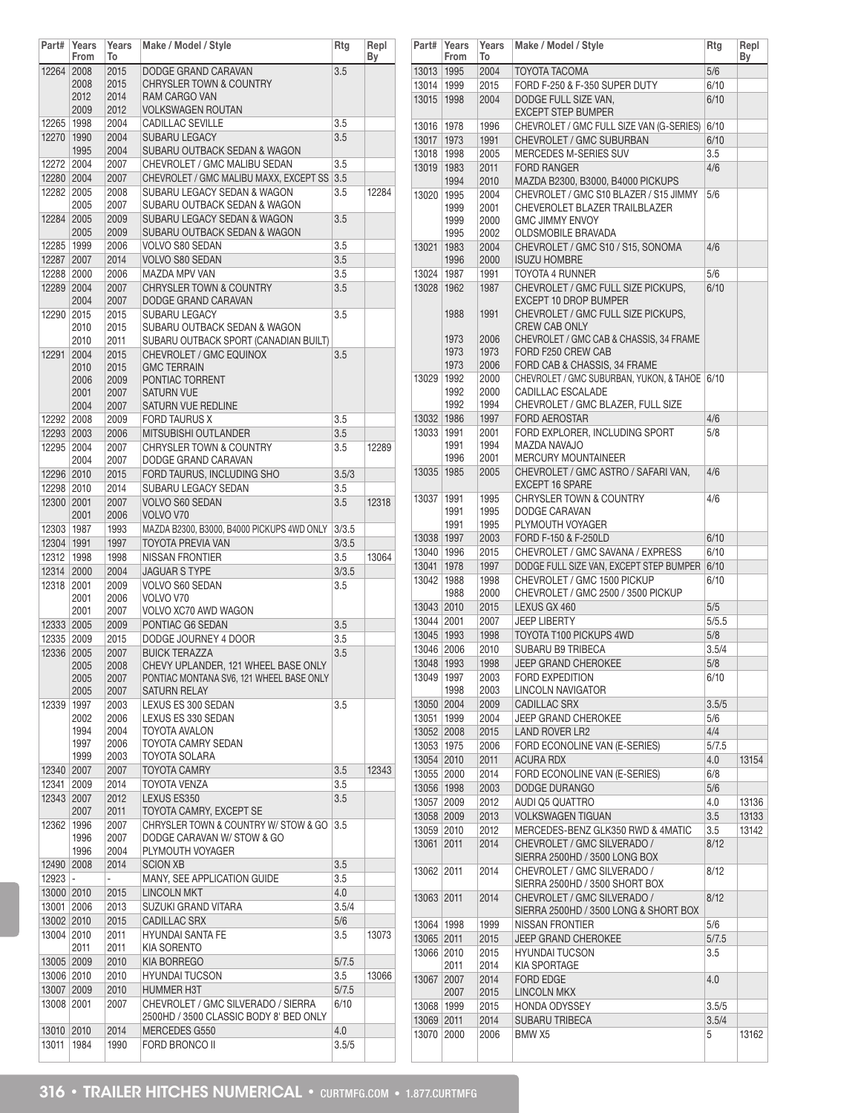| Part#                                                                                                                               | Years<br>From | Years<br>To  | Make / Model / Style                                 | Rtg          | Repl<br>Вy |
|-------------------------------------------------------------------------------------------------------------------------------------|---------------|--------------|------------------------------------------------------|--------------|------------|
| 12264                                                                                                                               | 2008          | 2015         | DODGE GRAND CARAVAN                                  | 3.5          |            |
|                                                                                                                                     | 2008          | 2015         | CHRYSLER TOWN & COUNTRY                              |              |            |
|                                                                                                                                     | 2012          | 2014         | <b>RAM CARGO VAN</b>                                 |              |            |
|                                                                                                                                     | 2009          | 2012         | <b>VOLKSWAGEN ROUTAN</b>                             |              |            |
| 12265 1998                                                                                                                          | 1990          | 2004         | <b>CADILLAC SEVILLE</b>                              | 3.5          |            |
| 12270                                                                                                                               | 1995          | 2004<br>2004 | <b>SUBARU LEGACY</b><br>SUBARU OUTBACK SEDAN & WAGON | 3.5          |            |
| 12272 2004                                                                                                                          |               | 2007         | CHEVROLET / GMC MALIBU SEDAN                         | 3.5          |            |
| 12280 2004                                                                                                                          |               | 2007         | CHEVROLET / GMC MALIBU MAXX, EXCEPT SS               | 3.5          |            |
| 12282 2005                                                                                                                          |               | 2008         | SUBARU LEGACY SEDAN & WAGON                          | 3.5          | 12284      |
|                                                                                                                                     | 2005          | 2007         | SUBARU OUTBACK SEDAN & WAGON                         |              |            |
| 12284 2005                                                                                                                          |               | 2009         | SUBARU LEGACY SEDAN & WAGON                          | 3.5          |            |
|                                                                                                                                     | 2005          | 2009         | SUBARU OUTBACK SEDAN & WAGON                         |              |            |
| 12285 1999                                                                                                                          |               | 2006         | VOLVO S80 SEDAN                                      | 3.5          |            |
| 12287 2007                                                                                                                          |               | 2014         | VOLVO S80 SEDAN                                      | 3.5          |            |
| 12288 2000                                                                                                                          |               | 2006         | <b>MAZDA MPV VAN</b>                                 | 3.5          |            |
|                                                                                                                                     | 12289 2004    | 2007         | <b>CHRYSLER TOWN &amp; COUNTRY</b>                   | 3.5          |            |
|                                                                                                                                     | 2004          | 2007         | DODGE GRAND CARAVAN                                  |              |            |
| 12290 2015                                                                                                                          |               | 2015         | <b>SUBARU LEGACY</b>                                 | 3.5          |            |
|                                                                                                                                     | 2010          | 2015         | SUBARU OUTBACK SEDAN & WAGON                         |              |            |
|                                                                                                                                     | 2010          | 2011         | SUBARU OUTBACK SPORT (CANADIAN BUILT)                |              |            |
| 12291                                                                                                                               | 2004          | 2015         | CHEVROLET / GMC EQUINOX<br><b>GMC TERRAIN</b>        | 3.5          |            |
|                                                                                                                                     | 2010<br>2006  | 2015<br>2009 | PONTIAC TORRENT                                      |              |            |
|                                                                                                                                     | 2001          | 2007         | <b>SATURN VUE</b>                                    |              |            |
|                                                                                                                                     | 2004          | 2007         | SATURN VUE REDLINE                                   |              |            |
| 12292 2008                                                                                                                          |               | 2009         | <b>FORD TAURUS X</b>                                 | 3.5          |            |
|                                                                                                                                     | 12293 2003    | 2006         | <b>MITSUBISHI OUTLANDER</b>                          | 3.5          |            |
|                                                                                                                                     | 12295 2004    | 2007         | <b>CHRYSLER TOWN &amp; COUNTRY</b>                   | 3.5          | 12289      |
|                                                                                                                                     | 2004          | 2007         | DODGE GRAND CARAVAN                                  |              |            |
| 12296 2010                                                                                                                          |               | 2015         | FORD TAURUS, INCLUDING SHO                           | 3.5/3        |            |
|                                                                                                                                     | 12298 2010    | 2014         | SUBARU LEGACY SEDAN                                  | 3.5          |            |
|                                                                                                                                     | 12300 2001    | 2007         | <b>VOLVO S60 SEDAN</b>                               | 3.5          | 12318      |
|                                                                                                                                     | 2001          | 2006         | VOLVO V70                                            |              |            |
| 12303   1987                                                                                                                        |               | 1993         | MAZDA B2300, B3000, B4000 PICKUPS 4WD ONLY           | 3/3.5        |            |
| 12304 1991                                                                                                                          |               | 1997         | TOYOTA PREVIA VAN                                    | 3/3.5        |            |
| 12312                                                                                                                               | 1998          | 1998         | NISSAN FRONTIER                                      | 3.5          | 13064      |
|                                                                                                                                     | 12314 2000    | 2004         | <b>JAGUAR S TYPE</b>                                 | 3/3.5        |            |
| 12318                                                                                                                               | 2001          | 2009         | VOLVO S60 SEDAN                                      | 3.5          |            |
|                                                                                                                                     | 2001          | 2006         | VOLVO V70                                            |              |            |
|                                                                                                                                     | 2001          | 2007         | VOLVO XC70 AWD WAGON                                 |              |            |
| 12333 2005                                                                                                                          |               | 2009         | PONTIAC G6 SEDAN                                     | 3.5          |            |
| 12335 2009                                                                                                                          |               | 2015         | DODGE JOURNEY 4 DOOR                                 | 3.5          |            |
| 12336 2005                                                                                                                          |               | 2007         | <b>BUICK TERAZZA</b>                                 | 3.5          |            |
|                                                                                                                                     | 2005          | 2008         | CHEVY UPLANDER. 121 WHEEL BASE ONLY                  |              |            |
|                                                                                                                                     | 2005          | 2007         | PONTIAC MONTANA SV6, 121 WHEEL BASE ONLY             |              |            |
| 12339                                                                                                                               | 2005<br>1997  | 2007<br>2003 | SATURN RELAY<br>LEXUS ES 300 SEDAN                   |              |            |
|                                                                                                                                     | 2002          | 2006         | LEXUS ES 330 SEDAN                                   | 3.5          |            |
|                                                                                                                                     | 1994          | 2004         | <b>TOYOTA AVALON</b>                                 |              |            |
|                                                                                                                                     | 1997          | 2006         | TOYOTA CAMRY SEDAN                                   |              |            |
|                                                                                                                                     | 1999          | 2003         | TOYOTA SOLARA                                        |              |            |
|                                                                                                                                     | 12340 2007    | 2007         | <b>TOYOTA CAMRY</b>                                  | 3.5          | 12343      |
| 12341                                                                                                                               | 2009          | 2014         | <b>TOYOTA VENZA</b>                                  | 3.5          |            |
|                                                                                                                                     | 12343 2007    | 2012         | LEXUS ES350                                          | 3.5          |            |
|                                                                                                                                     | 2007          | 2011         | TOYOTA CAMRY, EXCEPT SE                              |              |            |
|                                                                                                                                     | 12362   1996  | 2007         | CHRYSLER TOWN & COUNTRY W/ STOW & GO                 | 3.5          |            |
|                                                                                                                                     | 1996          | 2007         | DODGE CARAVAN W/ STOW & GO                           |              |            |
|                                                                                                                                     | 1996          | 2004         | PLYMOUTH VOYAGER                                     |              |            |
|                                                                                                                                     | 12490 2008    | 2014         | <b>SCION XB</b>                                      | 3.5          |            |
| $12923$ -                                                                                                                           |               | L,           | MANY, SEE APPLICATION GUIDE                          | 3.5          |            |
|                                                                                                                                     |               | 2015         | <b>LINCOLN MKT</b>                                   | 4.0          |            |
|                                                                                                                                     |               | 2013         | SUZUKI GRAND VITARA                                  | 3.5/4        |            |
|                                                                                                                                     |               |              |                                                      | 5/6          |            |
|                                                                                                                                     |               | 2015         | <b>CADILLAC SRX</b>                                  |              |            |
|                                                                                                                                     |               | 2011         | <b>HYUNDAI SANTA FE</b>                              | 3.5          | 13073      |
|                                                                                                                                     | 2011          | 2011         | KIA SORENTO                                          |              |            |
|                                                                                                                                     |               | 2010         | KIA BORREGO                                          | 5/7.5        |            |
|                                                                                                                                     |               | 2010         | <b>HYUNDAI TUCSON</b>                                | 3.5          | 13066      |
|                                                                                                                                     |               | 2010         | <b>HUMMER H3T</b>                                    | 5/7.5        |            |
|                                                                                                                                     |               | 2007         | CHEVROLET / GMC SILVERADO / SIERRA                   | 6/10         |            |
|                                                                                                                                     |               |              | 2500HD / 3500 CLASSIC BODY 8' BED ONLY               |              |            |
| 13000 2010<br>13001 2006<br>13002 2010<br>13004 2010<br>13005 2009<br>13006 2010<br>13007 2009<br>13008 2001<br>13010 2010<br>13011 | 1984          | 2014<br>1990 | MERCEDES G550<br><b>FORD BRONCO II</b>               | 4.0<br>3.5/5 |            |

| Part#        | Years<br>From | Years<br>To  | Make / Model / Style                                       | Rtg   | Repl<br>Вy |
|--------------|---------------|--------------|------------------------------------------------------------|-------|------------|
| 13013        | 1995          | 2004         | <b>TOYOTA TACOMA</b>                                       | 5/6   |            |
| 13014        | 1999          | 2015         | FORD F-250 & F-350 SUPER DUTY                              | 6/10  |            |
| 13015        | 1998          | 2004         | DODGE FULL SIZE VAN.<br><b>EXCEPT STEP BUMPER</b>          | 6/10  |            |
| 13016        | 1978          | 1996         |                                                            | 6/10  |            |
|              |               |              | CHEVROLET / GMC FULL SIZE VAN (G-SERIES)                   |       |            |
| 13017        | 1973          | 1991         | CHEVROLET / GMC SUBURBAN                                   | 6/10  |            |
| 13018        | 1998          | 2005         | MERCEDES M-SERIES SUV                                      | 3.5   |            |
| 13019        | 1983<br>1994  | 2011<br>2010 | <b>FORD RANGER</b><br>MAZDA B2300, B3000, B4000 PICKUPS    | 4/6   |            |
| 13020        | 1995          | 2004         | CHEVROLET / GMC S10 BLAZER / S15 JIMMY                     | 5/6   |            |
|              | 1999          | 2001         | CHEVEROLET BLAZER TRAILBLAZER                              |       |            |
|              | 1999          | 2000         | <b>GMC JIMMY ENVOY</b>                                     |       |            |
|              | 1995          | 2002         | OLDSMOBILE BRAVADA                                         |       |            |
| 13021        | 1983          | 2004         | CHEVROLET / GMC S10 / S15, SONOMA                          | 4/6   |            |
|              | 1996          | 2000         | <b>ISUZU HOMBRE</b>                                        |       |            |
| 13024        | 1987          | 1991         | TOYOTA 4 RUNNER                                            | 5/6   |            |
| 13028        | 1962          | 1987         | CHEVROLET / GMC FULL SIZE PICKUPS,                         | 6/10  |            |
|              |               |              | EXCEPT 10 DROP BUMPER                                      |       |            |
|              | 1988          | 1991         | CHEVROLET / GMC FULL SIZE PICKUPS,<br><b>CREW CAB ONLY</b> |       |            |
|              | 1973          | 2006         | CHEVROLET / GMC CAB & CHASSIS, 34 FRAME                    |       |            |
|              | 1973          | 1973         | FORD F250 CREW CAB                                         |       |            |
|              | 1973          | 2006         | FORD CAB & CHASSIS, 34 FRAME                               |       |            |
| 13029        | 1992          | 2000         | CHEVROLET / GMC SUBURBAN, YUKON, & TAHOE 6/10              |       |            |
|              | 1992          | 2000         | CADILLAC ESCALADE                                          |       |            |
|              | 1992          | 1994         | CHEVROLET / GMC BLAZER, FULL SIZE                          |       |            |
| 13032 1986   |               | 1997         | <b>FORD AEROSTAR</b>                                       | 4/6   |            |
| 13033   1991 |               | 2001         | FORD EXPLORER, INCLUDING SPORT                             | 5/8   |            |
|              | 1991          | 1994         | MAZDA NAVAJO                                               |       |            |
|              | 1996          | 2001         | <b>MERCURY MOUNTAINEER</b>                                 |       |            |
| 13035        | 1985          | 2005         | CHEVROLET / GMC ASTRO / SAFARI VAN,                        | 4/6   |            |
|              |               |              | <b>EXCEPT 16 SPARE</b>                                     |       |            |
| 13037        | 1991          | 1995         | CHRYSLER TOWN & COUNTRY                                    | 4/6   |            |
|              | 1991          | 1995         | DODGE CARAVAN                                              |       |            |
|              | 1991          | 1995         | PLYMOUTH VOYAGER                                           |       |            |
| 13038 1997   |               | 2003         | FORD F-150 & F-250LD                                       | 6/10  |            |
| 13040   1996 |               | 2015         | CHEVROLET / GMC SAVANA / EXPRESS                           | 6/10  |            |
| 13041        | 1978          | 1997         | DODGE FULL SIZE VAN, EXCEPT STEP BUMPER                    | 6/10  |            |
| 13042        | 1988          | 1998         | CHEVROLET / GMC 1500 PICKUP                                | 6/10  |            |
|              | 1988          | 2000         | CHEVROLET / GMC 2500 / 3500 PICKUP                         |       |            |
| 13043 2010   |               | 2015         | LEXUS GX 460                                               | 5/5   |            |
| 13044 2001   |               | 2007         | <b>JEEP LIBERTY</b>                                        | 5/5.5 |            |
| 13045 1993   |               | 1998         | TOYOTA T100 PICKUPS 4WD                                    | 5/8   |            |
| 13046 2006   |               | 2010         | <b>SUBARU B9 TRIBECA</b>                                   | 3.5/4 |            |
| 13048 1993   |               | 1998         | <b>JEEP GRAND CHEROKEE</b>                                 | 5/8   |            |
| 13049   1997 |               | 2003         | FORD EXPEDITION                                            | 6/10  |            |
|              | 1998          | 2003         | <b>LINCOLN NAVIGATOR</b>                                   |       |            |
| 13050 2004   |               | 2009         | CADILLAC SRX                                               | 3.5/5 |            |
| 13051        | 1999          | 2004         | JEEP GRAND CHEROKEE                                        | 5/6   |            |
| 13052 2008   |               | 2015         | <b>LAND ROVER LR2</b>                                      | 4/4   |            |
| 13053        | 1975          | 2006         | FORD ECONOLINE VAN (E-SERIES)                              | 5/7.5 |            |
| 13054 2010   |               | 2011         | <b>ACURA RDX</b>                                           | 4.0   | 13154      |
| 13055 2000   |               | 2014         | FORD ECONOLINE VAN (E-SERIES)                              | 6/8   |            |
| 13056 1998   |               | 2003         | DODGE DURANGO                                              | 5/6   |            |
| 13057        | 2009          | 2012         | AUDI Q5 QUATTRO                                            | 4.0   | 13136      |
| 13058 2009   |               | 2013         | <b>VOLKSWAGEN TIGUAN</b>                                   | 3.5   | 13133      |
| 13059        | 2010          | 2012         | MERCEDES-BENZ GLK350 RWD & 4MATIC                          | 3.5   | 13142      |
| 13061        | 2011          | 2014         | CHEVROLET / GMC SILVERADO /                                | 8/12  |            |
|              |               |              | SIERRA 2500HD / 3500 LONG BOX                              |       |            |
| 13062        | 2011          | 2014         | CHEVROLET / GMC SILVERADO /                                | 8/12  |            |
|              |               |              | SIERRA 2500HD / 3500 SHORT BOX                             |       |            |
| 13063        | 2011          | 2014         | CHEVROLET / GMC SILVERADO /                                | 8/12  |            |
|              |               |              | SIERRA 2500HD / 3500 LONG & SHORT BOX                      |       |            |
| 13064   1998 |               | 1999         | NISSAN FRONTIER                                            | 5/6   |            |
| 13065 2011   |               | 2015         | <b>JEEP GRAND CHEROKEE</b>                                 | 5/7.5 |            |
| 13066 2010   |               | 2015         | <b>HYUNDAI TUCSON</b>                                      | 3.5   |            |
|              | 2011          | 2014         | <b>KIA SPORTAGE</b>                                        |       |            |
| 13067        | 2007          | 2014         | <b>FORD EDGE</b>                                           | 4.0   |            |
|              | 2007          | 2015         | <b>LINCOLN MKX</b>                                         |       |            |
| 13068        | 1999          | 2015         | <b>HONDA ODYSSEY</b>                                       | 3.5/5 |            |
| 13069 2011   |               | 2014         | SUBARU TRIBECA                                             | 3.5/4 |            |
| 13070        | 2000          | 2006         | BMW X5                                                     | 5     | 13162      |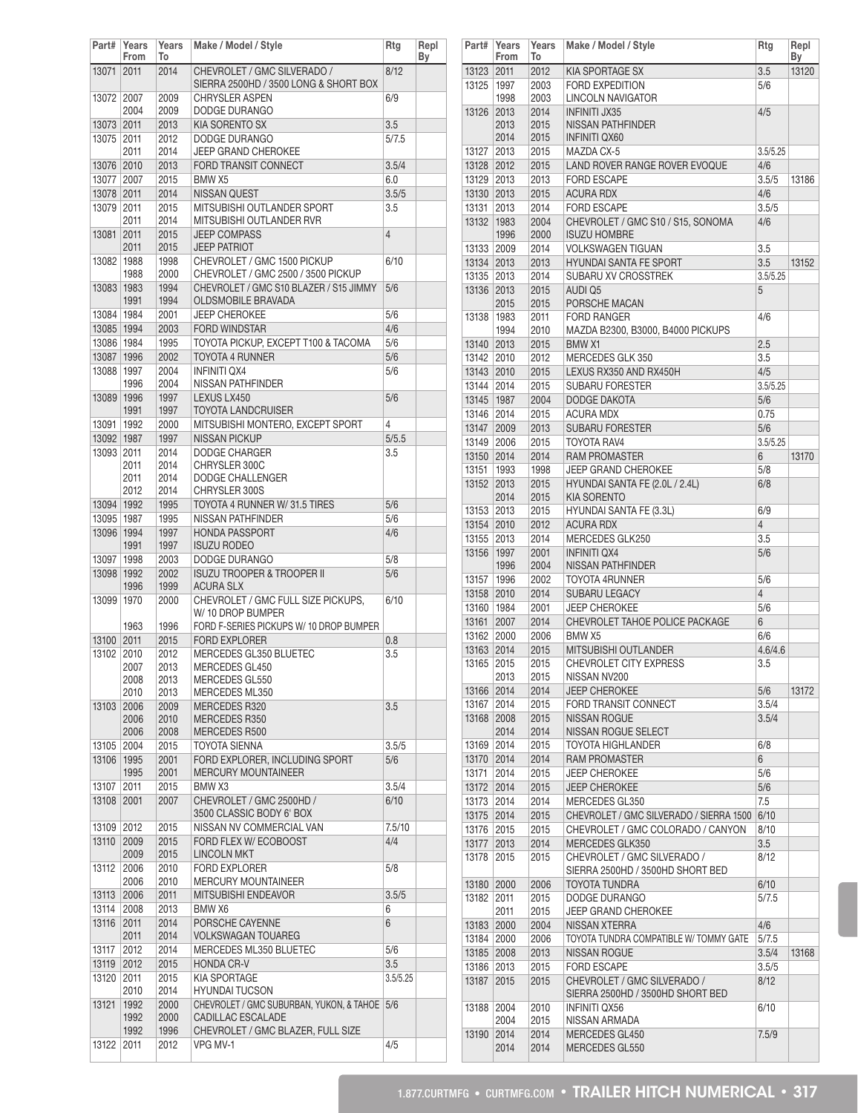| Part#                    | Years<br>From | Years<br>To  | Make / Model / Style                                                 | Rtg            | Repl<br>Вy |
|--------------------------|---------------|--------------|----------------------------------------------------------------------|----------------|------------|
| 13071                    | 2011          | 2014         | CHEVROLET / GMC SILVERADO /<br>SIERRA 2500HD / 3500 LONG & SHORT BOX | 8/12           |            |
| 13072                    | 2007<br>2004  | 2009<br>2009 | <b>CHRYSLER ASPEN</b><br>DODGE DURANGO                               | 6/9            |            |
| 13073 2011               |               | 2013         | KIA SORENTO SX                                                       | 3.5            |            |
| 13075 2011               |               | 2012         | DODGE DURANGO                                                        | 5/7.5          |            |
|                          | 2011          | 2014         | <b>JEEP GRAND CHEROKEE</b>                                           |                |            |
| 13076 2010               |               | 2013         | FORD TRANSIT CONNECT                                                 | 3.5/4          |            |
| 13077 2007               |               | 2015         | BMW <sub>X5</sub>                                                    | 6.0            |            |
| 13078 2011               |               | 2014         | <b>NISSAN QUEST</b>                                                  | 3.5/5          |            |
| 13079 2011               |               | 2015         | MITSUBISHI OUTLANDER SPORT                                           | 3.5            |            |
|                          | 2011          | 2014         | MITSUBISHI OUTLANDER RVR                                             |                |            |
| 13081                    | 2011          | 2015         | <b>JEEP COMPASS</b>                                                  | $\overline{4}$ |            |
|                          | 2011          | 2015         | <b>JEEP PATRIOT</b>                                                  |                |            |
| 13082                    | 1988          | 1998         | CHEVROLET / GMC 1500 PICKUP                                          | 6/10           |            |
|                          | 1988          | 2000         | CHEVROLET / GMC 2500 / 3500 PICKUP                                   |                |            |
| 13083 1983               |               | 1994         | CHEVROLET / GMC S10 BLAZER / S15 JIMMY                               | 5/6            |            |
|                          | 1991          | 1994         | OLDSMOBILE BRAVADA                                                   |                |            |
| 13084   1984             |               | 2001         | <b>JEEP CHEROKEE</b>                                                 | 5/6            |            |
| 13085 1994               |               | 2003         | <b>FORD WINDSTAR</b>                                                 | 4/6            |            |
| 13086   1984             |               | 1995         | TOYOTA PICKUP, EXCEPT T100 & TACOMA                                  | 5/6            |            |
| 13087 1996               |               | 2002         | <b>TOYOTA 4 RUNNER</b>                                               | 5/6            |            |
| 13088 1997               |               | 2004         | <b>INFINITI OX4</b>                                                  | 5/6            |            |
|                          | 1996          | 2004         | NISSAN PATHFINDER                                                    |                |            |
| 13089 1996               |               | 1997         | LEXUS LX450                                                          | 5/6            |            |
|                          | 1991          | 1997         | <b>TOYOTA LANDCRUISER</b>                                            |                |            |
| 13091 1992               |               | 2000         | MITSUBISHI MONTERO, EXCEPT SPORT<br><b>NISSAN PICKUP</b>             | 4              |            |
| 13092 1987<br>13093 2011 |               | 1997<br>2014 | <b>DODGE CHARGER</b>                                                 | 5/5.5          |            |
|                          | 2011          | 2014         | CHRYSLER 300C                                                        | 3.5            |            |
|                          | 2011          | 2014         | DODGE CHALLENGER                                                     |                |            |
|                          | 2012          | 2014         | CHRYSLER 300S                                                        |                |            |
| 13094   1992             |               | 1995         | TOYOTA 4 RUNNER W/31.5 TIRES                                         | 5/6            |            |
| 13095 1987               |               | 1995         | NISSAN PATHFINDER                                                    | 5/6            |            |
| 13096 1994               |               | 1997         | <b>HONDA PASSPORT</b>                                                | 4/6            |            |
|                          | 1991          | 1997         | <b>ISUZU RODEO</b>                                                   |                |            |
| 13097                    | 1998          | 2003         | DODGE DURANGO                                                        | 5/8            |            |
| 13098 1992               |               | 2002         | <b>ISUZU TROOPER &amp; TROOPER II</b>                                | 5/6            |            |
|                          | 1996          | 1999         | <b>ACURA SLX</b>                                                     |                |            |
| 13099                    | 1970          | 2000         | CHEVROLET / GMC FULL SIZE PICKUPS.                                   | 6/10           |            |
|                          |               |              | W/ 10 DROP BUMPER                                                    |                |            |
|                          | 1963          | 1996         | FORD F-SERIES PICKUPS W/ 10 DROP BUMPER                              |                |            |
| 13100                    | 2011          | 2015         | <b>FORD EXPLORER</b>                                                 | 0.8            |            |
| 13102                    | 2010          | 2012         | MERCEDES GL350 BLUETEC                                               | 3.5            |            |
|                          | 2007          | 2013         | MERCEDES GL450                                                       |                |            |
|                          | 2008          | 2013         | MERCEDES GL550                                                       |                |            |
|                          | 2010          | 2013         | MERCEDES ML350<br>MERCEDES R320                                      |                |            |
| 13103                    | 2006<br>2006  | 2009<br>2010 | MERCEDES R350                                                        | 3.5            |            |
|                          | 2006          | 2008         | MERCEDES R500                                                        |                |            |
| 13105                    | 2004          | 2015         | <b>TOYOTA SIENNA</b>                                                 | 3.5/5          |            |
| 13106                    | 1995          | 2001         | FORD EXPLORER, INCLUDING SPORT                                       | 5/6            |            |
|                          | 1995          | 2001         | MERCURY MOUNTAINEER                                                  |                |            |
| 13107                    | 2011          | 2015         | BMW X3                                                               | 3.5/4          |            |
| 13108                    | 2001          | 2007         | CHEVROLET / GMC 2500HD /                                             | 6/10           |            |
|                          |               |              | 3500 CLASSIC BODY 6' BOX                                             |                |            |
| 13109                    | 2012          | 2015         | NISSAN NV COMMERCIAL VAN                                             | 7.5/10         |            |
| 13110                    | 2009          | 2015         | FORD FLEX W/ ECOBOOST                                                | 4/4            |            |
|                          | 2009          | 2015         | <b>LINCOLN MKT</b>                                                   |                |            |
| 13112                    | 2006          | 2010         | <b>FORD EXPLORER</b>                                                 | 5/8            |            |
|                          | 2006          | 2010         | <b>MERCURY MOUNTAINEER</b>                                           |                |            |
| 13113                    | 2006          | 2011         | MITSUBISHI ENDEAVOR                                                  | 3.5/5          |            |
| 13114                    | 2008          | 2013         | BMW X6                                                               | 6              |            |
| 13116                    | 2011          | 2014         | PORSCHE CAYENNE                                                      | 6              |            |
|                          | 2011          | 2014         | VOLKSWAGAN TOUAREG                                                   |                |            |
| 13117                    | 2012          | 2014         | MERCEDES ML350 BLUETEC                                               | 5/6            |            |
| 13119                    | 2012          | 2015         | <b>HONDA CR-V</b>                                                    | 3.5            |            |
| 13120                    | 2011          | 2015         | <b>KIA SPORTAGE</b>                                                  | 3.5/5.25       |            |
|                          | 2010          | 2014         | <b>HYUNDAI TUCSON</b>                                                |                |            |
| 13121                    | 1992          | 2000         | CHEVROLET / GMC SUBURBAN, YUKON, & TAHOE                             | 5/6            |            |
|                          | 1992          | 2000         | CADILLAC ESCALADE                                                    |                |            |
|                          | 1992          | 1996         | CHEVROLET / GMC BLAZER, FULL SIZE                                    |                |            |
| 13122                    | 2011          | 2012         | VPG MV-1                                                             | 4/5            |            |

| Part#      | Years<br>From | Years<br>To  | Make / Model / Style                                            | Rtg            | Repl<br>Вy |
|------------|---------------|--------------|-----------------------------------------------------------------|----------------|------------|
| 13123      | 2011          | 2012         | KIA SPORTAGE SX                                                 | 3.5            | 13120      |
| 13125      | 1997          | 2003         | <b>FORD EXPEDITION</b>                                          | 5/6            |            |
|            | 1998          | 2003         | LINCOLN NAVIGATOR                                               |                |            |
| 13126      | 2013          | 2014         | <b>INFINITI JX35</b>                                            | 4/5            |            |
|            | 2013          | 2015         | <b>NISSAN PATHFINDER</b>                                        |                |            |
|            | 2014          | 2015         | <b>INFINITI QX60</b>                                            |                |            |
| 13127 2013 |               | 2015         | MAZDA CX-5                                                      | 3.5/5.25       |            |
| 13128 2012 |               | 2015         | LAND ROVER RANGE ROVER EVOQUE                                   | 4/6            |            |
| 13129 2013 |               | 2013         | <b>FORD ESCAPE</b>                                              | 3.5/5          | 13186      |
| 13130 2013 |               | 2015         | <b>ACURA RDX</b>                                                | 4/6            |            |
| 13131      | 2013          | 2014         | <b>FORD ESCAPE</b>                                              | 3.5/5          |            |
| 13132      | 1983          | 2004         | CHEVROLET / GMC S10 / S15, SONOMA                               | 4/6            |            |
|            | 1996          | 2000         | <b>ISUZU HOMBRE</b>                                             |                |            |
| 13133 2009 |               | 2014         | <b>VOLKSWAGEN TIGUAN</b>                                        | 3.5            |            |
| 13134 2013 |               | 2013         | <b>HYUNDAI SANTA FE SPORT</b>                                   | 3.5            | 13152      |
| 13135 2013 |               | 2014         | SUBARU XV CROSSTREK                                             | 3.5/5.25       |            |
| 13136 2013 |               | 2015         | <b>AUDI Q5</b>                                                  | 5              |            |
|            | 2015          | 2015         | PORSCHE MACAN                                                   |                |            |
| 13138      | 1983          | 2011         | <b>FORD RANGER</b>                                              | 4/6            |            |
|            | 1994          | 2010         | MAZDA B2300, B3000, B4000 PICKUPS                               |                |            |
| 13140 2013 |               | 2015         | <b>BMW X1</b>                                                   | 2.5            |            |
| 13142 2010 |               | 2012         | MERCEDES GLK 350                                                | 3.5            |            |
| 13143 2010 |               | 2015         | LEXUS RX350 AND RX450H                                          | 4/5            |            |
| 13144 2014 |               | 2015         | <b>SUBARU FORESTER</b>                                          | 3.5/5.25       |            |
| 13145 1987 |               | 2004         | <b>DODGE DAKOTA</b>                                             | 5/6            |            |
| 13146 2014 |               | 2015         | <b>ACURA MDX</b>                                                | 0.75           |            |
| 13147 2009 |               | 2013         | <b>SUBARU FORESTER</b>                                          | 5/6            |            |
| 13149 2006 |               | 2015         | <b>TOYOTA RAV4</b>                                              | 3.5/5.25       |            |
| 13150 2014 |               | 2014         | <b>RAM PROMASTER</b>                                            | 6              | 13170      |
| 13151      | 1993          | 1998         | JEEP GRAND CHEROKEE                                             | 5/8            |            |
| 13152      | 2013          | 2015         | HYUNDAI SANTA FE (2.0L / 2.4L)                                  | 6/8            |            |
|            | 2014          | 2015         | <b>KIA SORENTO</b>                                              |                |            |
| 13153 2013 |               | 2015         | <b>HYUNDAI SANTA FE (3.3L)</b>                                  | 6/9            |            |
| 13154 2010 |               | 2012         | <b>ACURA RDX</b>                                                | $\overline{4}$ |            |
| 13155 2013 |               | 2014         | MERCEDES GLK250                                                 | 3.5            |            |
| 13156      | 1997          | 2001         | <b>INFINITI QX4</b>                                             | 5/6            |            |
|            | 1996          | 2004         | NISSAN PATHFINDER                                               |                |            |
| 13157      | 1996          | 2002         | <b>TOYOTA 4RUNNER</b>                                           | 5/6            |            |
| 13158 2010 |               | 2014         | <b>SUBARU LEGACY</b>                                            | 4              |            |
| 13160 1984 |               | 2001         | <b>JEEP CHEROKEE</b>                                            | 5/6            |            |
| 13161 2007 |               | 2014         | CHEVROLET TAHOE POLICE PACKAGE                                  | 6              |            |
| 13162 2000 |               | 2006         | BMW X5                                                          | 6/6            |            |
| 13163 2014 |               | 2015         | MITSUBISHI OUTLANDER                                            | 4.6/4.6        |            |
| 13165      | 2015          | 2015         | <b>CHEVROLET CITY EXPRESS</b>                                   | 3.5            |            |
|            | 2013          | 2015         | NISSAN NV200                                                    |                |            |
| 13166 2014 |               | 2014         | <b>JEEP CHEROKEE</b>                                            | 5/6            | 13172      |
| 13167      | 2014          | 2015         | <b>FORD TRANSIT CONNECT</b>                                     | 3.5/4          |            |
| 13168      | 2008          | 2015         | <b>NISSAN ROGUE</b>                                             | 3.5/4          |            |
|            | 2014          | 2014         | NISSAN ROGUE SELECT                                             |                |            |
| 13169      | 2014          | 2015         | TOYOTA HIGHLANDER                                               | 6/8            |            |
| 13170 2014 |               | 2014         | <b>RAM PROMASTER</b>                                            | 6              |            |
| 13171      | 2014          | 2015         | <b>JEEP CHEROKEE</b>                                            | 5/6            |            |
| 13172      | 2014          | 2015         | <b>JEEP CHEROKEE</b>                                            | 5/6            |            |
| 13173      | 2014          | 2014         | MERCEDES GL350                                                  | 7.5            |            |
| 13175      | 2014          | 2015         | CHEVROLET / GMC SILVERADO / SIERRA 1500                         | 6/10           |            |
| 13176      | 2015          | 2015         | CHEVROLET / GMC COLORADO / CANYON                               | 8/10           |            |
| 13177 2013 |               | 2014         | MERCEDES GLK350                                                 | 3.5            |            |
| 13178      | 2015          | 2015         | CHEVROLET / GMC SILVERADO /<br>SIERRA 2500HD / 3500HD SHORT BED | 8/12           |            |
| 13180      | 2000          | 2006         | <b>TOYOTA TUNDRA</b>                                            | 6/10           |            |
| 13182      | 2011          | 2015         | DODGE DURANGO                                                   | 5/7.5          |            |
|            | 2011          | 2015         | <b>JEEP GRAND CHEROKEE</b>                                      |                |            |
| 13183 2000 |               | 2004         | NISSAN XTERRA                                                   | 4/6            |            |
| 13184 2000 |               | 2006         | TOYOTA TUNDRA COMPATIBLE W/ TOMMY GATE                          | 5/7.5          |            |
| 13185 2008 |               | 2013         | NISSAN ROGUE                                                    | 3.5/4          | 13168      |
| 13186      | 2013          | 2015         | <b>FORD ESCAPE</b>                                              | 3.5/5          |            |
| 13187      | 2015          | 2015         | CHEVROLET / GMC SILVERADO /                                     | 8/12           |            |
|            |               |              | SIERRA 2500HD / 3500HD SHORT BED                                |                |            |
| 13188      | 2004<br>2004  | 2010<br>2015 | <b>INFINITI QX56</b><br>NISSAN ARMADA                           | 6/10           |            |
| 13190      | 2014          | 2014         | MERCEDES GL450                                                  | 7.5/9          |            |
|            | 2014          | 2014         | MERCEDES GL550                                                  |                |            |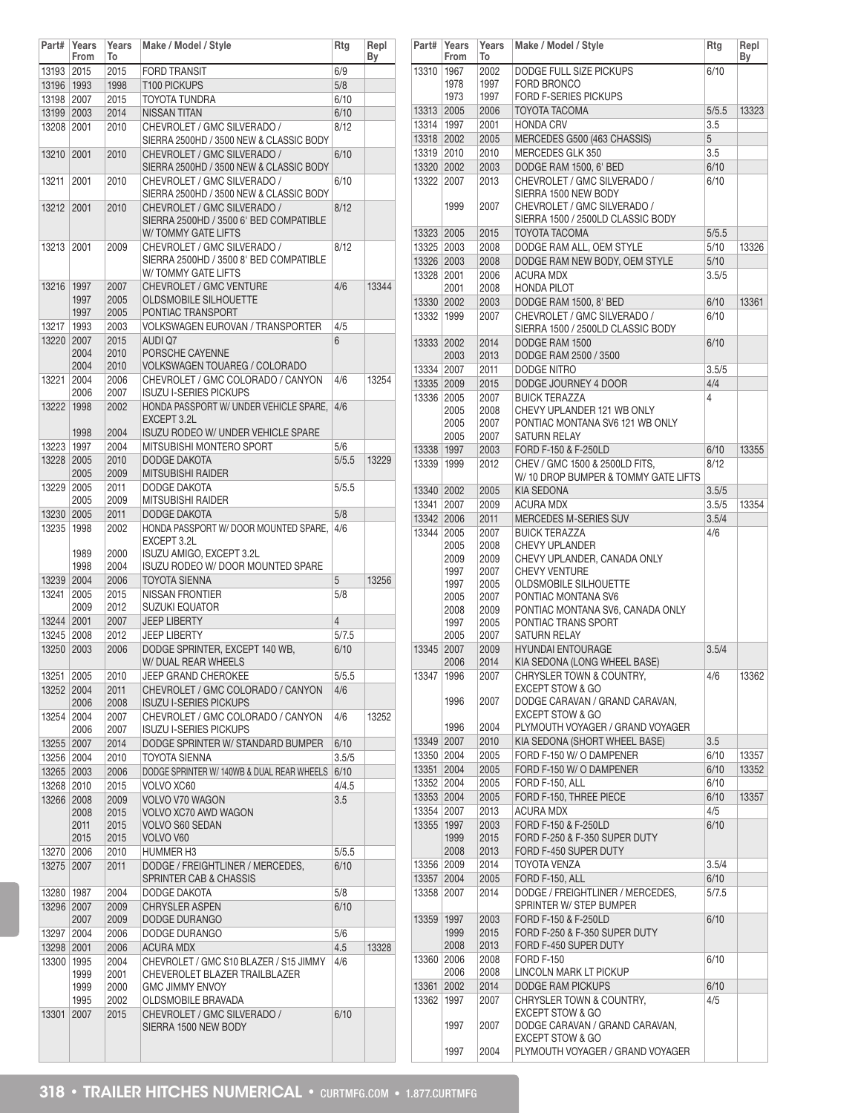| Part#        | Years<br>From | Years<br>To  | Make / Model / Style                                                                        | Rtg   | Repl<br>By |
|--------------|---------------|--------------|---------------------------------------------------------------------------------------------|-------|------------|
| 13193 2015   |               | 2015         | <b>FORD TRANSIT</b>                                                                         | 6/9   |            |
| 13196   1993 |               | 1998         | T100 PICKUPS                                                                                | 5/8   |            |
| 13198 2007   |               | 2015         | TOYOTA TUNDRA                                                                               | 6/10  |            |
| 13199 2003   |               | 2014         | <b>NISSAN TITAN</b>                                                                         | 6/10  |            |
| 13208 2001   |               | 2010         | CHEVROLET / GMC SILVERADO /<br>SIERRA 2500HD / 3500 NEW & CLASSIC BODY                      | 8/12  |            |
| 13210        | 2001          | 2010         | CHEVROLET / GMC SILVERADO /<br>SIERRA 2500HD / 3500 NEW & CLASSIC BODY                      | 6/10  |            |
| 13211        | 2001          | 2010         | CHEVROLET / GMC SILVERADO /<br>SIERRA 2500HD / 3500 NEW & CLASSIC BODY                      | 6/10  |            |
| 13212        | 2001          | 2010         | CHEVROLET / GMC SILVERADO /<br>SIERRA 2500HD / 3500 6' BED COMPATIBLE<br>W/TOMMY GATE LIFTS | 8/12  |            |
| 13213        | 2001          | 2009         | CHEVROLET / GMC SILVERADO /<br>SIERRA 2500HD / 3500 8' BED COMPATIBLE<br>W/TOMMY GATE LIFTS | 8/12  |            |
| 13216 1997   | 1997          | 2007<br>2005 | CHEVROLET / GMC VENTURE<br><b>OLDSMOBILE SILHOUETTE</b>                                     | 4/6   | 13344      |
|              | 1997          | 2005         | PONTIAC TRANSPORT                                                                           |       |            |
| 13217        | 1993          | 2003         | <b>VOLKSWAGEN EUROVAN / TRANSPORTER</b>                                                     | 4/5   |            |
| 13220 2007   | 2004          | 2015<br>2010 | <b>AUDI Q7</b><br>PORSCHE CAYENNE                                                           | 6     |            |
|              | 2004          | 2010         | <b>VOLKSWAGEN TOUAREG / COLORADO</b>                                                        |       |            |
| 13221        | 2004          | 2006         | CHEVROLET / GMC COLORADO / CANYON                                                           | 4/6   | 13254      |
|              | 2006          | 2007         | <b>ISUZU I-SERIES PICKUPS</b>                                                               |       |            |
| 13222 1998   |               | 2002         | HONDA PASSPORT W/ UNDER VEHICLE SPARE,<br>EXCEPT 3.2L                                       | 4/6   |            |
|              | 1998          | 2004         | ISUZU RODEO W/ UNDER VEHICLE SPARE                                                          |       |            |
| 13223 1997   |               | 2004         | MITSUBISHI MONTERO SPORT                                                                    | 5/6   |            |
| 13228 2005   |               | 2010         | <b>DODGE DAKOTA</b>                                                                         | 5/5.5 | 13229      |
|              | 2005          | 2009         | <b>MITSUBISHI RAIDER</b>                                                                    |       |            |
| 13229 2005   |               | 2011         | <b>DODGE DAKOTA</b>                                                                         | 5/5.5 |            |
|              | 2005          | 2009         | MITSUBISHI RAIDER                                                                           |       |            |
| 13230 2005   |               | 2011         | DODGE DAKOTA                                                                                | 5/8   |            |
| 13235 1998   | 1989          | 2002<br>2000 | HONDA PASSPORT W/ DOOR MOUNTED SPARE,<br>EXCEPT 3.2L<br>ISUZU AMIGO, EXCEPT 3.2L            | 4/6   |            |
|              | 1998          | 2004         | ISUZU RODEO W/ DOOR MOUNTED SPARE                                                           |       |            |
| 13239 2004   |               | 2006         | <b>TOYOTA SIENNA</b>                                                                        | 5     | 13256      |
| 13241        | 2005          | 2015         | <b>NISSAN FRONTIER</b>                                                                      | 5/8   |            |
|              | 2009          | 2012         | <b>SUZUKI EQUATOR</b>                                                                       |       |            |
| 13244 2001   |               | 2007         | <b>JEEP LIBERTY</b>                                                                         | 4     |            |
| 13245 2008   |               | 2012         | <b>JEEP LIBERTY</b>                                                                         | 5/7.5 |            |
| 13250 2003   |               | 2006         | DODGE SPRINTER, EXCEPT 140 WB,<br>W/ DUAL REAR WHEELS                                       | 6/10  |            |
| 13251        | 2005          | 2010         | JEEP GRAND CHEROKEE                                                                         | 5/5.5 |            |
| 13252 2004   |               | 2011         | CHEVROLET / GMC COLORADO / CANYON                                                           | 4/6   |            |
|              | 2006          | 2008         | <b>ISUZU I-SERIES PICKUPS</b>                                                               |       |            |
| 13254 2004   | 2006          | 2007<br>2007 | CHEVROLET / GMC COLORADO / CANYON<br><b>ISUZU I-SERIES PICKUPS</b>                          | 4/6   | 13252      |
| 13255 2007   |               | 2014         | DODGE SPRINTER W/ STANDARD BUMPER                                                           | 6/10  |            |
| 13256 2004   |               | 2010         | <b>TOYOTA SIENNA</b>                                                                        | 3.5/5 |            |
| 13265 2003   |               | 2006         | DODGE SPRINTER W/ 140WB & DUAL REAR WHEELS                                                  | 6/10  |            |
| 13268 2010   |               | 2015         | VOLVO XC60                                                                                  | 4/4.5 |            |
| 13266 2008   |               | 2009         | VOLVO V70 WAGON                                                                             | 3.5   |            |
|              | 2008          | 2015         | VOLVO XC70 AWD WAGON                                                                        |       |            |
|              | 2011          | 2015         | <b>VOLVO S60 SEDAN</b>                                                                      |       |            |
|              | 2015          | 2015         | VOLVO V60                                                                                   |       |            |
| 13270 2006   |               | 2010         | <b>HUMMER H3</b>                                                                            | 5/5.5 |            |
| 13275        | 2007          | 2011         | DODGE / FREIGHTLINER / MERCEDES,<br>SPRINTER CAB & CHASSIS                                  | 6/10  |            |
| 13280   1987 |               | 2004         | DODGE DAKOTA                                                                                | 5/8   |            |
| 13296 2007   | 2007          | 2009<br>2009 | <b>CHRYSLER ASPEN</b><br>DODGE DURANGO                                                      | 6/10  |            |
| 13297 2004   |               | 2006         | DODGE DURANGO                                                                               | 5/6   |            |
| 13298 2001   |               | 2006         | <b>ACURA MDX</b>                                                                            | 4.5   | 13328      |
| 13300   1995 |               | 2004         | CHEVROLET / GMC S10 BLAZER / S15 JIMMY                                                      | 4/6   |            |
|              | 1999          | 2001         | CHEVEROLET BLAZER TRAILBLAZER<br><b>GMC JIMMY ENVOY</b>                                     |       |            |
|              | 1999<br>1995  | 2000<br>2002 | OLDSMOBILE BRAVADA                                                                          |       |            |
| 13301        | 2007          | 2015         | CHEVROLET / GMC SILVERADO /                                                                 | 6/10  |            |
|              |               |              | SIERRA 1500 NEW BODY                                                                        |       |            |

| Part#        | Years<br>From | Years<br>To  | Make / Model / Style                                  | Rtg   | Repl<br>Вy |
|--------------|---------------|--------------|-------------------------------------------------------|-------|------------|
| 13310        | 1967          | 2002         | DODGE FULL SIZE PICKUPS                               | 6/10  |            |
|              | 1978          | 1997         | <b>FORD BRONCO</b>                                    |       |            |
|              | 1973          | 1997         | FORD F-SERIES PICKUPS                                 |       |            |
| 13313        | 2005          | 2006         | <b>TOYOTA TACOMA</b>                                  | 5/5.5 | 13323      |
| 13314        | 1997          | 2001         | <b>HONDA CRV</b>                                      | 3.5   |            |
| 13318 2002   |               | 2005         | MERCEDES G500 (463 CHASSIS)                           | 5     |            |
| 13319        | 2010          | 2010         | MERCEDES GLK 350                                      | 3.5   |            |
| 13320 2002   |               | 2003         | DODGE RAM 1500, 6' BED                                | 6/10  |            |
| 13322        | 2007          | 2013         | CHEVROLET / GMC SILVERADO /                           | 6/10  |            |
|              |               |              | SIERRA 1500 NEW BODY                                  |       |            |
|              | 1999          | 2007         | CHEVROLET / GMC SILVERADO /                           |       |            |
|              |               |              | SIERRA 1500 / 2500LD CLASSIC BODY                     |       |            |
| 13323 2005   |               | 2015         | <b>TOYOTA TACOMA</b>                                  | 5/5.5 |            |
| 13325 2003   |               | 2008         | DODGE RAM ALL, OEM STYLE                              | 5/10  | 13326      |
| 13326 2003   |               | 2008         | DODGE RAM NEW BODY, OEM STYLE                         | 5/10  |            |
| 13328 2001   |               | 2006         | <b>ACURA MDX</b>                                      | 3.5/5 |            |
|              | 2001          | 2008         | <b>HONDA PILOT</b>                                    |       |            |
| 13330 2002   |               | 2003         | DODGE RAM 1500, 8' BED                                | 6/10  | 13361      |
| 13332        | 1999          | 2007         | CHEVROLET / GMC SILVERADO /                           | 6/10  |            |
|              |               |              | SIERRA 1500 / 2500LD CLASSIC BODY                     |       |            |
| 13333 2002   |               | 2014         | DODGE RAM 1500                                        | 6/10  |            |
|              | 2003          | 2013         | DODGE RAM 2500 / 3500                                 |       |            |
| 13334 2007   |               | 2011         | DODGE NITRO                                           | 3.5/5 |            |
| 13335 2009   |               | 2015         | DODGE JOURNEY 4 DOOR                                  | 4/4   |            |
| 13336 2005   |               | 2007         | <b>BUICK TERAZZA</b>                                  | 4     |            |
|              | 2005          | 2008         | CHEVY UPLANDER 121 WB ONLY                            |       |            |
|              | 2005          | 2007         | PONTIAC MONTANA SV6 121 WB ONLY                       |       |            |
|              | 2005          | 2007         | SATURN RELAY                                          |       |            |
| 13338 1997   |               | 2003         | FORD F-150 & F-250LD                                  | 6/10  | 13355      |
| 13339   1999 |               | 2012         | CHEV / GMC 1500 & 2500LD FITS,                        | 8/12  |            |
|              |               |              | W/10 DROP BUMPER & TOMMY GATE LIFTS                   |       |            |
| 13340 2002   |               | 2005         | <b>KIA SEDONA</b>                                     | 3.5/5 |            |
| 13341        | 2007          | 2009         | <b>ACURA MDX</b>                                      | 3.5/5 | 13354      |
| 13342 2006   |               | 2011         | MERCEDES M-SERIES SUV                                 | 3.5/4 |            |
| 13344        | 2005          | 2007         | <b>BUICK TERAZZA</b>                                  | 4/6   |            |
|              | 2005<br>2009  | 2008<br>2009 | <b>CHEVY UPLANDER</b><br>CHEVY UPLANDER, CANADA ONLY  |       |            |
|              | 1997          | 2007         | <b>CHEVY VENTURE</b>                                  |       |            |
|              | 1997          | 2005         | <b>OLDSMOBILE SILHOUETTE</b>                          |       |            |
|              | 2005          | 2007         | PONTIAC MONTANA SV6                                   |       |            |
|              | 2008          | 2009         | PONTIAC MONTANA SV6, CANADA ONLY                      |       |            |
|              | 1997          | 2005         | PONTIAC TRANS SPORT                                   |       |            |
|              | 2005          | 2007         | SATURN RELAY                                          |       |            |
| 13345 2007   |               | 2009         | <b>HYUNDAI ENTOURAGE</b>                              | 3.5/4 |            |
|              | 2006          | 2014         | KIA SEDONA (LONG WHEEL BASE)                          |       |            |
| 13347 1996   |               | 2007         | CHRYSLER TOWN & COUNTRY,                              | 4/6   | 13362      |
|              |               |              | <b>EXCEPT STOW &amp; GO</b>                           |       |            |
|              | 1996          | 2007         | DODGE CARAVAN / GRAND CARAVAN.                        |       |            |
|              |               |              | <b>EXCEPT STOW &amp; GO</b>                           |       |            |
|              | 1996          | 2004         | PLYMOUTH VOYAGER / GRAND VOYAGER                      |       |            |
| 13349 2007   |               | 2010         | KIA SEDONA (SHORT WHEEL BASE)                         | 3.5   |            |
| 13350 2004   |               | 2005         | FORD F-150 W/ O DAMPENER                              | 6/10  | 13357      |
| 13351 2004   |               | 2005         | FORD F-150 W/ O DAMPENER                              | 6/10  | 13352      |
| 13352 2004   |               | 2005         | FORD F-150, ALL                                       | 6/10  |            |
| 13353 2004   |               | 2005         | FORD F-150, THREE PIECE                               | 6/10  | 13357      |
| 13354 2007   |               | 2013         | <b>ACURA MDX</b>                                      | 4/5   |            |
| 13355 1997   |               | 2003         | FORD F-150 & F-250LD<br>FORD F-250 & F-350 SUPER DUTY | 6/10  |            |
|              | 1999<br>2008  | 2015<br>2013 | FORD F-450 SUPER DUTY                                 |       |            |
| 13356 2009   |               | 2014         | TOYOTA VENZA                                          | 3.5/4 |            |
| 13357 2004   |               | 2005         | FORD F-150, ALL                                       | 6/10  |            |
| 13358 2007   |               | 2014         | DODGE / FREIGHTLINER / MERCEDES,                      | 5/7.5 |            |
|              |               |              | SPRINTER W/ STEP BUMPER                               |       |            |
| 13359   1997 |               | 2003         | FORD F-150 & F-250LD                                  | 6/10  |            |
|              | 1999          | 2015         | FORD F-250 & F-350 SUPER DUTY                         |       |            |
|              | 2008          | 2013         | FORD F-450 SUPER DUTY                                 |       |            |
| 13360 2006   |               | 2008         | <b>FORD F-150</b>                                     | 6/10  |            |
|              | 2006          | 2008         | LINCOLN MARK LT PICKUP                                |       |            |
| 13361        | 2002          | 2014         | DODGE RAM PICKUPS                                     | 6/10  |            |
| 13362        | 1997          | 2007         | CHRYSLER TOWN & COUNTRY,                              | 4/5   |            |
|              |               |              | <b>EXCEPT STOW &amp; GO</b>                           |       |            |
|              | 1997          | 2007         | DODGE CARAVAN / GRAND CARAVAN,                        |       |            |
|              |               |              | <b>EXCEPT STOW &amp; GO</b>                           |       |            |
|              | 1997          | 2004         | PLYMOUTH VOYAGER / GRAND VOYAGER                      |       |            |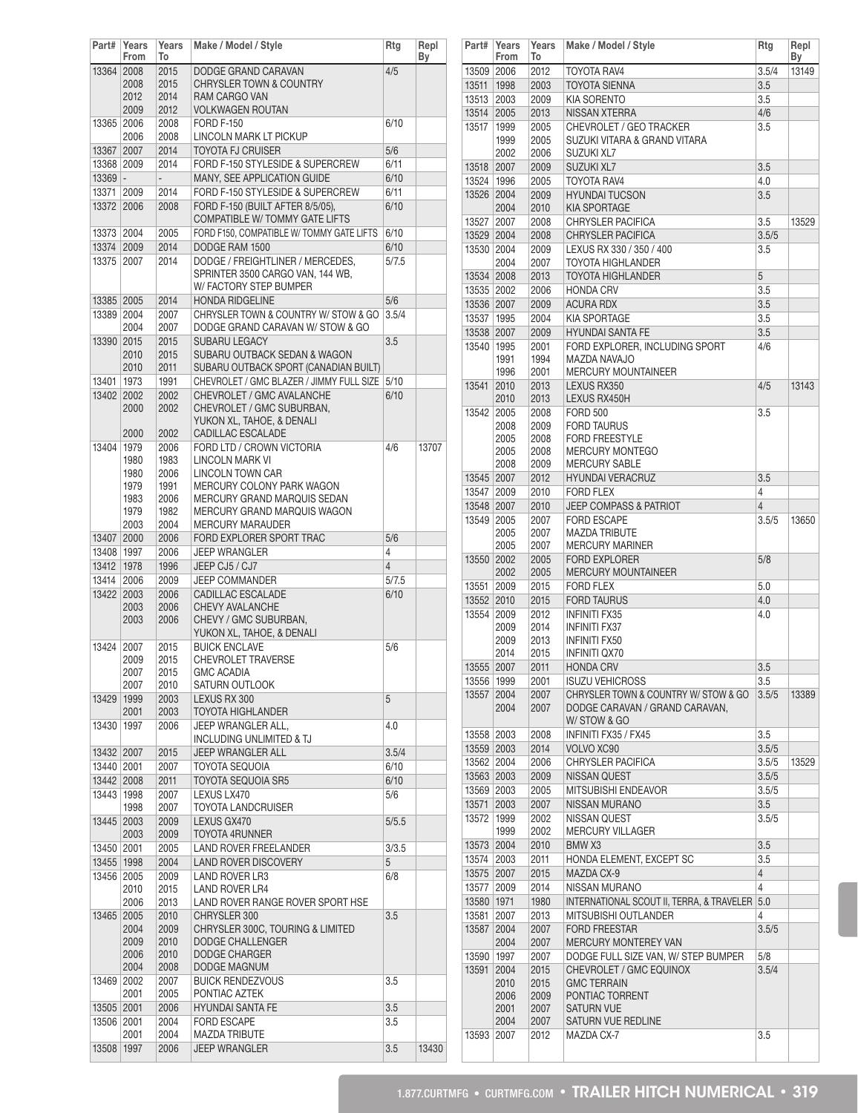| Part#                    | Years<br>From | Years<br>To              | Make / Model / Style                                               | Rtg            | Repl<br>By |
|--------------------------|---------------|--------------------------|--------------------------------------------------------------------|----------------|------------|
| 13364 2008               |               | 2015                     | DODGE GRAND CARAVAN                                                | 4/5            |            |
|                          | 2008          | 2015                     | CHRYSLER TOWN & COUNTRY                                            |                |            |
|                          | 2012          | 2014                     | RAM CARGO VAN                                                      |                |            |
|                          | 2009          | 2012                     | <b>VOLKWAGEN ROUTAN</b>                                            |                |            |
| 13365 2006               |               | 2008                     | <b>FORD F-150</b>                                                  | 6/10           |            |
|                          | 2006          | 2008                     | LINCOLN MARK LT PICKUP                                             |                |            |
| 13367 2007               |               | 2014                     | <b>TOYOTA FJ CRUISER</b>                                           | 5/6            |            |
| 13368 2009               |               | 2014                     | FORD F-150 STYLESIDE & SUPERCREW                                   | 6/11           |            |
| $13369 -$                |               | $\overline{\phantom{a}}$ | MANY, SEE APPLICATION GUIDE                                        | 6/10           |            |
| 13371 2009               |               | 2014                     | FORD F-150 STYLESIDE & SUPERCREW                                   | 6/11           |            |
| 13372 2006               |               | 2008                     | FORD F-150 (BUILT AFTER 8/5/05),<br>COMPATIBLE W/ TOMMY GATE LIFTS | 6/10           |            |
| 13373 2004               |               | 2005                     | FORD F150, COMPATIBLE W/ TOMMY GATE LIFTS                          | 6/10           |            |
| 13374 2009               |               | 2014                     | DODGE RAM 1500                                                     | 6/10           |            |
| 13375                    | 2007          | 2014                     | DODGE / FREIGHTLINER / MERCEDES,                                   | 5/7.5          |            |
|                          |               |                          | SPRINTER 3500 CARGO VAN, 144 WB,                                   |                |            |
|                          |               |                          | W/ FACTORY STEP BUMPER                                             |                |            |
| 13385 2005               |               | 2014                     | <b>HONDA RIDGELINE</b>                                             | 5/6            |            |
| 13389 2004               |               | 2007                     | CHRYSLER TOWN & COUNTRY W/ STOW & GO                               | 3.5/4          |            |
|                          | 2004          | 2007                     | DODGE GRAND CARAVAN W/ STOW & GO                                   |                |            |
| 13390 2015               |               | 2015<br>2015             | <b>SUBARU LEGACY</b><br>SUBARU OUTBACK SEDAN & WAGON               | 3.5            |            |
|                          | 2010<br>2010  | 2011                     | SUBARU OUTBACK SPORT (CANADIAN BUILT)                              |                |            |
| 13401   1973             |               | 1991                     | CHEVROLET / GMC BLAZER / JIMMY FULL SIZE                           | 5/10           |            |
| 13402 2002               |               | 2002                     | CHEVROLET / GMC AVALANCHE                                          | 6/10           |            |
|                          | 2000          | 2002                     | CHEVROLET / GMC SUBURBAN,                                          |                |            |
|                          |               |                          | YUKON XL, TAHOE, & DENALI                                          |                |            |
|                          | 2000          | 2002                     | CADILLAC ESCALADE                                                  |                |            |
| 13404                    | 1979          | 2006                     | FORD LTD / CROWN VICTORIA                                          | 4/6            | 13707      |
|                          | 1980          | 1983                     | <b>LINCOLN MARK VI</b>                                             |                |            |
|                          | 1980          | 2006                     | <b>LINCOLN TOWN CAR</b>                                            |                |            |
|                          | 1979<br>1983  | 1991<br>2006             | MERCURY COLONY PARK WAGON<br>MERCURY GRAND MARQUIS SEDAN           |                |            |
|                          | 1979          | 1982                     | MERCURY GRAND MARQUIS WAGON                                        |                |            |
|                          | 2003          | 2004                     | <b>MERCURY MARAUDER</b>                                            |                |            |
| 13407 2000               |               | 2006                     | FORD EXPLORER SPORT TRAC                                           | 5/6            |            |
| 13408   1997             |               | 2006                     | <b>JEEP WRANGLER</b>                                               | 4              |            |
| 13412 1978               |               | 1996                     | JEEP CJ5 / CJ7                                                     | $\overline{4}$ |            |
| 13414                    | 2006          | 2009                     | <b>JEEP COMMANDER</b>                                              | 5/7.5          |            |
| 13422                    | 2003          | 2006                     | CADILLAC ESCALADE                                                  | 6/10           |            |
|                          | 2003<br>2003  | 2006<br>2006             | <b>CHEVY AVALANCHE</b><br>CHEVY / GMC SUBURBAN,                    |                |            |
|                          |               |                          | YUKON XL, TAHOE, & DENALI                                          |                |            |
| 13424                    | 2007          | 2015                     | <b>BUICK ENCLAVE</b>                                               | 5/6            |            |
|                          | 2009          | 2015                     | <b>CHEVROLET TRAVERSE</b>                                          |                |            |
|                          | 2007          | 2015                     | <b>GMC ACADIA</b>                                                  |                |            |
| 13429                    | 2007<br>1999  | 2010<br>2003             | SATURN OUTLOOK<br>LEXUS RX 300                                     | 5              |            |
|                          | 2001          | 2003                     | <b>TOYOTA HIGHLANDER</b>                                           |                |            |
| 13430                    | 1997          | 2006                     | JEEP WRANGLER ALL,                                                 | 4.0            |            |
|                          |               |                          | INCLUDING UNLIMITED & TJ                                           |                |            |
| 13432 2007               |               | 2015                     | <b>JEEP WRANGLER ALL</b>                                           | 3.5/4          |            |
| 13440 2001               |               | 2007                     | TOYOTA SEQUOIA                                                     | 6/10           |            |
| 13442 2008               |               | 2011                     | TOYOTA SEQUOIA SR5                                                 | 6/10           |            |
| 13443 1998               |               | 2007                     | LEXUS LX470                                                        | 5/6            |            |
|                          | 1998          | 2007                     | <b>TOYOTA LANDCRUISER</b>                                          |                |            |
| 13445 2003               |               | 2009                     | LEXUS GX470                                                        | 5/5.5          |            |
| 13450 2001               | 2003          | 2009<br>2005             | TOYOTA 4RUNNER<br>LAND ROVER FREELANDER                            | 3/3.5          |            |
| 13455   1998             |               | 2004                     | LAND ROVER DISCOVERY                                               | 5              |            |
| 13456                    | 2005          | 2009                     | <b>LAND ROVER LR3</b>                                              | 6/8            |            |
|                          | 2010          | 2015                     | LAND ROVER LR4                                                     |                |            |
|                          | 2006          | 2013                     | LAND ROVER RANGE ROVER SPORT HSE                                   |                |            |
| 13465                    | 2005          | 2010                     | CHRYSLER 300                                                       | 3.5            |            |
|                          | 2004          | 2009                     | CHRYSLER 300C, TOURING & LIMITED                                   |                |            |
|                          | 2009          | 2010                     | DODGE CHALLENGER                                                   |                |            |
|                          | 2006<br>2004  | 2010                     | <b>DODGE CHARGER</b><br>DODGE MAGNUM                               |                |            |
|                          | 2002          | 2008<br>2007             | <b>BUICK RENDEZVOUS</b>                                            | 3.5            |            |
|                          |               |                          |                                                                    |                |            |
| 13469                    |               |                          |                                                                    |                |            |
|                          | 2001          | 2005<br>2006             | PONTIAC AZTEK<br><b>HYUNDAI SANTA FE</b>                           | 3.5            |            |
| 13505 2001<br>13506 2001 |               | 2004                     | <b>FORD ESCAPE</b>                                                 | 3.5            |            |
|                          | 2001          | 2004                     | <b>MAZDA TRIBUTE</b>                                               |                |            |

| Part#      | Years<br>From | Years<br>To | Make / Model / Style                          | Rtg   | Repl<br>Вy |
|------------|---------------|-------------|-----------------------------------------------|-------|------------|
| 13509 2006 |               | 2012        | TOYOTA RAV4                                   | 3.5/4 | 13149      |
| 13511      | 1998          | 2003        | <b>TOYOTA SIENNA</b>                          | 3.5   |            |
| 13513      | 2003          | 2009        | <b>KIA SORENTO</b>                            | 3.5   |            |
| 13514      | 2005          | 2013        | <b>NISSAN XTERRA</b>                          | 4/6   |            |
| 13517      | 1999          | 2005        | CHEVROLET / GEO TRACKER                       | 3.5   |            |
|            | 1999          | 2005        | SUZUKI VITARA & GRAND VITARA                  |       |            |
|            | 2002          | 2006        | SUZUKI XL7                                    |       |            |
| 13518      | 2007          | 2009        | <b>SUZUKI XL7</b>                             | 3.5   |            |
| 13524      | 1996          | 2005        | TOYOTA RAV4                                   | 4.0   |            |
| 13526      | 2004          | 2009        | <b>HYUNDAI TUCSON</b>                         | 3.5   |            |
|            | 2004          | 2010        | <b>KIA SPORTAGE</b>                           |       |            |
| 13527      | 2007          | 2008        | <b>CHRYSLER PACIFICA</b>                      | 3.5   | 13529      |
| 13529 2004 |               | 2008        | <b>CHRYSLER PACIFICA</b>                      | 3.5/5 |            |
| 13530 2004 |               | 2009        | LEXUS RX 330 / 350 / 400                      | 3.5   |            |
|            | 2004          | 2007        | TOYOTA HIGHLANDER                             |       |            |
| 13534      | 2008          | 2013        | <b>TOYOTA HIGHLANDER</b>                      | 5     |            |
| 13535 2002 |               | 2006        | <b>HONDA CRV</b>                              | 3.5   |            |
| 13536 2007 |               | 2009        | <b>ACURA RDX</b>                              | 3.5   |            |
| 13537      | 1995          | 2004        | <b>KIA SPORTAGE</b>                           | 3.5   |            |
| 13538 2007 |               | 2009        | <b>HYUNDAI SANTA FE</b>                       | 3.5   |            |
| 13540      | 1995          | 2001        | FORD EXPLORER, INCLUDING SPORT                | 4/6   |            |
|            | 1991          | 1994        | MAZDA NAVAJO                                  |       |            |
|            | 1996          | 2001        | MERCURY MOUNTAINEER                           |       |            |
| 13541      | 2010          | 2013        | LEXUS RX350                                   | 4/5   | 13143      |
|            | 2010          | 2013        | LEXUS RX450H                                  |       |            |
| 13542      | 2005          | 2008        | <b>FORD 500</b>                               | 3.5   |            |
|            | 2008          | 2009        | <b>FORD TAURUS</b>                            |       |            |
|            | 2005          | 2008        | <b>FORD FREESTYLE</b>                         |       |            |
|            | 2005          | 2008        | <b>MERCURY MONTEGO</b>                        |       |            |
|            | 2008          | 2009        | <b>MERCURY SABLE</b>                          |       |            |
| 13545 2007 |               | 2012        | <b>HYUNDAI VERACRUZ</b>                       | 3.5   |            |
| 13547      | 2009          | 2010        | <b>FORD FLEX</b>                              | 4     |            |
| 13548 2007 |               | 2010        | <b>JEEP COMPASS &amp; PATRIOT</b>             | 4     |            |
| 13549      | 2005          | 2007        | <b>FORD ESCAPE</b>                            | 3.5/5 | 13650      |
|            | 2005          | 2007        | <b>MAZDA TRIBUTE</b>                          |       |            |
|            | 2005          | 2007        | <b>MERCURY MARINER</b>                        |       |            |
| 13550      | 2002          | 2005        | <b>FORD EXPLORER</b>                          | 5/8   |            |
|            | 2002          | 2005        | <b>MERCURY MOUNTAINEER</b>                    |       |            |
| 13551      | 2009          | 2015        | <b>FORD FLEX</b>                              | 5.0   |            |
| 13552      | 2010          | 2015        | <b>FORD TAURUS</b>                            | 4.0   |            |
| 13554      | 2009          | 2012        | <b>INFINITI FX35</b>                          | 4.0   |            |
|            | 2009          | 2014        | <b>INFINITI FX37</b>                          |       |            |
|            | 2009          | 2013        | <b>INFINITI FX50</b>                          |       |            |
|            | 2014          | 2015        | INFINITI QX70                                 |       |            |
| 13555      | 2007          | 2011        | <b>HONDA CRV</b>                              | 3.5   |            |
| 13556 1999 |               | 2001        | <b>ISUZU VEHICROSS</b>                        | 3.5   |            |
| 13557      | 2004          | 2007        | CHRYSLER TOWN & COUNTRY W/ STOW & GO          | 3.5/5 | 13389      |
|            | 2004          | 2007        | DODGE CARAVAN / GRAND CARAVAN,                |       |            |
|            |               |             | W/STOW & GO                                   |       |            |
| 13558 2003 |               | 2008        | INFINITI FX35 / FX45                          | 3.5   |            |
| 13559 2003 |               | 2014        | VOLVO XC90                                    | 3.5/5 |            |
| 13562 2004 |               | 2006        | <b>CHRYSLER PACIFICA</b>                      | 3.5/5 | 13529      |
| 13563 2003 |               | 2009        | NISSAN QUEST                                  | 3.5/5 |            |
| 13569 2003 |               | 2005        | MITSUBISHI ENDEAVOR                           | 3.5/5 |            |
| 13571      | 2003          | 2007        | <b>NISSAN MURANO</b>                          | 3.5   |            |
| 13572      | 1999          | 2002        | NISSAN QUEST                                  | 3.5/5 |            |
|            | 1999          | 2002        | MERCURY VILLAGER                              |       |            |
| 13573 2004 |               | 2010        | BMW X3                                        | 3.5   |            |
| 13574      | 2003          |             |                                               | 3.5   |            |
| 13575      |               | 2011        | HONDA ELEMENT, EXCEPT SC                      | 4     |            |
| 13577      | 2007          | 2015        | MAZDA CX-9                                    | 4     |            |
|            | 2009          | 2014        | NISSAN MURANO                                 |       |            |
| 13580 1971 |               | 1980        | INTERNATIONAL SCOUT II, TERRA, & TRAVELER 5.0 |       |            |
| 13581      | 2007          | 2013        | MITSUBISHI OUTLANDER                          | 4     |            |
| 13587      | 2004          | 2007        | <b>FORD FREESTAR</b>                          | 3.5/5 |            |
|            | 2004          | 2007        | MERCURY MONTEREY VAN                          |       |            |
| 13590      | 1997          | 2007        | DODGE FULL SIZE VAN, W/ STEP BUMPER           | 5/8   |            |
| 13591      | 2004          | 2015        | CHEVROLET / GMC EQUINOX                       | 3.5/4 |            |
|            | 2010          | 2015        | <b>GMC TERRAIN</b>                            |       |            |
|            | 2006          | 2009        | PONTIAC TORRENT                               |       |            |
|            | 2001          | 2007        | SATURN VUE                                    |       |            |
|            | 2004          | 2007        | SATURN VUE REDLINE                            |       |            |
| 13593      | 2007          | 2012        | MAZDA CX-7                                    | 3.5   |            |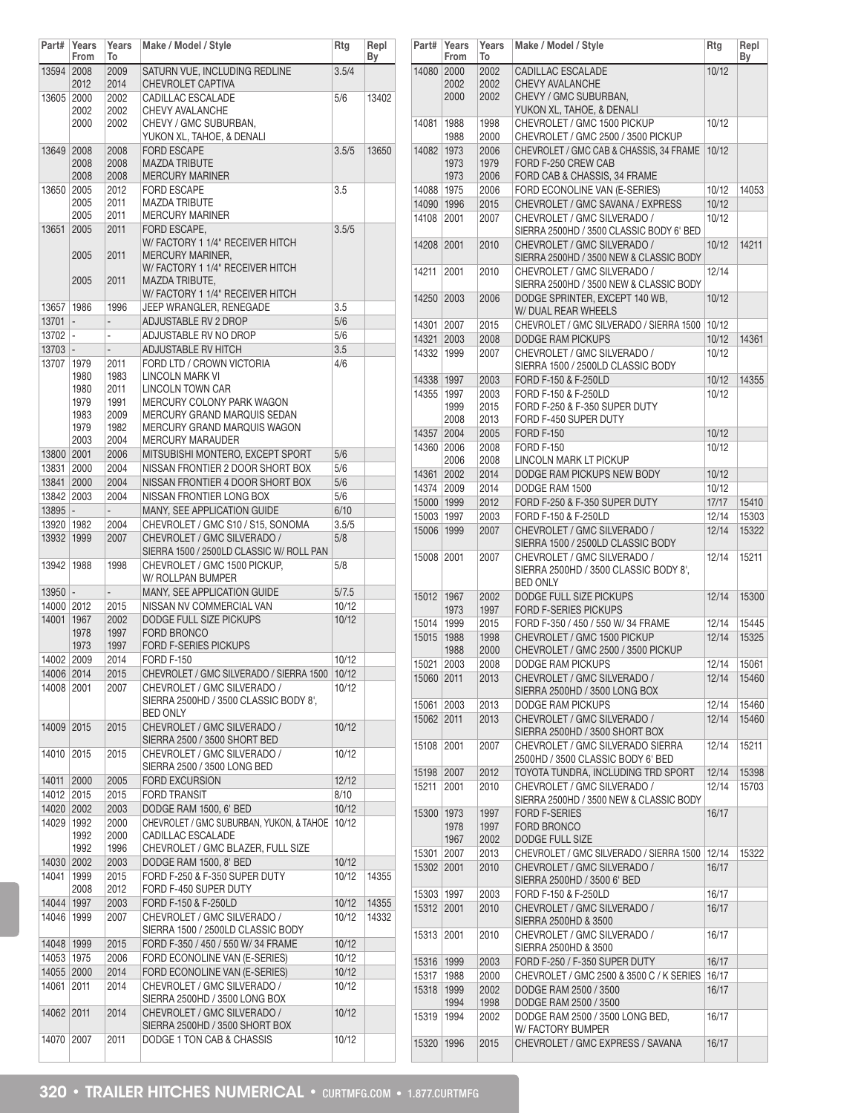| Part#        | Years<br>From | Years<br>To              | Make / Model / Style                                                 | Rtg   | Repl<br>Вy |
|--------------|---------------|--------------------------|----------------------------------------------------------------------|-------|------------|
| 13594 2008   |               | 2009                     | SATURN VUE, INCLUDING REDLINE                                        | 3.5/4 |            |
|              | 2012          | 2014                     | <b>CHEVROLET CAPTIVA</b>                                             |       |            |
| 13605 2000   |               | 2002                     | CADILLAC ESCALADE                                                    | 5/6   | 13402      |
|              | 2002<br>2000  | 2002<br>2002             | CHEVY AVALANCHE<br>CHEVY / GMC SUBURBAN,                             |       |            |
|              |               |                          | YUKON XL, TAHOE, & DENALI                                            |       |            |
| 13649 2008   |               | 2008                     | <b>FORD ESCAPE</b>                                                   | 3.5/5 | 13650      |
|              | 2008          | 2008                     | <b>MAZDA TRIBUTE</b>                                                 |       |            |
|              | 2008          | 2008                     | <b>MERCURY MARINER</b>                                               |       |            |
| 13650 2005   |               | 2012                     | <b>FORD ESCAPE</b>                                                   | 3.5   |            |
|              | 2005          | 2011                     | <b>MAZDA TRIBUTE</b>                                                 |       |            |
|              | 2005          | 2011                     | <b>MERCURY MARINER</b>                                               |       |            |
| 13651        | 2005          | 2011                     | FORD ESCAPE.                                                         | 3.5/5 |            |
|              |               |                          | W/FACTORY 1 1/4" RECEIVER HITCH                                      |       |            |
|              | 2005          | 2011                     | MERCURY MARINER,<br>W/FACTORY 1 1/4" RECEIVER HITCH                  |       |            |
|              | 2005          | 2011                     | MAZDA TRIBUTE,                                                       |       |            |
|              |               |                          | W/FACTORY 1 1/4" RECEIVER HITCH                                      |       |            |
| 13657        | 1986          | 1996                     | JEEP WRANGLER, RENEGADE                                              | 3.5   |            |
| 13701        | I –           | $\overline{\phantom{0}}$ | ADJUSTABLE RV 2 DROP                                                 | 5/6   |            |
| $13702$ -    |               | $\overline{a}$           | ADJUSTABLE RV NO DROP                                                | 5/6   |            |
| $13703 -$    |               | -                        | ADJUSTABLE RV HITCH                                                  | 3.5   |            |
| 13707        | 1979          | 2011                     | FORD LTD / CROWN VICTORIA                                            | 4/6   |            |
|              | 1980          | 1983                     | <b>LINCOLN MARK VI</b>                                               |       |            |
|              | 1980          | 2011                     | <b>LINCOLN TOWN CAR</b>                                              |       |            |
|              | 1979          | 1991                     | MERCURY COLONY PARK WAGON                                            |       |            |
|              | 1983          | 2009                     | MERCURY GRAND MARQUIS SEDAN                                          |       |            |
|              | 1979<br>2003  | 1982<br>2004             | MERCURY GRAND MARQUIS WAGON<br><b>MERCURY MARAUDER</b>               |       |            |
| 13800 2001   |               | 2006                     | MITSUBISHI MONTERO, EXCEPT SPORT                                     | 5/6   |            |
| 13831 2000   |               | 2004                     | NISSAN FRONTIER 2 DOOR SHORT BOX                                     | 5/6   |            |
| 13841 2000   |               | 2004                     | NISSAN FRONTIER 4 DOOR SHORT BOX                                     | 5/6   |            |
| 13842 2003   |               | 2004                     | NISSAN FRONTIER LONG BOX                                             | 5/6   |            |
| $13895 -$    |               | $\overline{\phantom{a}}$ | MANY, SEE APPLICATION GUIDE                                          | 6/10  |            |
| 13920   1982 |               | 2004                     | CHEVROLET / GMC S10 / S15, SONOMA                                    | 3.5/5 |            |
| 13932 1999   |               | 2007                     | CHEVROLET / GMC SILVERADO /                                          | 5/8   |            |
|              |               |                          | SIERRA 1500 / 2500LD CLASSIC W/ ROLL PAN                             |       |            |
| 13942   1988 |               | 1998                     | CHEVROLET / GMC 1500 PICKUP,                                         | 5/8   |            |
|              |               |                          | W/ ROLLPAN BUMPER                                                    |       |            |
| $13950$ -    |               | $\overline{a}$           | MANY, SEE APPLICATION GUIDE                                          | 5/7.5 |            |
| 14000 2012   |               | 2015                     | NISSAN NV COMMERCIAL VAN                                             | 10/12 |            |
| 14001 1967   |               | 2002                     | DODGE FULL SIZE PICKUPS                                              | 10/12 |            |
|              | 1978          | 1997                     | <b>FORD BRONCO</b>                                                   |       |            |
|              | 1973          | 1997                     | <b>FORD F-SERIES PICKUPS</b>                                         |       |            |
| 14002 2009   |               | 2014                     | <b>FORD F-150</b>                                                    | 10/12 |            |
| 14006 2014   |               | 2015                     | CHEVROLET / GMC SILVERADO / SIERRA 1500                              | 10/12 |            |
| 14008 2001   |               | 2007                     | CHEVROLET / GMC SILVERADO /<br>SIERRA 2500HD / 3500 CLASSIC BODY 8', | 10/12 |            |
|              |               |                          | <b>BED ONLY</b>                                                      |       |            |
| 14009 2015   |               | 2015                     | CHEVROLET / GMC SILVERADO /                                          | 10/12 |            |
|              |               |                          | SIERRA 2500 / 3500 SHORT BED                                         |       |            |
| 14010 2015   |               | 2015                     | CHEVROLET / GMC SILVERADO /                                          | 10/12 |            |
|              |               |                          | SIERRA 2500 / 3500 LONG BED                                          |       |            |
| 14011        | 2000          | 2005                     | <b>FORD EXCURSION</b>                                                | 12/12 |            |
| 14012 2015   |               | 2015                     | <b>FORD TRANSIT</b>                                                  | 8/10  |            |
| 14020 2002   |               | 2003                     | DODGE RAM 1500, 6' BED                                               | 10/12 |            |
| 14029 1992   |               | 2000                     | CHEVROLET / GMC SUBURBAN, YUKON, & TAHOE                             | 10/12 |            |
|              | 1992          | 2000                     | CADILLAC ESCALADE                                                    |       |            |
|              | 1992          | 1996                     | CHEVROLET / GMC BLAZER, FULL SIZE                                    |       |            |
| 14030 2002   |               | 2003                     | DODGE RAM 1500, 8' BED                                               | 10/12 |            |
| 14041        | 1999<br>2008  | 2015<br>2012             | FORD F-250 & F-350 SUPER DUTY<br>FORD F-450 SUPER DUTY               | 10/12 | 14355      |
| 14044 1997   |               | 2003                     | FORD F-150 & F-250LD                                                 | 10/12 | 14355      |
| 14046   1999 |               | 2007                     | CHEVROLET / GMC SILVERADO /                                          | 10/12 | 14332      |
|              |               |                          | SIERRA 1500 / 2500LD CLASSIC BODY                                    |       |            |
| 14048 1999   |               | 2015                     | FORD F-350 / 450 / 550 W/ 34 FRAME                                   | 10/12 |            |
| 14053 1975   |               | 2006                     | FORD ECONOLINE VAN (E-SERIES)                                        | 10/12 |            |
| 14055 2000   |               | 2014                     | FORD ECONOLINE VAN (E-SERIES)                                        | 10/12 |            |
| 14061 2011   |               | 2014                     | CHEVROLET / GMC SILVERADO /                                          | 10/12 |            |
|              |               |                          | SIERRA 2500HD / 3500 LONG BOX                                        |       |            |
| 14062 2011   |               | 2014                     | CHEVROLET / GMC SILVERADO /                                          | 10/12 |            |
|              |               |                          | SIERRA 2500HD / 3500 SHORT BOX                                       |       |            |
| 14070        | 2007          | 2011                     | DODGE 1 TON CAB & CHASSIS                                            | 10/12 |            |
|              |               |                          |                                                                      |       |            |

| Part#        | Years<br>From | Years<br>To | Make / Model / Style                                                   | Rtg   | Repl<br>Вy |
|--------------|---------------|-------------|------------------------------------------------------------------------|-------|------------|
| 14080 2000   |               | 2002        | CADILLAC ESCALADE                                                      | 10/12 |            |
|              | 2002          | 2002        | <b>CHEVY AVALANCHE</b>                                                 |       |            |
|              | 2000          | 2002        | CHEVY / GMC SUBURBAN,                                                  |       |            |
|              |               |             | YUKON XL, TAHOE, & DENALI                                              |       |            |
| 14081        | 1988          | 1998        | CHEVROLET / GMC 1500 PICKUP                                            | 10/12 |            |
|              | 1988          | 2000        | CHEVROLET / GMC 2500 / 3500 PICKUP                                     |       |            |
| 14082        | 1973          | 2006        | CHEVROLET / GMC CAB & CHASSIS, 34 FRAME                                | 10/12 |            |
|              | 1973          | 1979        | FORD F-250 CREW CAB                                                    |       |            |
|              | 1973          | 2006        | FORD CAB & CHASSIS, 34 FRAME                                           |       |            |
|              |               |             |                                                                        |       | 14053      |
| 14088        | 1975          | 2006        | FORD ECONOLINE VAN (E-SERIES)                                          | 10/12 |            |
| 14090 1996   |               | 2015        | CHEVROLET / GMC SAVANA / EXPRESS                                       | 10/12 |            |
| 14108        | 2001          | 2007        | CHEVROLET / GMC SILVERADO /                                            | 10/12 |            |
|              |               |             | SIERRA 2500HD / 3500 CLASSIC BODY 6' BED                               |       |            |
| 14208        | 2001          | 2010        | CHEVROLET / GMC SILVERADO /                                            | 10/12 | 14211      |
|              |               |             | SIERRA 2500HD / 3500 NEW & CLASSIC BODY                                |       |            |
| 14211        | 2001          | 2010        | CHEVROLET / GMC SILVERADO /                                            | 12/14 |            |
|              |               |             | SIERRA 2500HD / 3500 NEW & CLASSIC BODY                                |       |            |
| 14250        | 2003          | 2006        | DODGE SPRINTER, EXCEPT 140 WB,                                         | 10/12 |            |
|              |               |             | W/ DUAL REAR WHEELS                                                    |       |            |
| 14301        | 2007          | 2015        | CHEVROLET / GMC SILVERADO / SIERRA 1500                                | 10/12 |            |
| 14321        | 2003          | 2008        | <b>DODGE RAM PICKUPS</b>                                               | 10/12 | 14361      |
| 14332        | 1999          | 2007        | CHEVROLET / GMC SILVERADO /                                            | 10/12 |            |
|              |               |             | SIERRA 1500 / 2500LD CLASSIC BODY                                      |       |            |
|              |               | 2003        | FORD F-150 & F-250LD                                                   | 10/12 | 14355      |
| 14338 1997   |               |             |                                                                        |       |            |
| 14355        | 1997          | 2003        | FORD F-150 & F-250LD                                                   | 10/12 |            |
|              | 1999          | 2015        | FORD F-250 & F-350 SUPER DUTY                                          |       |            |
|              | 2008          | 2013        | FORD F-450 SUPER DUTY                                                  |       |            |
| 14357        | 2004          | 2005        | <b>FORD F-150</b>                                                      | 10/12 |            |
| 14360        | 2006          | 2008        | <b>FORD F-150</b>                                                      | 10/12 |            |
|              | 2006          | 2008        | LINCOLN MARK LT PICKUP                                                 |       |            |
| 14361        | 2002          | 2014        | DODGE RAM PICKUPS NEW BODY                                             | 10/12 |            |
| 14374        | 2009          | 2014        | DODGE RAM 1500                                                         | 10/12 |            |
| 15000 1999   |               | 2012        | FORD F-250 & F-350 SUPER DUTY                                          | 17/17 | 15410      |
| 15003        | 1997          | 2003        | FORD F-150 & F-250LD                                                   | 12/14 | 15303      |
| 15006        | 1999          | 2007        | CHEVROLET / GMC SILVERADO /                                            | 12/14 | 15322      |
|              |               |             | SIERRA 1500 / 2500LD CLASSIC BODY                                      |       |            |
|              |               |             |                                                                        |       |            |
| 15008 2001   |               | 2007        | CHEVROLET / GMC SILVERADO /                                            | 12/14 | 15211      |
|              |               |             | SIERRA 2500HD / 3500 CLASSIC BODY 8',                                  |       |            |
|              |               |             | <b>BED ONLY</b>                                                        |       |            |
| 15012        | 1967          | 2002        | DODGE FULL SIZE PICKUPS                                                | 12/14 | 15300      |
|              | 1973          | 1997        | <b>FORD F-SERIES PICKUPS</b>                                           |       |            |
| 15014        | 1999          | 2015        | FORD F-350 / 450 / 550 W/ 34 FRAME                                     | 12/14 | 15445      |
| 15015        | 1988          | 1998        | CHEVROLET / GMC 1500 PICKUP                                            | 12/14 | 15325      |
|              | 1988          | 2000        | CHEVROLET / GMC 2500 / 3500 PICKUP                                     |       |            |
| 15021        | 2003          | 2008        | <b>DODGE RAM PICKUPS</b>                                               | 12/14 | 15061      |
| 15060 2011   |               | 2013        | CHEVROLET / GMC SILVERADO /                                            | 12/14 | 15460      |
|              |               |             | SIERRA 2500HD / 3500 LONG BOX                                          |       |            |
| 15061        | 2003          | 2013        | <b>DODGE RAM PICKUPS</b>                                               | 12/14 | 15460      |
| 15062        | 2011          | 2013        | CHEVROLET / GMC SILVERADO /                                            | 12/14 | 15460      |
|              |               |             | SIERRA 2500HD / 3500 SHORT BOX                                         |       |            |
| 15108        | 2001          | 2007        | CHEVROLET / GMC SILVERADO SIERRA                                       | 12/14 | 15211      |
|              |               |             | 2500HD / 3500 CLASSIC BODY 6' BED                                      |       |            |
| 15198        | 2007          | 2012        | TOYOTA TUNDRA, INCLUDING TRD SPORT                                     | 12/14 | 15398      |
| 15211        | 2001          |             |                                                                        |       | 15703      |
|              |               | 2010        | CHEVROLET / GMC SILVERADO /<br>SIERRA 2500HD / 3500 NEW & CLASSIC BODY | 12/14 |            |
|              |               |             |                                                                        |       |            |
| 15300        | 1973          | 1997        | <b>FORD F-SERIES</b>                                                   | 16/17 |            |
|              | 1978          | 1997        | FORD BRONCO                                                            |       |            |
|              | 1967          | 2002        | DODGE FULL SIZE                                                        |       |            |
| 15301        | 2007          | 2013        | CHEVROLET / GMC SILVERADO / SIERRA 1500                                | 12/14 | 15322      |
| 15302 2001   |               | 2010        | CHEVROLET / GMC SILVERADO /                                            | 16/17 |            |
|              |               |             | SIERRA 2500HD / 3500 6' BED                                            |       |            |
| 15303   1997 |               | 2003        | FORD F-150 & F-250LD                                                   | 16/17 |            |
| 15312        | 2001          | 2010        | CHEVROLET / GMC SILVERADO /                                            | 16/17 |            |
|              |               |             | SIERRA 2500HD & 3500                                                   |       |            |
| 15313        | 2001          | 2010        | CHEVROLET / GMC SILVERADO /                                            | 16/17 |            |
|              |               |             | SIERRA 2500HD & 3500                                                   |       |            |
| 15316        | 1999          | 2003        | FORD F-250 / F-350 SUPER DUTY                                          | 16/17 |            |
| 15317        | 1988          | 2000        | CHEVROLET / GMC 2500 & 3500 C / K SERIES                               | 16/17 |            |
|              |               |             | DODGE RAM 2500 / 3500                                                  |       |            |
| 15318        | 1999          | 2002        |                                                                        | 16/17 |            |
|              | 1994          | 1998        | DODGE RAM 2500 / 3500                                                  |       |            |
| 15319        | 1994          | 2002        | DODGE RAM 2500 / 3500 LONG BED,                                        | 16/17 |            |
|              |               |             | W/ FACTORY BUMPER                                                      |       |            |
| 15320        | 1996          | 2015        | CHEVROLET / GMC EXPRESS / SAVANA                                       | 16/17 |            |
|              |               |             |                                                                        |       |            |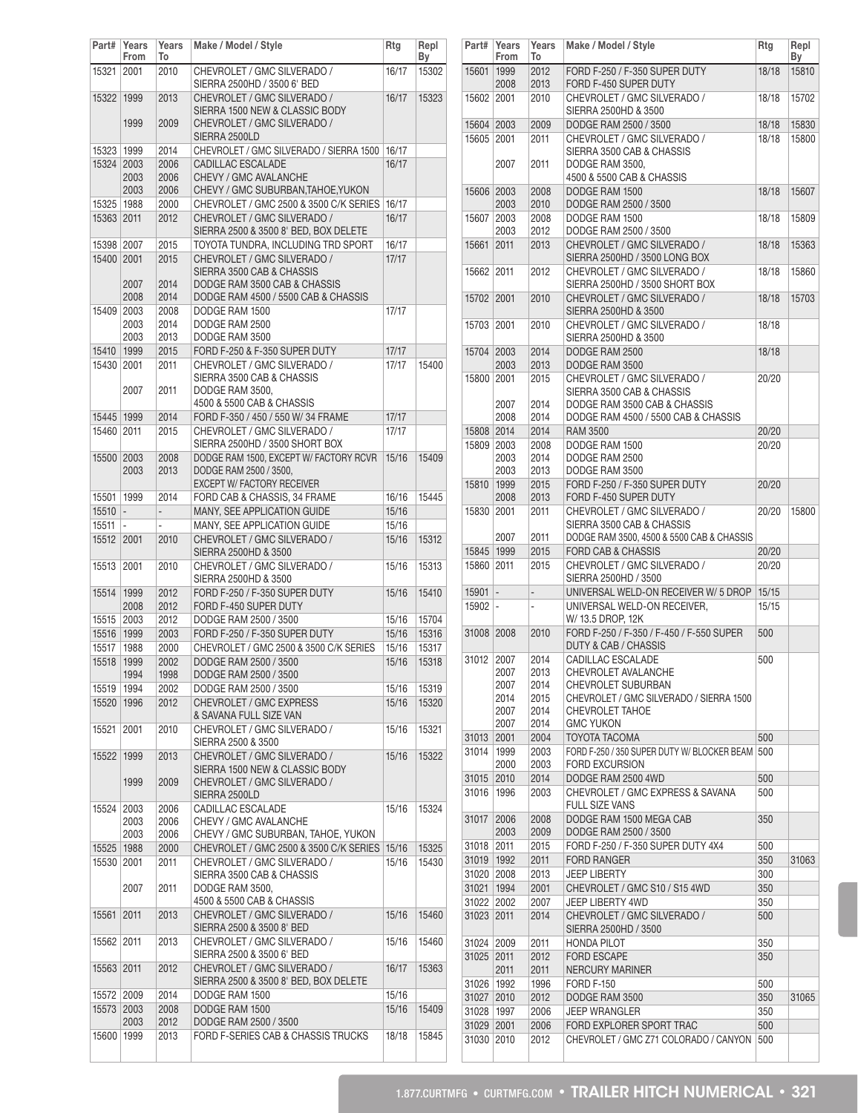| Part#                 | Years<br>From            | Years<br>То              | Make / Model / Style                                          | Rtg            | Repl<br>Вy |
|-----------------------|--------------------------|--------------------------|---------------------------------------------------------------|----------------|------------|
| 15321                 | 2001                     | 2010                     | CHEVROLET / GMC SILVERADO /                                   | 16/17          | 15302      |
| 15322                 | 1999                     | 2013                     | SIERRA 2500HD / 3500 6' BED<br>CHEVROLET / GMC SILVERADO /    | 16/17          | 15323      |
|                       | 1999                     | 2009                     | SIERRA 1500 NEW & CLASSIC BODY<br>CHEVROLET / GMC SILVERADO / |                |            |
|                       |                          |                          | SIERRA 2500LD                                                 |                |            |
| 15323                 | 1999                     | 2014                     | CHEVROLET / GMC SILVERADO / SIERRA 1500                       | 16/17          |            |
| 15324 2003            |                          | 2006                     | <b>CADILLAC ESCALADE</b>                                      | 16/17          |            |
|                       | 2003                     | 2006                     | CHEVY / GMC AVALANCHE                                         |                |            |
|                       | 2003                     | 2006                     | CHEVY / GMC SUBURBAN, TAHOE, YUKON                            |                |            |
| 15325 1988            |                          | 2000                     | CHEVROLET / GMC 2500 & 3500 C/K SERIES                        | 16/17          |            |
| 15363 2011            |                          | 2012                     | CHEVROLET / GMC SILVERADO /                                   | 16/17          |            |
|                       |                          |                          | SIERRA 2500 & 3500 8' BED, BOX DELETE                         |                |            |
| 15398 2007            |                          | 2015                     | TOYOTA TUNDRA, INCLUDING TRD SPORT                            | 16/17          |            |
| 15400 2001            |                          | 2015                     | CHEVROLET / GMC SILVERADO /                                   | 17/17          |            |
|                       |                          |                          | SIERRA 3500 CAB & CHASSIS                                     |                |            |
|                       | 2007                     | 2014                     | DODGE RAM 3500 CAB & CHASSIS                                  |                |            |
|                       | 2008                     | 2014                     | DODGE RAM 4500 / 5500 CAB & CHASSIS                           |                |            |
| 15409                 | 2003                     | 2008                     | DODGE RAM 1500                                                | 17/17          |            |
|                       | 2003                     | 2014                     | DODGE RAM 2500                                                |                |            |
|                       | 2003                     | 2013                     | DODGE RAM 3500                                                |                |            |
| 15410 1999            |                          | 2015                     | FORD F-250 & F-350 SUPER DUTY                                 | 17/17          |            |
| 15430 2001            |                          | 2011                     | CHEVROLET / GMC SILVERADO /                                   | 17/17          | 15400      |
|                       |                          |                          | SIERRA 3500 CAB & CHASSIS                                     |                |            |
|                       | 2007                     | 2011                     | DODGE RAM 3500,                                               |                |            |
|                       |                          |                          | 4500 & 5500 CAB & CHASSIS                                     |                |            |
| 15445 1999            |                          | 2014                     | FORD F-350 / 450 / 550 W/ 34 FRAME                            | 17/17          |            |
| 15460 2011            |                          | 2015                     | CHEVROLET / GMC SILVERADO /                                   | 17/17          |            |
|                       |                          |                          | SIERRA 2500HD / 3500 SHORT BOX                                |                |            |
| 15500                 | 2003                     | 2008                     | DODGE RAM 1500, EXCEPT W/ FACTORY RCVR                        | 15/16          | 15409      |
|                       | 2003                     | 2013                     | DODGE RAM 2500 / 3500,                                        |                |            |
|                       | 1999                     | 2014                     | EXCEPT W/ FACTORY RECEIVER<br>FORD CAB & CHASSIS, 34 FRAME    | 16/16          | 15445      |
| 15501<br>15510        | $\overline{\phantom{a}}$ | $\overline{a}$           | MANY, SEE APPLICATION GUIDE                                   | 15/16          |            |
|                       |                          |                          | MANY, SEE APPLICATION GUIDE                                   |                |            |
| 15511                 | $\overline{\phantom{a}}$ | $\overline{\phantom{0}}$ | CHEVROLET / GMC SILVERADO /                                   | 15/16          |            |
| 15512 2001            |                          | 2010                     | SIERRA 2500HD & 3500                                          | 15/16          | 15312      |
| 15513                 | 2001                     | 2010                     | CHEVROLET / GMC SILVERADO /                                   | 15/16          | 15313      |
|                       |                          |                          | SIERRA 2500HD & 3500                                          |                |            |
| 15514                 | 1999                     | 2012                     | FORD F-250 / F-350 SUPER DUTY                                 | 15/16          | 15410      |
|                       | 2008                     | 2012                     | FORD F-450 SUPER DUTY                                         |                |            |
| 15515                 | 2003                     | 2012                     | DODGE RAM 2500 / 3500                                         | 15/16          | 15704      |
| 15516 1999            |                          | 2003                     | FORD F-250 / F-350 SUPER DUTY                                 | 15/16          | 15316      |
| 15517                 | 1988                     | 2000                     | CHEVROLET / GMC 2500 & 3500 C/K SERIES                        | 15/16          | 15317      |
| 15518                 | 1999                     | 2002                     | DODGE RAM 2500 / 3500                                         | 15/16          | 15318      |
|                       | 1994                     | 1998                     | DODGE RAM 2500 / 3500                                         |                |            |
| 15519                 | 1994                     | 2002                     | DODGE RAM 2500 / 3500                                         | 15/16          | 15319      |
| 15520                 | 1996                     | 2012                     | CHEVROLET / GMC EXPRESS                                       | 15/16          | 15320      |
|                       |                          |                          | & SAVANA FULL SIZE VAN                                        |                |            |
| 15521                 | 2001                     | 2010                     | CHEVROLET / GMC SILVERADO /                                   | 15/16          | 15321      |
|                       |                          |                          | SIERRA 2500 & 3500                                            |                |            |
| 15522                 | 1999                     | 2013                     | CHEVROLET / GMC SILVERADO /                                   | 15/16          | 15322      |
|                       |                          |                          | SIERRA 1500 NEW & CLASSIC BODY                                |                |            |
|                       | 1999                     | 2009                     | CHEVROLET / GMC SILVERADO /                                   |                |            |
|                       |                          |                          | SIERRA 2500LD                                                 |                |            |
| 15524                 | 2003                     | 2006                     | CADILLAC ESCALADE                                             | 15/16          | 15324      |
|                       | 2003                     | 2006                     | CHEVY / GMC AVALANCHE                                         |                |            |
|                       | 2003                     | 2006                     | CHEVY / GMC SUBURBAN, TAHOE, YUKON                            |                |            |
| 15525   1988          |                          | 2000                     | CHEVROLET / GMC 2500 & 3500 C/K SERIES                        | 15/16          | 15325      |
| 15530 2001            |                          | 2011                     | CHEVROLET / GMC SILVERADO /                                   | 15/16          | 15430      |
|                       |                          |                          | SIERRA 3500 CAB & CHASSIS                                     |                |            |
|                       | 2007                     | 2011                     | DODGE RAM 3500,                                               |                |            |
|                       |                          |                          | 4500 & 5500 CAB & CHASSIS                                     |                |            |
| 15561                 | 2011                     | 2013                     | CHEVROLET / GMC SILVERADO /                                   | 15/16          | 15460      |
|                       |                          |                          | SIERRA 2500 & 3500 8' BED                                     |                |            |
| 15562 2011            |                          | 2013                     | CHEVROLET / GMC SILVERADO /                                   | 15/16          | 15460      |
|                       |                          |                          | SIERRA 2500 & 3500 6' BED<br>CHEVROLET / GMC SILVERADO /      |                | 15363      |
| 15563                 | 2011                     | 2012                     | SIERRA 2500 & 3500 8' BED, BOX DELETE                         | 16/17          |            |
|                       |                          |                          | DODGE RAM 1500                                                |                |            |
| 15572  <br>15573 2003 | 2009                     | 2014<br>2008             | DODGE RAM 1500                                                | 15/16<br>15/16 | 15409      |
|                       | 2003                     | 2012                     | DODGE RAM 2500 / 3500                                         |                |            |
| 15600   1999          |                          | 2013                     | FORD F-SERIES CAB & CHASSIS TRUCKS                            | 18/18          | 15845      |
|                       |                          |                          |                                                               |                |            |

| Part#      | Years<br>From            | Years<br>To              | Make / Model / Style                                                   | Rtg   | Repl<br>By |
|------------|--------------------------|--------------------------|------------------------------------------------------------------------|-------|------------|
| 15601 1999 | 2008                     | 2012<br>2013             | FORD F-250 / F-350 SUPER DUTY<br>FORD F-450 SUPER DUTY                 | 18/18 | 15810      |
| 15602 2001 |                          | 2010                     | CHEVROLET / GMC SILVERADO /<br>SIERRA 2500HD & 3500                    | 18/18 | 15702      |
| 15604 2003 |                          | 2009                     | DODGE RAM 2500 / 3500                                                  | 18/18 | 15830      |
| 15605 2001 |                          | 2011                     | CHEVROLET / GMC SILVERADO /                                            | 18/18 | 15800      |
|            |                          |                          | SIERRA 3500 CAB & CHASSIS                                              |       |            |
|            | 2007                     | 2011                     | DODGE RAM 3500,<br>4500 & 5500 CAB & CHASSIS                           |       |            |
| 15606 2003 |                          | 2008                     | DODGE RAM 1500                                                         | 18/18 | 15607      |
|            | 2003                     | 2010                     | DODGE RAM 2500 / 3500                                                  |       |            |
| 15607      | 2003                     | 2008                     | DODGE RAM 1500                                                         | 18/18 | 15809      |
|            | 2003                     | 2012                     | DODGE RAM 2500 / 3500                                                  |       |            |
| 15661      | 2011                     | 2013                     | CHEVROLET / GMC SILVERADO /<br>SIERRA 2500HD / 3500 LONG BOX           | 18/18 | 15363      |
| 15662 2011 |                          | 2012                     | CHEVROLET / GMC SILVERADO /<br>SIERRA 2500HD / 3500 SHORT BOX          | 18/18 | 15860      |
| 15702 2001 |                          | 2010                     | CHEVROLET / GMC SILVERADO /<br>SIERRA 2500HD & 3500                    | 18/18 | 15703      |
| 15703 2001 |                          | 2010                     | CHEVROLET / GMC SILVERADO /                                            | 18/18 |            |
|            |                          |                          | SIERRA 2500HD & 3500                                                   |       |            |
| 15704      | 2003                     | 2014                     | DODGE RAM 2500                                                         | 18/18 |            |
|            | 2003                     | 2013                     | DODGE RAM 3500                                                         |       |            |
| 15800 2001 |                          | 2015                     | CHEVROLET / GMC SILVERADO /                                            | 20/20 |            |
|            |                          |                          | SIERRA 3500 CAB & CHASSIS                                              |       |            |
|            | 2007                     | 2014                     | DODGE RAM 3500 CAB & CHASSIS                                           |       |            |
|            | 2008                     | 2014                     | DODGE RAM 4500 / 5500 CAB & CHASSIS                                    |       |            |
| 15808 2014 |                          | 2014                     | <b>RAM 3500</b>                                                        | 20/20 |            |
| 15809 2003 |                          | 2008                     | DODGE RAM 1500                                                         | 20/20 |            |
|            | 2003                     | 2014                     | DODGE RAM 2500                                                         |       |            |
|            | 2003                     | 2013                     | DODGE RAM 3500                                                         |       |            |
| 15810 1999 | 2008                     | 2015<br>2013             | FORD F-250 / F-350 SUPER DUTY<br>FORD F-450 SUPER DUTY                 | 20/20 |            |
| 15830 2001 |                          | 2011                     | CHEVROLET / GMC SILVERADO /                                            | 20/20 | 15800      |
|            | 2007                     | 2011                     | SIERRA 3500 CAB & CHASSIS<br>DODGE RAM 3500, 4500 & 5500 CAB & CHASSIS |       |            |
| 15845 1999 |                          | 2015                     | <b>FORD CAB &amp; CHASSIS</b>                                          | 20/20 |            |
| 15860 2011 |                          | 2015                     | CHEVROLET / GMC SILVERADO /<br>SIERRA 2500HD / 3500                    | 20/20 |            |
| 15901      | $\overline{\phantom{a}}$ | $\overline{\phantom{a}}$ | UNIVERSAL WELD-ON RECEIVER W/ 5 DROP                                   | 15/15 |            |
| 15902 -    |                          | $\frac{1}{2}$            | UNIVERSAL WELD-ON RECEIVER.<br>W/13.5 DROP, 12K                        | 15/15 |            |
| 31008 2008 |                          | 2010                     | FORD F-250 / F-350 / F-450 / F-550 SUPER<br>DUTY & CAB / CHASSIS       | 500   |            |
| 31012      | 2007                     | 2014                     | CADILLAC ESCALADE                                                      | 500   |            |
|            | 2007                     | 2013                     | CHEVROLET AVALANCHE                                                    |       |            |
|            | 2007                     | 2014                     | CHEVROLET SUBURBAN                                                     |       |            |
|            | 2014                     | 2015                     | CHEVROLET / GMC SILVERADO / SIERRA 1500                                |       |            |
|            | 2007                     | 2014                     | <b>CHEVROLET TAHOE</b>                                                 |       |            |
|            | 2007                     | 2014                     | <b>GMC YUKON</b>                                                       |       |            |
| 31013      | 2001                     | 2004                     | TOYOTA TACOMA                                                          | 500   |            |
| 31014      | 1999                     | 2003                     | FORD F-250 / 350 SUPER DUTY W/ BLOCKER BEAM 500                        |       |            |
|            | 2000                     | 2003                     | FORD EXCURSION                                                         |       |            |
| 31015      | 2010                     | 2014                     | DODGE RAM 2500 4WD                                                     | 500   |            |
| 31016      | 1996                     | 2003                     | CHEVROLET / GMC EXPRESS & SAVANA<br><b>FULL SIZE VANS</b>              | 500   |            |
| 31017      | 2006                     | 2008                     | DODGE RAM 1500 MEGA CAB                                                | 350   |            |
|            | 2003                     | 2009                     | DODGE RAM 2500 / 3500                                                  |       |            |
| 31018      | 2011                     | 2015                     | FORD F-250 / F-350 SUPER DUTY 4X4                                      | 500   |            |
| 31019 1992 |                          | 2011                     | <b>FORD RANGER</b>                                                     | 350   | 31063      |
| 31020 2008 |                          | 2013                     | <b>JEEP LIBERTY</b>                                                    | 300   |            |
| 31021 1994 |                          | 2001                     | CHEVROLET / GMC S10 / S15 4WD                                          | 350   |            |
| 31022 2002 |                          | 2007                     | JEEP LIBERTY 4WD                                                       | 350   |            |
| 31023      | 2011                     | 2014                     | CHEVROLET / GMC SILVERADO /<br>SIERRA 2500HD / 3500                    | 500   |            |
| 31024      | 2009                     | 2011                     | <b>HONDA PILOT</b>                                                     | 350   |            |
| 31025      | 2011                     | 2012                     | <b>FORD ESCAPE</b>                                                     | 350   |            |
|            | 2011                     | 2011                     | <b>NERCURY MARINER</b>                                                 |       |            |
| 31026 1992 |                          | 1996                     | <b>FORD F-150</b>                                                      | 500   |            |
| 31027 2010 |                          | 2012                     | DODGE RAM 3500                                                         | 350   | 31065      |
| 31028 1997 |                          | 2006                     | <b>JEEP WRANGLER</b>                                                   | 350   |            |
| 31029 2001 |                          | 2006                     | FORD EXPLORER SPORT TRAC                                               | 500   |            |
| 31030 2010 |                          | 2012                     | CHEVROLET / GMC Z71 COLORADO / CANYON                                  | 500   |            |
|            |                          |                          |                                                                        |       |            |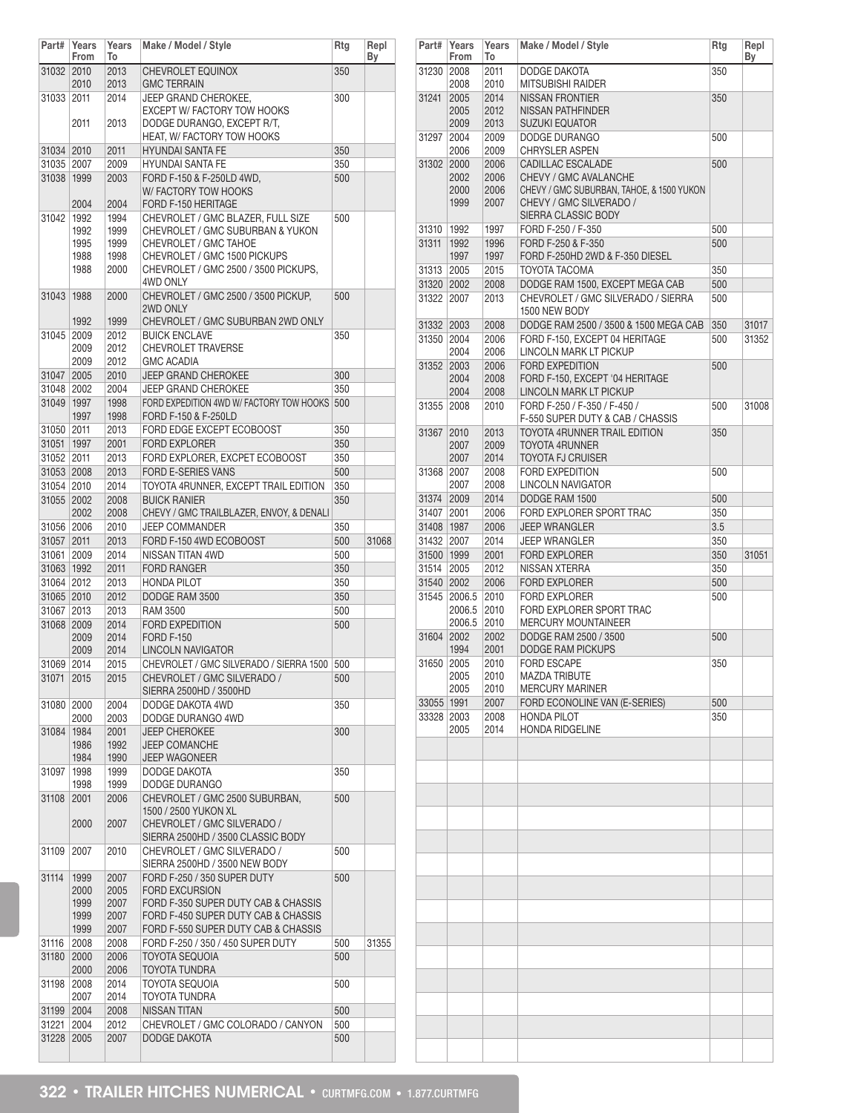| Part#                    | Years<br>From | Years<br>To  | Make / Model / Style                                                 | Rtg        | Repl<br>Вy |
|--------------------------|---------------|--------------|----------------------------------------------------------------------|------------|------------|
| 31032 2010               |               | 2013         | <b>CHEVROLET EQUINOX</b>                                             | 350        |            |
| 31033                    | 2010<br>2011  | 2013<br>2014 | <b>GMC TERRAIN</b><br>JEEP GRAND CHEROKEE,                           | 300        |            |
|                          |               |              | <b>EXCEPT W/ FACTORY TOW HOOKS</b>                                   |            |            |
|                          | 2011          | 2013         | DODGE DURANGO, EXCEPT R/T,<br>HEAT, W/ FACTORY TOW HOOKS             |            |            |
| 31034 2010               |               | 2011         | <b>HYUNDAI SANTA FE</b>                                              | 350        |            |
| 31035 2007               |               | 2009         | <b>HYUNDAI SANTA FE</b>                                              | 350        |            |
| 31038                    | 1999          | 2003         | FORD F-150 & F-250LD 4WD,                                            | 500        |            |
|                          | 2004          | 2004         | W/FACTORY TOW HOOKS<br>FORD F-150 HERITAGE                           |            |            |
| 31042                    | 1992          | 1994         | CHEVROLET / GMC BLAZER, FULL SIZE                                    | 500        |            |
|                          | 1992          | 1999         | CHEVROLET / GMC SUBURBAN & YUKON                                     |            |            |
|                          | 1995          | 1999         | CHEVROLET / GMC TAHOE                                                |            |            |
|                          | 1988<br>1988  | 1998<br>2000 | CHEVROLET / GMC 1500 PICKUPS<br>CHEVROLET / GMC 2500 / 3500 PICKUPS, |            |            |
|                          |               |              | 4WD ONLY                                                             |            |            |
| 31043                    | 1988          | 2000         | CHEVROLET / GMC 2500 / 3500 PICKUP,                                  | 500        |            |
|                          | 1992          | 1999         | 2WD ONLY<br>CHEVROLET / GMC SUBURBAN 2WD ONLY                        |            |            |
| 31045                    | 2009          | 2012         | <b>BUICK ENCLAVE</b>                                                 | 350        |            |
|                          | 2009          | 2012         | <b>CHEVROLET TRAVERSE</b>                                            |            |            |
|                          | 2009          | 2012         | <b>GMC ACADIA</b>                                                    |            |            |
| 31047 2005               |               | 2010         | <b>JEEP GRAND CHEROKEE</b>                                           | 300        |            |
| 31048 2002               |               | 2004         | <b>JEEP GRAND CHEROKEE</b>                                           | 350        |            |
| 31049 1997               | 1997          | 1998<br>1998 | FORD EXPEDITION 4WD W/ FACTORY TOW HOOKS<br>FORD F-150 & F-250LD     | 500        |            |
| 31050 2011               |               | 2013         | FORD EDGE EXCEPT ECOBOOST                                            | 350        |            |
| 31051 1997               |               | 2001         | <b>FORD EXPLORER</b>                                                 | 350        |            |
| 31052 2011               |               | 2013         | FORD EXPLORER, EXCPET ECOBOOST                                       | 350        |            |
| 31053 2008               |               | 2013         | FORD E-SERIES VANS                                                   | 500        |            |
| 31054 2010               |               | 2014         | TOYOTA 4RUNNER, EXCEPT TRAIL EDITION                                 | 350<br>350 |            |
| 31055                    | 2002<br>2002  | 2008<br>2008 | <b>BUICK RANIER</b><br>CHEVY / GMC TRAILBLAZER, ENVOY, & DENALI      |            |            |
| 31056 2006               |               | 2010         | <b>JEEP COMMANDER</b>                                                | 350        |            |
| 31057 2011               |               | 2013         | FORD F-150 4WD ECOBOOST                                              | 500        | 31068      |
| 31061 2009               |               | 2014         | NISSAN TITAN 4WD                                                     | 500        |            |
| 31063 1992               |               | 2011         | <b>FORD RANGER</b>                                                   | 350        |            |
| 31064 2012               |               | 2013         | <b>HONDA PILOT</b>                                                   | 350        |            |
| 31065 2010<br>31067 2013 |               | 2012<br>2013 | DODGE RAM 3500<br><b>RAM 3500</b>                                    | 350<br>500 |            |
| 31068 2009               |               | 2014         | <b>FORD EXPEDITION</b>                                               | 500        |            |
|                          | 2009          | 2014         | <b>FORD F-150</b>                                                    |            |            |
|                          | 2009          | 2014         | <b>LINCOLN NAVIGATOR</b>                                             |            |            |
| 31069 2014               |               | 2015         | CHEVROLET / GMC SILVERADO / SIERRA 1500                              | 500        |            |
| 31071 2015               |               | 2015         | CHEVROLET / GMC SILVERADO /<br>SIERRA 2500HD / 3500HD                | 500        |            |
| 31080                    | 2000<br>2000  | 2004<br>2003 | DODGE DAKOTA 4WD<br>DODGE DURANGO 4WD                                | 350        |            |
| 31084                    | 1984          | 2001         | <b>JEEP CHEROKEE</b>                                                 | 300        |            |
|                          | 1986          | 1992         | <b>JEEP COMANCHE</b>                                                 |            |            |
|                          | 1984          | 1990         | <b>JEEP WAGONEER</b>                                                 |            |            |
| 31097                    | 1998<br>1998  | 1999<br>1999 | DODGE DAKOTA<br>DODGE DURANGO                                        | 350        |            |
| 31108                    | 2001          | 2006         | CHEVROLET / GMC 2500 SUBURBAN,                                       | 500        |            |
|                          |               |              | 1500 / 2500 YUKON XL                                                 |            |            |
|                          | 2000          | 2007         | CHEVROLET / GMC SILVERADO /<br>SIERRA 2500HD / 3500 CLASSIC BODY     |            |            |
| 31109                    | 2007          | 2010         | CHEVROLET / GMC SILVERADO /                                          | 500        |            |
|                          |               |              | SIERRA 2500HD / 3500 NEW BODY                                        |            |            |
| 31114                    | 1999<br>2000  | 2007<br>2005 | FORD F-250 / 350 SUPER DUTY<br><b>FORD EXCURSION</b>                 | 500        |            |
|                          | 1999          | 2007         | FORD F-350 SUPER DUTY CAB & CHASSIS                                  |            |            |
|                          | 1999          | 2007         | FORD F-450 SUPER DUTY CAB & CHASSIS                                  |            |            |
|                          | 1999          | 2007         | FORD F-550 SUPER DUTY CAB & CHASSIS                                  |            |            |
| 31116                    | 2008          | 2008         | FORD F-250 / 350 / 450 SUPER DUTY                                    | 500        | 31355      |
| 31180                    | 2000<br>2000  | 2006<br>2006 | <b>TOYOTA SEQUOIA</b><br>TOYOTA TUNDRA                               | 500        |            |
| 31198                    | 2008          | 2014         | TOYOTA SEQUOIA                                                       | 500        |            |
|                          | 2007          | 2014         | TOYOTA TUNDRA                                                        |            |            |
| 31199                    | 2004          | 2008         | NISSAN TITAN                                                         | 500        |            |
| 31221                    | 2004          | 2012         | CHEVROLET / GMC COLORADO / CANYON                                    | 500        |            |
| 31228                    | 2005          | 2007         | <b>DODGE DAKOTA</b>                                                  | 500        |            |

| Part#                    | Years<br>From | Years<br>То  | Make / Model / Style                                             | Rtg        | Repl<br>Вy |
|--------------------------|---------------|--------------|------------------------------------------------------------------|------------|------------|
| 31230 2008               |               | 2011         | DODGE DAKOTA                                                     | 350        |            |
|                          | 2008          | 2010         | <b>MITSUBISHI RAIDER</b>                                         |            |            |
| 31241                    | 2005          | 2014         | <b>NISSAN FRONTIER</b>                                           | 350        |            |
|                          | 2005<br>2009  | 2012<br>2013 | <b>NISSAN PATHFINDER</b><br><b>SUZUKI EQUATOR</b>                |            |            |
| 31297                    | 2004          | 2009         | DODGE DURANGO                                                    | 500        |            |
|                          | 2006          | 2009         | <b>CHRYSLER ASPEN</b>                                            |            |            |
| 31302                    | 2000          | 2006         | <b>CADILLAC ESCALADE</b>                                         | 500        |            |
|                          | 2002          | 2006         | CHEVY / GMC AVALANCHE                                            |            |            |
|                          | 2000          | 2006         | CHEVY / GMC SUBURBAN, TAHOE, & 1500 YUKON                        |            |            |
|                          | 1999          | 2007         | CHEVY / GMC SILVERADO /                                          |            |            |
|                          |               |              | SIERRA CLASSIC BODY                                              |            |            |
| 31310                    | 1992          | 1997         | FORD F-250 / F-350                                               | 500        |            |
| 31311                    | 1992<br>1997  | 1996<br>1997 | FORD F-250 & F-350<br>FORD F-250HD 2WD & F-350 DIESEL            | 500        |            |
| 31313 2005               |               | 2015         | TOYOTA TACOMA                                                    | 350        |            |
| 31320 2002               |               | 2008         | DODGE RAM 1500, EXCEPT MEGA CAB                                  | 500        |            |
| 31322 2007               |               | 2013         | CHEVROLET / GMC SILVERADO / SIERRA                               | 500        |            |
|                          |               |              | 1500 NEW BODY                                                    |            |            |
| 31332 2003               |               | 2008         | DODGE RAM 2500 / 3500 & 1500 MEGA CAB                            | 350        | 31017      |
| 31350 2004               |               | 2006         | FORD F-150, EXCEPT 04 HERITAGE                                   | 500        | 31352      |
|                          | 2004          | 2006         | LINCOLN MARK LT PICKUP                                           |            |            |
| 31352 2003               |               | 2006         | <b>FORD EXPEDITION</b>                                           | 500        |            |
|                          | 2004          | 2008         | FORD F-150, EXCEPT '04 HERITAGE                                  |            |            |
|                          | 2004          | 2008         | LINCOLN MARK LT PICKUP                                           |            |            |
| 31355                    | 2008          | 2010         | FORD F-250 / F-350 / F-450 /<br>F-550 SUPER DUTY & CAB / CHASSIS | 500        | 31008      |
| 31367                    | 2010          | 2013         | TOYOTA 4RUNNER TRAIL EDITION                                     | 350        |            |
|                          | 2007          | 2009         | <b>TOYOTA 4RUNNER</b>                                            |            |            |
|                          | 2007          | 2014         | <b>TOYOTA FJ CRUISER</b>                                         |            |            |
| 31368 2007               |               | 2008         | <b>FORD EXPEDITION</b>                                           | 500        |            |
|                          | 2007          | 2008         | LINCOLN NAVIGATOR                                                |            |            |
| 31374 2009               |               | 2014         | DODGE RAM 1500                                                   | 500        |            |
| 31407                    | 2001          | 2006         | FORD EXPLORER SPORT TRAC                                         | 350        |            |
| 31408 1987               |               | 2006         | <b>JEEP WRANGLER</b>                                             | 3.5        |            |
| 31432 2007               |               | 2014         | <b>JEEP WRANGLER</b>                                             | 350        |            |
| 31500 1999               |               | 2001         | <b>FORD EXPLORER</b>                                             | 350        | 31051      |
| 31514 2005               |               | 2012         | NISSAN XTERRA                                                    | 350        |            |
| 31540 2002               | 31545 2006.5  | 2006<br>2010 | <b>FORD EXPLORER</b><br><b>FORD EXPLORER</b>                     | 500<br>500 |            |
|                          | 2006.5        | 2010         | FORD EXPLORER SPORT TRAC                                         |            |            |
|                          | 2006.5        | 2010         | <b>MERCURY MOUNTAINEER</b>                                       |            |            |
| 31604 2002               |               | 2002         | DODGE RAM 2500 / 3500                                            | 500        |            |
|                          | 1994          | 2001         | <b>DODGE RAM PICKUPS</b>                                         |            |            |
| 31650                    | 2005          | 2010         | <b>FORD ESCAPE</b>                                               | 350        |            |
|                          | 2005          | 2010         | <b>MAZDA TRIBUTE</b>                                             |            |            |
|                          | 2005          | 2010<br>2007 | <b>MERCURY MARINER</b><br>FORD ECONOLINE VAN (E-SERIES)          | 500        |            |
| 33055 1991<br>33328 2003 |               | 2008         | <b>HONDA PILOT</b>                                               | 350        |            |
|                          | 2005          | 2014         | <b>HONDA RIDGELINE</b>                                           |            |            |
|                          |               |              |                                                                  |            |            |
|                          |               |              |                                                                  |            |            |
|                          |               |              |                                                                  |            |            |
|                          |               |              |                                                                  |            |            |
|                          |               |              |                                                                  |            |            |
|                          |               |              |                                                                  |            |            |
|                          |               |              |                                                                  |            |            |
|                          |               |              |                                                                  |            |            |
|                          |               |              |                                                                  |            |            |
|                          |               |              |                                                                  |            |            |
|                          |               |              |                                                                  |            |            |
|                          |               |              |                                                                  |            |            |
|                          |               |              |                                                                  |            |            |
|                          |               |              |                                                                  |            |            |
|                          |               |              |                                                                  |            |            |
|                          |               |              |                                                                  |            |            |
|                          |               |              |                                                                  |            |            |
|                          |               |              |                                                                  |            |            |
|                          |               |              |                                                                  |            |            |
|                          |               |              |                                                                  |            |            |
|                          |               |              |                                                                  |            |            |